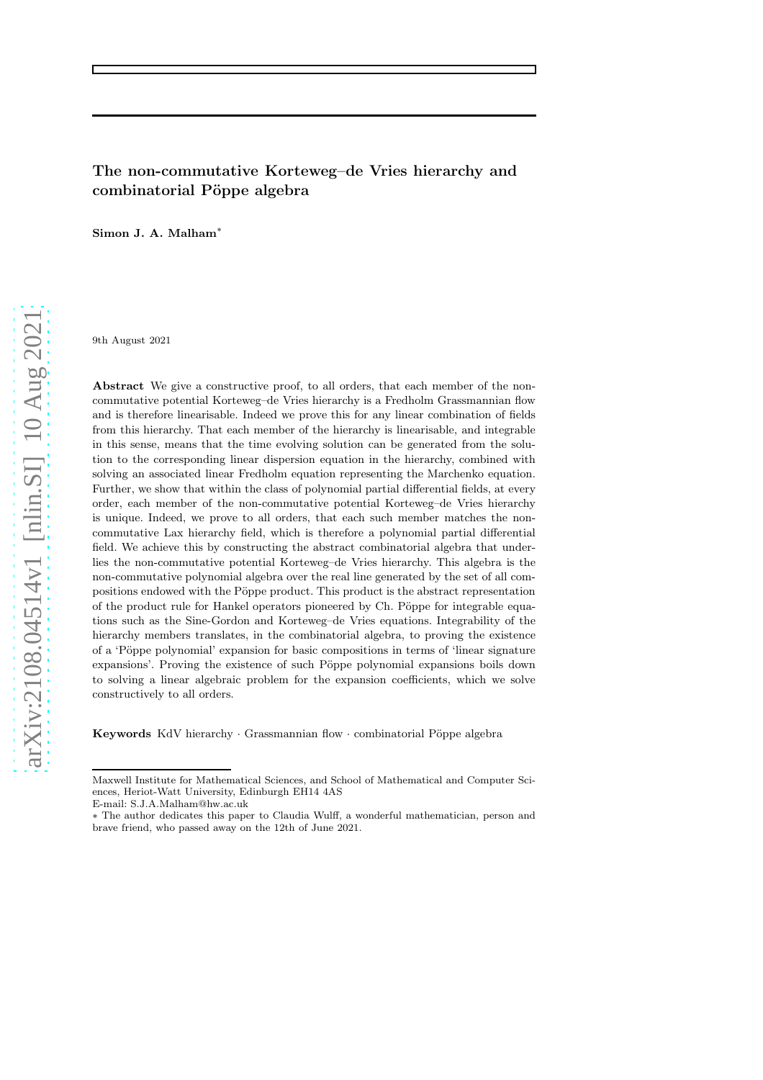# The non-commutative Korteweg–de Vries hierarchy and combinatorial Pöppe algebra

Simon J. A. Malham<sup>∗</sup>

9th August 2021

Abstract We give a constructive proof, to all orders, that each member of the noncommutative potential Korteweg–de Vries hierarchy is a Fredholm Grassmannian flow and is therefore linearisable. Indeed we prove this for any linear combination of fields from this hierarchy. That each member of the hierarchy is linearisable, and integrable in this sense, means that the time evolving solution can be generated from the solution to the corresponding linear dispersion equation in the hierarchy, combined with solving an associated linear Fredholm equation representing the Marchenko equation. Further, we show that within the class of polynomial partial differential fields, at every order, each member of the non-commutative potential Korteweg–de Vries hierarchy is unique. Indeed, we prove to all orders, that each such member matches the noncommutative Lax hierarchy field, which is therefore a polynomial partial differential field. We achieve this by constructing the abstract combinatorial algebra that underlies the non-commutative potential Korteweg–de Vries hierarchy. This algebra is the non-commutative polynomial algebra over the real line generated by the set of all compositions endowed with the Pöppe product. This product is the abstract representation of the product rule for Hankel operators pioneered by Ch. Pöppe for integrable equations such as the Sine-Gordon and Korteweg–de Vries equations. Integrability of the hierarchy members translates, in the combinatorial algebra, to proving the existence of a 'Pöppe polynomial' expansion for basic compositions in terms of 'linear signature expansions'. Proving the existence of such Pöppe polynomial expansions boils down to solving a linear algebraic problem for the expansion coefficients, which we solve constructively to all orders.

Keywords KdV hierarchy  $\cdot$  Grassmannian flow  $\cdot$  combinatorial Pöppe algebra

Maxwell Institute for Mathematical Sciences, and School of Mathematical and Computer Sciences, Heriot-Watt University, Edinburgh EH14 4AS

E-mail: S.J.A.Malham@hw.ac.uk

<sup>∗</sup> The author dedicates this paper to Claudia Wulff, a wonderful mathematician, person and brave friend, who passed away on the 12th of June 2021.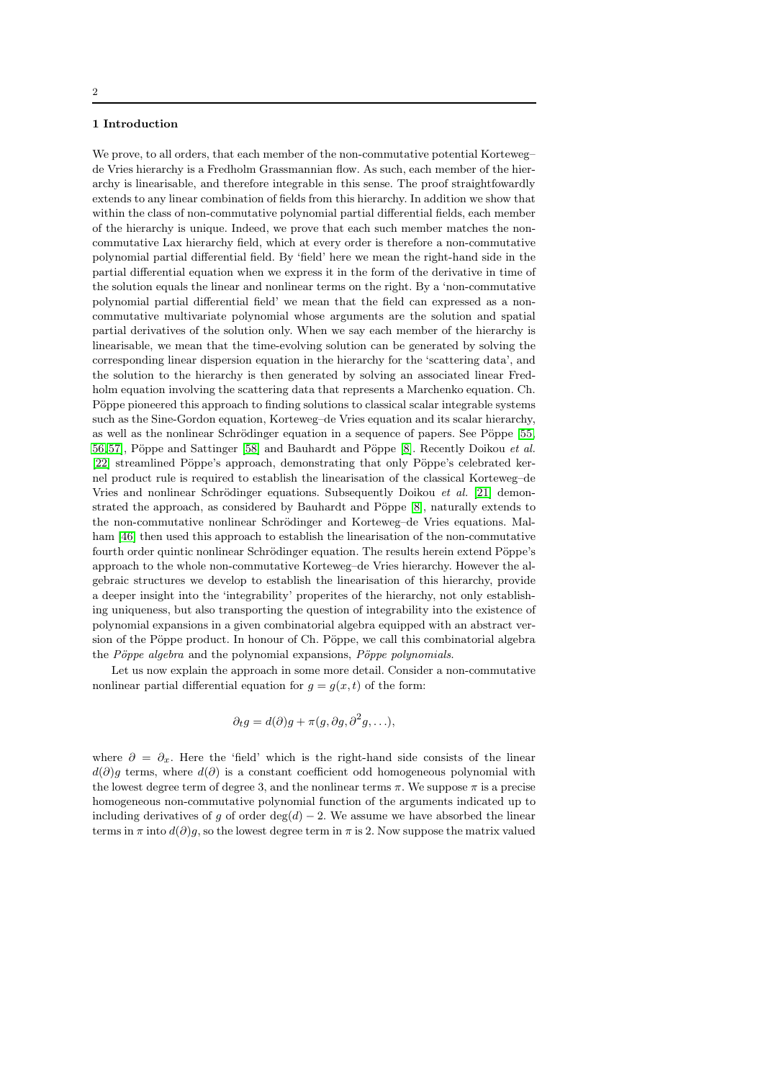## 1 Introduction

We prove, to all orders, that each member of the non-commutative potential Korteweg– de Vries hierarchy is a Fredholm Grassmannian flow. As such, each member of the hierarchy is linearisable, and therefore integrable in this sense. The proof straightfowardly extends to any linear combination of fields from this hierarchy. In addition we show that within the class of non-commutative polynomial partial differential fields, each member of the hierarchy is unique. Indeed, we prove that each such member matches the noncommutative Lax hierarchy field, which at every order is therefore a non-commutative polynomial partial differential field. By 'field' here we mean the right-hand side in the partial differential equation when we express it in the form of the derivative in time of the solution equals the linear and nonlinear terms on the right. By a 'non-commutative polynomial partial differential field' we mean that the field can expressed as a noncommutative multivariate polynomial whose arguments are the solution and spatial partial derivatives of the solution only. When we say each member of the hierarchy is linearisable, we mean that the time-evolving solution can be generated by solving the corresponding linear dispersion equation in the hierarchy for the 'scattering data', and the solution to the hierarchy is then generated by solving an associated linear Fredholm equation involving the scattering data that represents a Marchenko equation. Ch. Pöppe pioneered this approach to finding solutions to classical scalar integrable systems such as the Sine-Gordon equation, Korteweg–de Vries equation and its scalar hierarchy, as well as the nonlinear Schrödinger equation in a sequence of papers. See Pöppe [\[55,](#page-38-0) [56,](#page-38-1) [57\]](#page-38-2), Pöppe and Sattinger [\[58\]](#page-38-3) and Bauhardt and Pöppe [\[8\]](#page-37-0). Recently Doikou *et al.* [\[22\]](#page-37-1) streamlined Pöppe's approach, demonstrating that only Pöppe's celebrated kernel product rule is required to establish the linearisation of the classical Korteweg–de Vries and nonlinear Schrödinger equations. Subsequently Doikou et al. [\[21\]](#page-37-2) demonstrated the approach, as considered by Bauhardt and Pöppe  $[8]$ , naturally extends to the non-commutative nonlinear Schrödinger and Korteweg–de Vries equations. Malham [\[46\]](#page-38-4) then used this approach to establish the linearisation of the non-commutative fourth order quintic nonlinear Schrödinger equation. The results herein extend Pöppe's approach to the whole non-commutative Korteweg–de Vries hierarchy. However the algebraic structures we develop to establish the linearisation of this hierarchy, provide a deeper insight into the 'integrability' properites of the hierarchy, not only establishing uniqueness, but also transporting the question of integrability into the existence of polynomial expansions in a given combinatorial algebra equipped with an abstract version of the Pöppe product. In honour of Ch. Pöppe, we call this combinatorial algebra the Pöppe algebra and the polynomial expansions, Pöppe polynomials.

Let us now explain the approach in some more detail. Consider a non-commutative nonlinear partial differential equation for  $g = g(x, t)$  of the form:

$$
\partial_t g = d(\partial)g + \pi(g, \partial g, \partial^2 g, \ldots),
$$

where  $\partial = \partial_x$ . Here the 'field' which is the right-hand side consists of the linear  $d(\partial)g$  terms, where  $d(\partial)$  is a constant coefficient odd homogeneous polynomial with the lowest degree term of degree 3, and the nonlinear terms  $\pi$ . We suppose  $\pi$  is a precise homogeneous non-commutative polynomial function of the arguments indicated up to including derivatives of g of order deg( $d$ ) – 2. We assume we have absorbed the linear terms in  $\pi$  into  $d(\partial)g$ , so the lowest degree term in  $\pi$  is 2. Now suppose the matrix valued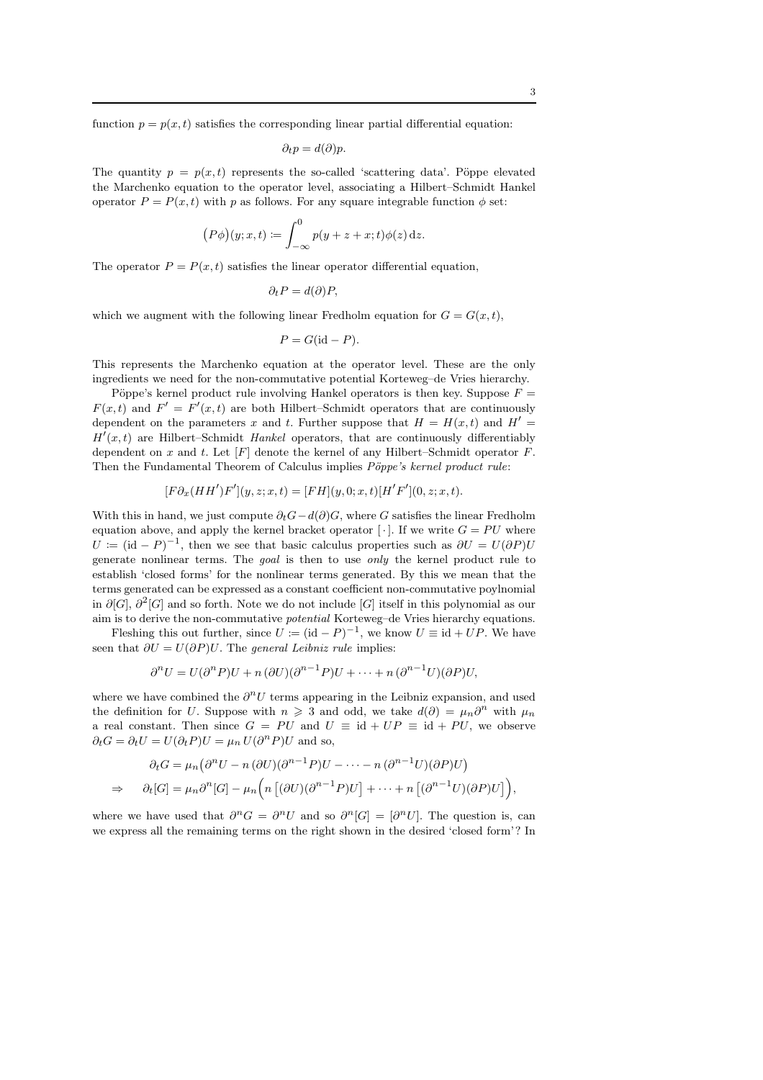function  $p = p(x, t)$  satisfies the corresponding linear partial differential equation:

$$
\partial_t p = d(\partial)p.
$$

The quantity  $p = p(x, t)$  represents the so-called 'scattering data'. Pöppe elevated the Marchenko equation to the operator level, associating a Hilbert–Schmidt Hankel operator  $P = P(x, t)$  with p as follows. For any square integrable function  $\phi$  set:

$$
(P\phi)(y;x,t) \coloneqq \int_{-\infty}^{0} p(y+z+x;t)\phi(z) \,\mathrm{d}z.
$$

The operator  $P = P(x, t)$  satisfies the linear operator differential equation,

$$
\partial_t P = d(\partial) P,
$$

which we augment with the following linear Fredholm equation for  $G = G(x, t)$ ,

$$
P = G(\mathrm{id} - P).
$$

This represents the Marchenko equation at the operator level. These are the only ingredients we need for the non-commutative potential Korteweg–de Vries hierarchy.

Pöppe's kernel product rule involving Hankel operators is then key. Suppose  $F =$  $F(x,t)$  and  $F' = F'(x,t)$  are both Hilbert–Schmidt operators that are continuously dependent on the parameters x and t. Further suppose that  $H = H(x,t)$  and  $H' =$  $H'(x,t)$  are Hilbert–Schmidt Hankel operators, that are continuously differentiably dependent on x and t. Let  $[F]$  denote the kernel of any Hilbert–Schmidt operator  $F$ . Then the Fundamental Theorem of Calculus implies Pöppe's kernel product rule:

$$
[F\partial_x (HH')F'](y, z; x, t) = [FH](y, 0; x, t)[H'F'](0, z; x, t).
$$

With this in hand, we just compute  $\partial_t G - d(\partial)G$ , where G satisfies the linear Fredholm equation above, and apply the kernel bracket operator [ $\cdot$ ]. If we write  $G = PU$  where  $U := (\text{id} - P)^{-1}$ , then we see that basic calculus properties such as  $\partial U = U(\partial P)U$ generate nonlinear terms. The goal is then to use only the kernel product rule to establish 'closed forms' for the nonlinear terms generated. By this we mean that the terms generated can be expressed as a constant coefficient non-commutative poylnomial in  $\partial[G], \partial^2[G]$  and so forth. Note we do not include [G] itself in this polynomial as our aim is to derive the non-commutative potential Korteweg–de Vries hierarchy equations.

Fleshing this out further, since  $U := (\mathrm{id} - P)^{-1}$ , we know  $U \equiv \mathrm{id} + UP$ . We have seen that  $\partial U = U(\partial P)U$ . The general Leibniz rule implies:

$$
\partial^n U = U(\partial^n P)U + n(\partial U)(\partial^{n-1} P)U + \dots + n(\partial^{n-1} U)(\partial P)U,
$$

where we have combined the  $\partial^n U$  terms appearing in the Leibniz expansion, and used the definition for U. Suppose with  $n \geq 3$  and odd, we take  $d(\partial) = \mu_n \partial^n$  with  $\mu_n$ a real constant. Then since  $G = PU$  and  $U \equiv id + UP \equiv id + PU$ , we observe  $\partial_t G = \partial_t U = U(\partial_t P)U = \mu_n U(\partial^n P)U$  and so,

$$
\partial_t G = \mu_n \left( \partial^n U - n \left( \partial U \right) \left( \partial^{n-1} P \right) U - \dots - n \left( \partial^{n-1} U \right) \left( \partial P \right) U \right)
$$
  
\n
$$
\Rightarrow \quad \partial_t [G] = \mu_n \partial^n [G] - \mu_n \left( n \left[ \left( \partial U \right) \left( \partial^{n-1} P \right) U \right] + \dots + n \left[ \left( \partial^{n-1} U \right) \left( \partial P \right) U \right] \right),
$$

where we have used that  $\partial^n G = \partial^n U$  and so  $\partial^n [G] = [\partial^n U]$ . The question is, can we express all the remaining terms on the right shown in the desired 'closed form'? In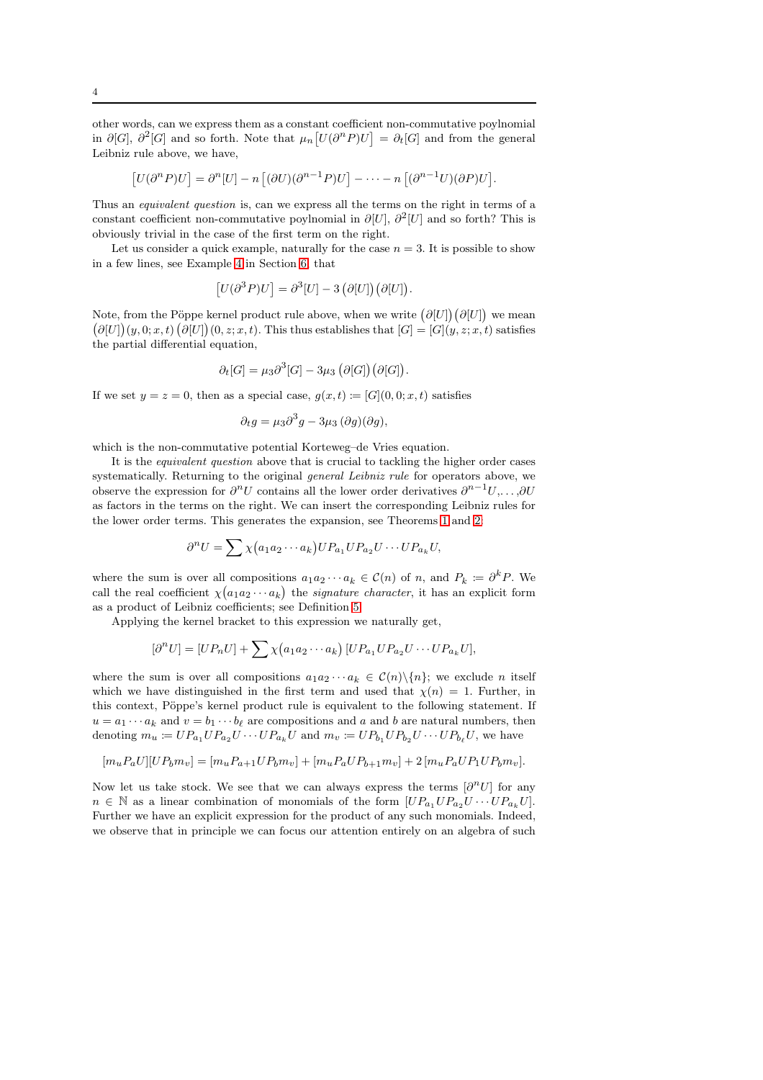other words, can we express them as a constant coefficient non-commutative poylnomial in  $\partial[G], \partial^2[G]$  and so forth. Note that  $\mu_n[U(\partial^n P)U] = \partial_t[G]$  and from the general Leibniz rule above, we have,

$$
[U(\partial^n P)U] = \partial^n [U] - n [(\partial U)(\partial^{n-1} P)U] - \cdots - n [(\partial^{n-1} U)(\partial P)U].
$$

Thus an equivalent question is, can we express all the terms on the right in terms of a constant coefficient non-commutative poylnomial in  $\partial[U], \partial^2[U]$  and so forth? This is obviously trivial in the case of the first term on the right.

Let us consider a quick example, naturally for the case  $n = 3$ . It is possible to show in a few lines, see Example [4](#page-20-0) in Section [6,](#page-20-1) that

$$
[U(\partial^3 P)U] = \partial^3 [U] - 3 \left( \partial [U] \right) \left( \partial [U] \right)
$$

.

Note, from the Pöppe kernel product rule above, when we write  $(\partial [U])(\partial [U])$  we mean  $\partial [U](y,0;x,t)$   $(\partial [U])(0,z;x,t)$ . This thus establishes that  $[G] = [G](y,z;x,t)$  satisfies the partial differential equation,

$$
\partial_t[G] = \mu_3 \partial^3[G] - 3\mu_3 \left( \partial[G] \right) \left( \partial[G] \right).
$$

If we set  $y = z = 0$ , then as a special case,  $g(x, t) \coloneqq [G](0, 0; x, t)$  satisfies

$$
\partial_t g = \mu_3 \partial^3 g - 3\mu_3 (\partial g)(\partial g),
$$

which is the non-commutative potential Korteweg–de Vries equation.

It is the equivalent question above that is crucial to tackling the higher order cases systematically. Returning to the original general Leibniz rule for operators above, we observe the expression for  $\partial^n U$  contains all the lower order derivatives  $\partial^{n-1}U, \ldots, \partial U$ as factors in the terms on the right. We can insert the corresponding Leibniz rules for the lower order terms. This generates the expansion, see Theorems [1](#page-8-0) and [2:](#page-11-0)

$$
\partial^n U = \sum \chi (a_1 a_2 \cdots a_k) U P_{a_1} U P_{a_2} U \cdots U P_{a_k} U,
$$

where the sum is over all compositions  $a_1a_2\cdots a_k \in \mathcal{C}(n)$  of n, and  $P_k := \partial^k P$ . We call the real coefficient  $\chi(a_1a_2\cdots a_k)$  the signature character, it has an explicit form as a product of Leibniz coefficients; see Definition [5.](#page-11-1)

Applying the kernel bracket to this expression we naturally get,

$$
[\partial^n U] = [UP_n U] + \sum \chi (a_1 a_2 \cdots a_k) [UP_{a_1} UP_{a_2} U \cdots UP_{a_k} U],
$$

where the sum is over all compositions  $a_1a_2\cdots a_k \in C(n)\setminus\{n\}$ ; we exclude *n* itself which we have distinguished in the first term and used that  $\chi(n) = 1$ . Further, in this context, Pöppe's kernel product rule is equivalent to the following statement. If  $u = a_1 \cdots a_k$  and  $v = b_1 \cdots b_\ell$  are compositions and a and b are natural numbers, then denoting  $m_u \coloneqq UP_{a_1}UP_{a_2}U \cdots UP_{a_k}U$  and  $m_v \coloneqq UP_{b_1}UP_{b_2}U \cdots UP_{b_\ell}U$ , we have

$$
[m_uP_aU][UP_bm_v]=[m_uP_{a+1}UP_bm_v]+[m_uP_aUP_{b+1}m_v]+2\,[m_uP_aUP_1UP_bm_v].
$$

Now let us take stock. We see that we can always express the terms  $[\partial^n U]$  for any  $n \in \mathbb{N}$  as a linear combination of monomials of the form  $[UP_{a_1}UP_{a_2}U\cdots UP_{a_k}U].$ Further we have an explicit expression for the product of any such monomials. Indeed, we observe that in principle we can focus our attention entirely on an algebra of such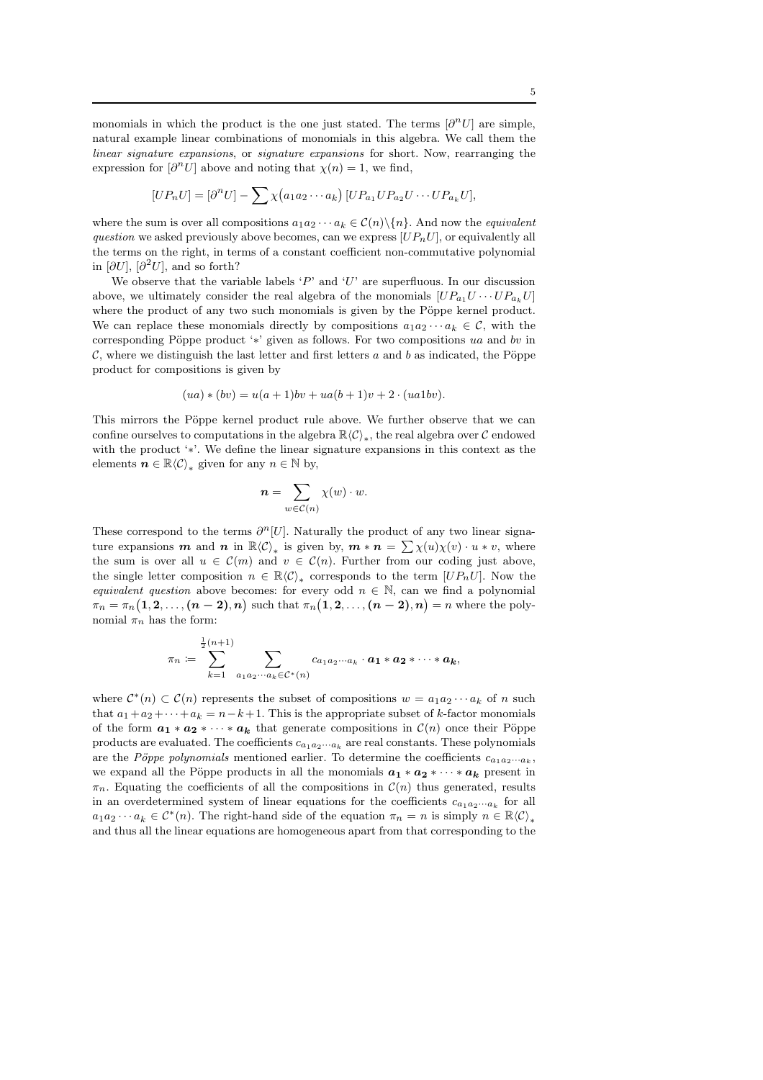monomials in which the product is the one just stated. The terms  $[\partial^n U]$  are simple, natural example linear combinations of monomials in this algebra. We call them the linear signature expansions, or signature expansions for short. Now, rearranging the expression for  $[\partial^n U]$  above and noting that  $\chi(n) = 1$ , we find,

$$
[UP_nU] = [\partial^n U] - \sum \chi (a_1 a_2 \cdots a_k) [UP_{a_1} UP_{a_2} U \cdots U_{a_k} U],
$$

where the sum is over all compositions  $a_1a_2\cdots a_k \in \mathcal{C}(n)\setminus\{n\}$ . And now the *equivalent* question we asked previously above becomes, can we express  $[UP_nU]$ , or equivalently all the terms on the right, in terms of a constant coefficient non-commutative polynomial in  $[\partial U]$ ,  $[\partial^2 U]$ , and so forth?

We observe that the variable labels  $\langle P \rangle$  and  $\langle U \rangle$  are superfluous. In our discussion above, we ultimately consider the real algebra of the monomials  $[UP_{a_1}U \cdots UP_{a_k}U]$ where the product of any two such monomials is given by the Pöppe kernel product. We can replace these monomials directly by compositions  $a_1a_2\cdots a_k \in \mathcal{C}$ , with the corresponding Pöppe product ' $*$ ' given as follows. For two compositions ua and by in C, where we distinguish the last letter and first letters a and b as indicated, the Pöppe product for compositions is given by

$$
(ua) * (bv) = u(a+1)bv + ua(b+1)v + 2 \cdot (ua1bv).
$$

This mirrors the Pöppe kernel product rule above. We further observe that we can confine ourselves to computations in the algebra  $\mathbb{R}\langle\mathcal{C}\rangle_*$ , the real algebra over  $\mathcal C$  endowed with the product '∗'. We define the linear signature expansions in this context as the elements  $n \in \mathbb{R}\langle C \rangle_*$  given for any  $n \in \mathbb{N}$  by,

$$
n = \sum_{w \in \mathcal{C}(n)} \chi(w) \cdot w.
$$

These correspond to the terms  $\partial^{n}[U]$ . Naturally the product of any two linear signature expansions  $m$  and  $n$  in  $\mathbb{R}\langle\mathcal{C}\rangle_*$  is given by,  $m * n = \sum \chi(u)\chi(v) \cdot u * v$ , where the sum is over all  $u \in \mathcal{C}(m)$  and  $v \in \mathcal{C}(n)$ . Further from our coding just above, the single letter composition  $n \in \mathbb{R}\langle \mathcal{C} \rangle_*$  corresponds to the term  $[UP_nU]$ . Now the equivalent question above becomes: for every odd  $n \in \mathbb{N}$ , can we find a polynomial  $\pi_n = \pi_n\big(1,2,\ldots,(n-2),n\big)$  such that  $\pi_n\big(1,2,\ldots,(n-2),n\big) = n$  where the polynomial  $\pi_n$  has the form:

$$
\pi_n\coloneqq\sum_{k=1}^{\frac{1}{2}(n+1)}\sum_{a_1a_2\cdots a_k\in\mathcal{C}^*(n)}c_{a_1a_2\cdots a_k}\cdot a_1*a_2*\cdots*a_k,
$$

where  $C^*(n) \subset C(n)$  represents the subset of compositions  $w = a_1 a_2 \cdots a_k$  of n such that  $a_1 + a_2 + \cdots + a_k = n-k+1$ . This is the appropriate subset of k-factor monomials of the form  $a_1 * a_2 * \cdots * a_k$  that generate compositions in  $\mathcal{C}(n)$  once their Pöppe products are evaluated. The coefficients  $c_{a_1a_2\cdots a_k}$  are real constants. These polynomials are the Pöppe polynomials mentioned earlier. To determine the coefficients  $c_{a_1a_2\cdots a_k}$ , we expand all the Pöppe products in all the monomials  $a_1 * a_2 * \cdots * a_k$  present in  $\pi_n$ . Equating the coefficients of all the compositions in  $\mathcal{C}(n)$  thus generated, results in an overdetermined system of linear equations for the coefficients  $c_{a_1a_2\cdots a_k}$  for all  $a_1 a_2 \cdots a_k \in C^*(n)$ . The right-hand side of the equation  $\pi_n = n$  is simply  $n \in \mathbb{R}\langle C \rangle_*$ and thus all the linear equations are homogeneous apart from that corresponding to the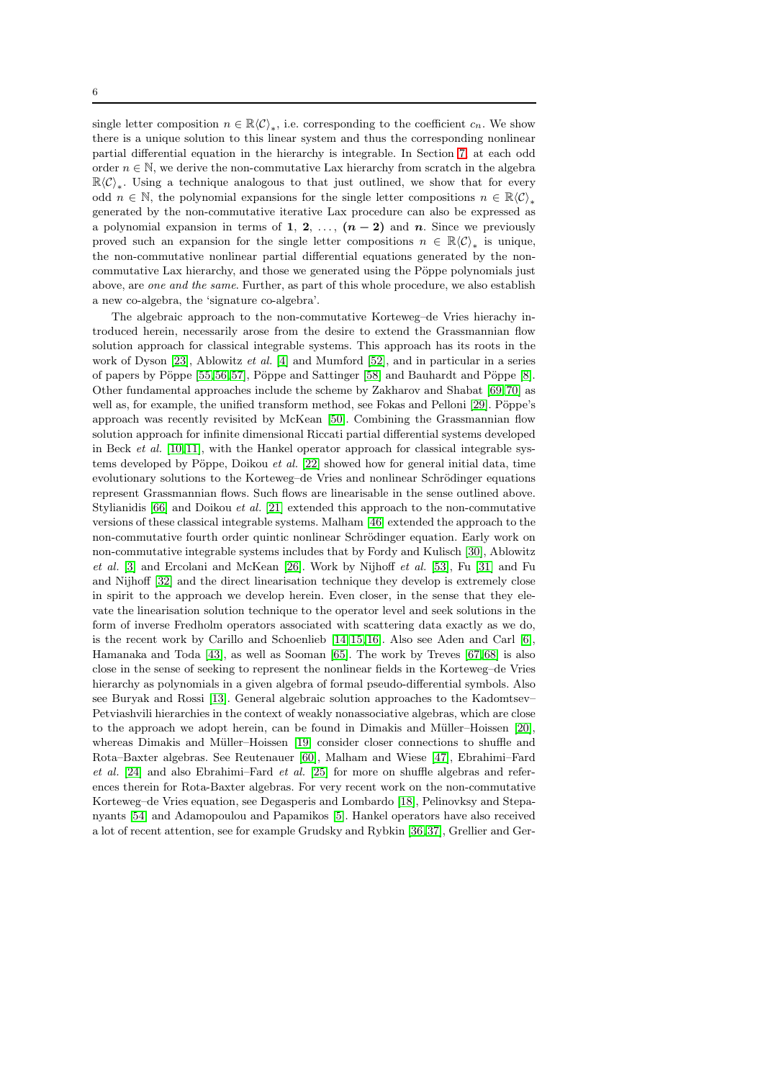single letter composition  $n \in \mathbb{R}\langle \mathcal{C} \rangle_*$ , i.e. corresponding to the coefficient  $c_n$ . We show there is a unique solution to this linear system and thus the corresponding nonlinear partial differential equation in the hierarchy is integrable. In Section [7,](#page-30-0) at each odd order  $n \in \mathbb{N}$ , we derive the non-commutative Lax hierarchy from scratch in the algebra  $\mathbb{R}\langle \mathcal{C}\rangle_*$ . Using a technique analogous to that just outlined, we show that for every odd  $n \in \mathbb{N}$ , the polynomial expansions for the single letter compositions  $n \in \mathbb{R}\langle C \rangle$ . generated by the non-commutative iterative Lax procedure can also be expressed as a polynomial expansion in terms of 1, 2, ...,  $(n-2)$  and n. Since we previously proved such an expansion for the single letter compositions  $n \in \mathbb{R}\langle \mathcal{C} \rangle_*$  is unique, the non-commutative nonlinear partial differential equations generated by the noncommutative Lax hierarchy, and those we generated using the Pöppe polynomials just above, are one and the same. Further, as part of this whole procedure, we also establish a new co-algebra, the 'signature co-algebra'.

The algebraic approach to the non-commutative Korteweg–de Vries hierachy introduced herein, necessarily arose from the desire to extend the Grassmannian flow solution approach for classical integrable systems. This approach has its roots in the work of Dyson [\[23\]](#page-37-3), Ablowitz et al. [\[4\]](#page-36-0) and Mumford [\[52\]](#page-38-5), and in particular in a series of papers by Pöppe  $[55, 56, 57]$  $[55, 56, 57]$  $[55, 56, 57]$ , Pöppe and Sattinger  $[58]$  and Bauhardt and Pöppe  $[8]$ . Other fundamental approaches include the scheme by Zakharov and Shabat [\[69,](#page-39-0) [70\]](#page-39-1) as well as, for example, the unified transform method, see Fokas and Pelloni [\[29\]](#page-37-4). Pöppe's approach was recently revisited by McKean [\[50\]](#page-38-6). Combining the Grassmannian flow solution approach for infinite dimensional Riccati partial differential systems developed in Beck *et al.* [\[10,](#page-37-5)11], with the Hankel operator approach for classical integrable systems developed by Pöppe, Doikou et al.  $[22]$  showed how for general initial data, time evolutionary solutions to the Korteweg–de Vries and nonlinear Schrödinger equations represent Grassmannian flows. Such flows are linearisable in the sense outlined above. Stylianidis [\[66\]](#page-39-2) and Doikou et al. [\[21\]](#page-37-2) extended this approach to the non-commutative versions of these classical integrable systems. Malham [\[46\]](#page-38-4) extended the approach to the non-commutative fourth order quintic nonlinear Schrödinger equation. Early work on non-commutative integrable systems includes that by Fordy and Kulisch [\[30\]](#page-37-7), Ablowitz et al. [\[3\]](#page-36-1) and Ercolani and McKean [\[26\]](#page-37-8). Work by Nijhoff et al. [\[53\]](#page-38-7), Fu [\[31\]](#page-37-9) and Fu and Nijhoff [\[32\]](#page-37-10) and the direct linearisation technique they develop is extremely close in spirit to the approach we develop herein. Even closer, in the sense that they elevate the linearisation solution technique to the operator level and seek solutions in the form of inverse Fredholm operators associated with scattering data exactly as we do, is the recent work by Carillo and Schoenlieb [\[14,](#page-37-11) [15,](#page-37-12) [16\]](#page-37-13). Also see Aden and Carl [\[6\]](#page-37-14), Hamanaka and Toda [\[43\]](#page-38-8), as well as Sooman [\[65\]](#page-39-3). The work by Treves [\[67,](#page-39-4) [68\]](#page-39-5) is also close in the sense of seeking to represent the nonlinear fields in the Korteweg–de Vries hierarchy as polynomials in a given algebra of formal pseudo-differential symbols. Also see Buryak and Rossi [\[13\]](#page-37-15). General algebraic solution approaches to the Kadomtsev– Petviashvili hierarchies in the context of weakly nonassociative algebras, which are close to the approach we adopt herein, can be found in Dimakis and Müller–Hoissen [\[20\]](#page-37-16), whereas Dimakis and Müller–Hoissen [\[19\]](#page-37-17) consider closer connections to shuffle and Rota–Baxter algebras. See Reutenauer [\[60\]](#page-38-9), Malham and Wiese [\[47\]](#page-38-10), Ebrahimi–Fard et al.  $[24]$  and also Ebrahimi–Fard et al.  $[25]$  for more on shuffle algebras and references therein for Rota-Baxter algebras. For very recent work on the non-commutative Korteweg–de Vries equation, see Degasperis and Lombardo [\[18\]](#page-37-20), Pelinovksy and Stepanyants [\[54\]](#page-38-11) and Adamopoulou and Papamikos [\[5\]](#page-37-21). Hankel operators have also received a lot of recent attention, see for example Grudsky and Rybkin [\[36,](#page-38-12) [37\]](#page-38-13), Grellier and Ger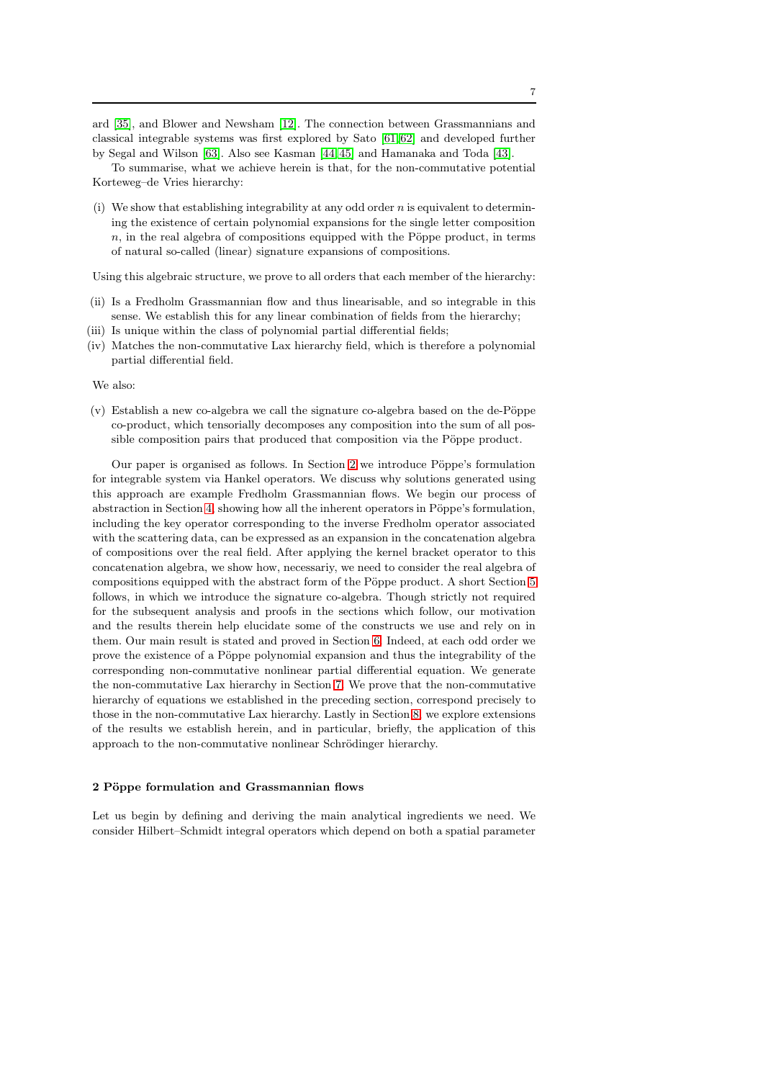ard [\[35\]](#page-38-14), and Blower and Newsham [\[12\]](#page-37-22). The connection between Grassmannians and classical integrable systems was first explored by Sato [\[61,](#page-38-15)[62\]](#page-38-16) and developed further by Segal and Wilson [\[63\]](#page-38-17). Also see Kasman [\[44,](#page-38-18) [45\]](#page-38-19) and Hamanaka and Toda [\[43\]](#page-38-8).

To summarise, what we achieve herein is that, for the non-commutative potential Korteweg–de Vries hierarchy:

(i) We show that establishing integrability at any odd order  $n$  is equivalent to determining the existence of certain polynomial expansions for the single letter composition  $n$ , in the real algebra of compositions equipped with the Pöppe product, in terms of natural so-called (linear) signature expansions of compositions.

Using this algebraic structure, we prove to all orders that each member of the hierarchy:

- (ii) Is a Fredholm Grassmannian flow and thus linearisable, and so integrable in this sense. We establish this for any linear combination of fields from the hierarchy;
- (iii) Is unique within the class of polynomial partial differential fields;
- (iv) Matches the non-commutative Lax hierarchy field, which is therefore a polynomial partial differential field.

We also:

 $(v)$  Establish a new co-algebra we call the signature co-algebra based on the de-Pöppe co-product, which tensorially decomposes any composition into the sum of all possible composition pairs that produced that composition via the Pöppe product.

Our paper is organised as follows. In Section [2](#page-6-0) we introduce Pöppe's formulation for integrable system via Hankel operators. We discuss why solutions generated using this approach are example Fredholm Grassmannian flows. We begin our process of abstraction in Section [4,](#page-13-0) showing how all the inherent operators in Pöppe's formulation, including the key operator corresponding to the inverse Fredholm operator associated with the scattering data, can be expressed as an expansion in the concatenation algebra of compositions over the real field. After applying the kernel bracket operator to this concatenation algebra, we show how, necessariy, we need to consider the real algebra of compositions equipped with the abstract form of the Pöppe product. A short Section [5](#page-16-0) follows, in which we introduce the signature co-algebra. Though strictly not required for the subsequent analysis and proofs in the sections which follow, our motivation and the results therein help elucidate some of the constructs we use and rely on in them. Our main result is stated and proved in Section [6.](#page-20-1) Indeed, at each odd order we prove the existence of a Pöppe polynomial expansion and thus the integrability of the corresponding non-commutative nonlinear partial differential equation. We generate the non-commutative Lax hierarchy in Section [7.](#page-30-0) We prove that the non-commutative hierarchy of equations we established in the preceding section, correspond precisely to those in the non-commutative Lax hierarchy. Lastly in Section [8,](#page-35-0) we explore extensions of the results we establish herein, and in particular, briefly, the application of this approach to the non-commutative nonlinear Schrödinger hierarchy.

#### <span id="page-6-0"></span>2 Pöppe formulation and Grassmannian flows

Let us begin by defining and deriving the main analytical ingredients we need. We consider Hilbert–Schmidt integral operators which depend on both a spatial parameter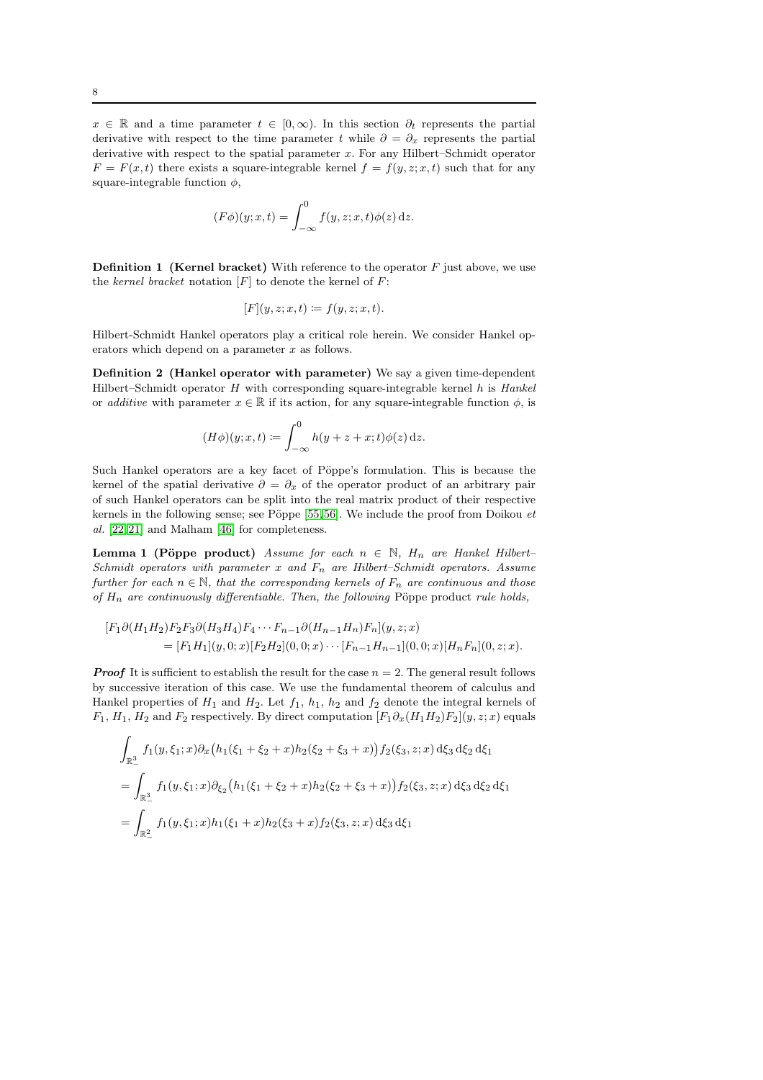$x \in \mathbb{R}$  and a time parameter  $t \in [0,\infty)$ . In this section  $\partial_t$  represents the partial derivative with respect to the time parameter t while  $\partial = \partial_x$  represents the partial derivative with respect to the spatial parameter x. For any Hilbert–Schmidt operator  $F = F(x, t)$  there exists a square-integrable kernel  $f = f(y, z; x, t)$  such that for any square-integrable function  $\phi$ ,

$$
(F\phi)(y;x,t) = \int_{-\infty}^{0} f(y,z;x,t)\phi(z) dz.
$$

**Definition 1 (Kernel bracket)** With reference to the operator  $F$  just above, we use the kernel bracket notation  $[F]$  to denote the kernel of  $F$ :

$$
[F](y, z; x, t) \coloneqq f(y, z; x, t).
$$

Hilbert-Schmidt Hankel operators play a critical role herein. We consider Hankel operators which depend on a parameter  $x$  as follows.

Definition 2 (Hankel operator with parameter) We say a given time-dependent Hilbert–Schmidt operator  $H$  with corresponding square-integrable kernel h is Hankel or additive with parameter  $x \in \mathbb{R}$  if its action, for any square-integrable function  $\phi$ , is

<span id="page-7-0"></span>
$$
(H\phi)(y;x,t) \coloneqq \int_{-\infty}^{0} h(y+z+x;t)\phi(z) \,\mathrm{d}z.
$$

Such Hankel operators are a key facet of Pöppe's formulation. This is because the kernel of the spatial derivative  $\partial = \partial_x$  of the operator product of an arbitrary pair of such Hankel operators can be split into the real matrix product of their respective kernels in the following sense; see Pöppe  $[55, 56]$  $[55, 56]$ . We include the proof from Doikou et al. [\[22,](#page-37-1) [21\]](#page-37-2) and Malham [\[46\]](#page-38-4) for completeness.

Lemma 1 (Pöppe product) Assume for each  $n \in \mathbb{N}$ ,  $H_n$  are Hankel Hilbert– Schmidt operators with parameter x and  $F_n$  are Hilbert–Schmidt operators. Assume further for each  $n \in \mathbb{N}$ , that the corresponding kernels of  $F_n$  are continuous and those of  $H_n$  are continuously differentiable. Then, the following Pöppe product rule holds,

$$
[F_1 \partial (H_1 H_2) F_2 F_3 \partial (H_3 H_4) F_4 \cdots F_{n-1} \partial (H_{n-1} H_n) F_n](y, z; x)
$$
  
= 
$$
[F_1 H_1](y, 0; x)[F_2 H_2](0, 0; x) \cdots [F_{n-1} H_{n-1}](0, 0; x)[H_n F_n](0, z; x).
$$

**Proof** It is sufficient to establish the result for the case  $n = 2$ . The general result follows by successive iteration of this case. We use the fundamental theorem of calculus and Hankel properties of  $H_1$  and  $H_2$ . Let  $f_1$ ,  $h_1$ ,  $h_2$  and  $f_2$  denote the integral kernels of  $F_1, H_1, H_2$  and  $F_2$  respectively. By direct computation  $[F_1 \partial_x (H_1 H_2) F_2](y, z; x)$  equals

$$
\int_{\mathbb{R}^3_-} f_1(y,\xi_1;x)\partial_x \left(h_1(\xi_1+\xi_2+x)h_2(\xi_2+\xi_3+x)\right) f_2(\xi_3,z;x) d\xi_3 d\xi_2 d\xi_1
$$
\n
$$
= \int_{\mathbb{R}^3_-} f_1(y,\xi_1;x)\partial_{\xi_2} \left(h_1(\xi_1+\xi_2+x)h_2(\xi_2+\xi_3+x)\right) f_2(\xi_3,z;x) d\xi_3 d\xi_2 d\xi_1
$$
\n
$$
= \int_{\mathbb{R}^2_-} f_1(y,\xi_1;x)h_1(\xi_1+x)h_2(\xi_3+x) f_2(\xi_3,z;x) d\xi_3 d\xi_1
$$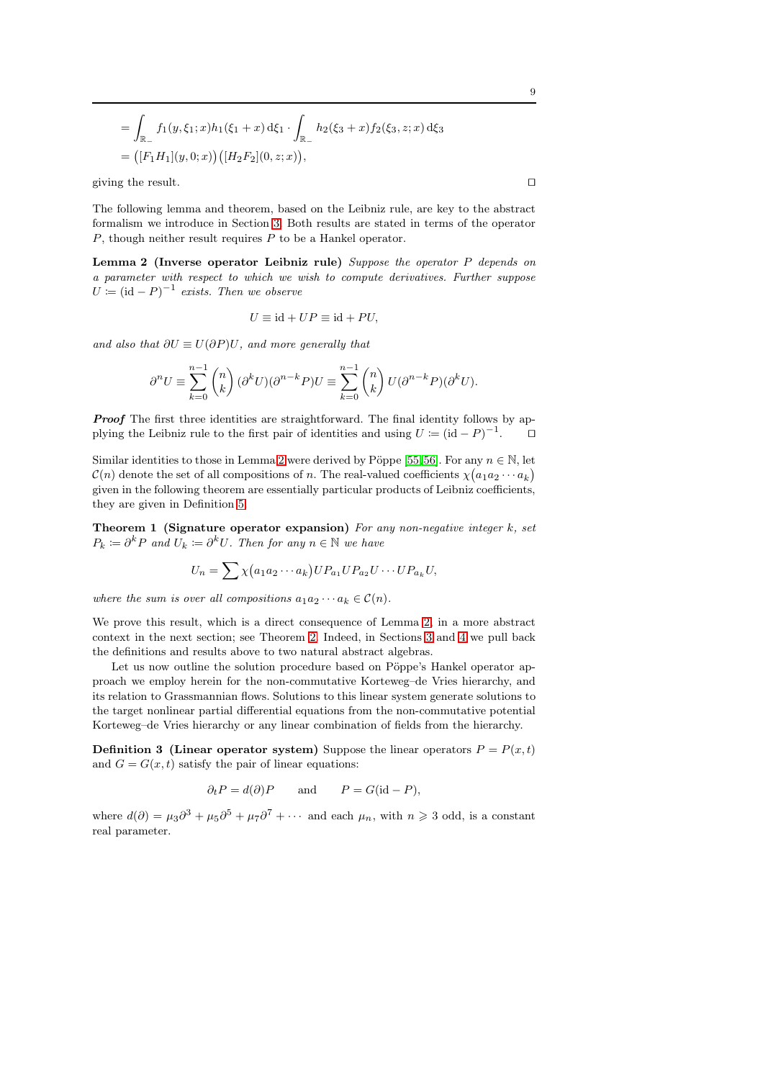$$
= \int_{\mathbb{R}_-} f_1(y,\xi_1;x)h_1(\xi_1+x) d\xi_1 \cdot \int_{\mathbb{R}_-} h_2(\xi_3+x) f_2(\xi_3,z;x) d\xi_3
$$
  
= ([F<sub>1</sub>H<sub>1</sub>](y,0;x)) ([H<sub>2</sub>F<sub>2</sub>](0,z;x)),

giving the result. □

The following lemma and theorem, based on the Leibniz rule, are key to the abstract formalism we introduce in Section [3.](#page-11-2) Both results are stated in terms of the operator  $P$ , though neither result requires  $P$  to be a Hankel operator.

Lemma 2 (Inverse operator Leibniz rule) Suppose the operator P depends on a parameter with respect to which we wish to compute derivatives. Further suppose  $U := (\mathrm{id} - P)^{-1}$  exists. Then we observe

<span id="page-8-1"></span>
$$
U \equiv \mathrm{id} + UP \equiv \mathrm{id} + PU,
$$

and also that  $\partial U \equiv U(\partial P)U$ , and more generally that

$$
\partial^n U \equiv \sum_{k=0}^{n-1} {n \choose k} (\partial^k U)(\partial^{n-k} P) U \equiv \sum_{k=0}^{n-1} {n \choose k} U(\partial^{n-k} P)(\partial^k U).
$$

Proof The first three identities are straightforward. The final identity follows by applying the Leibniz rule to the first pair of identities and using  $U \coloneqq (\mathrm{id} - P)^{-1}$  $□$ 

Similar identities to those in Lemma [2](#page-8-1) were derived by Pöppe [\[55,](#page-38-0) [56\]](#page-38-1). For any  $n \in \mathbb{N}$ , let  $\mathcal{C}(n)$  denote the set of all compositions of n. The real-valued coefficients  $\chi\big(a_1a_2\cdots a_k\big)$ given in the following theorem are essentially particular products of Leibniz coefficients, they are given in Definition [5.](#page-11-1)

Theorem 1 (Signature operator expansion) For any non-negative integer  $k$ , set  $P_k \coloneqq \partial^k P$  and  $U_k \coloneqq \partial^k U$ . Then for any  $n \in \mathbb{N}$  we have

<span id="page-8-0"></span>
$$
U_n = \sum \chi(a_1 a_2 \cdots a_k) U P_{a_1} U P_{a_2} U \cdots U P_{a_k} U,
$$

where the sum is over all compositions  $a_1 a_2 \cdots a_k \in \mathcal{C}(n)$ .

We prove this result, which is a direct consequence of Lemma [2,](#page-8-1) in a more abstract context in the next section; see Theorem [2.](#page-11-0) Indeed, in Sections [3](#page-11-2) and [4](#page-13-0) we pull back the definitions and results above to two natural abstract algebras.

Let us now outline the solution procedure based on Pöppe's Hankel operator approach we employ herein for the non-commutative Korteweg–de Vries hierarchy, and its relation to Grassmannian flows. Solutions to this linear system generate solutions to the target nonlinear partial differential equations from the non-commutative potential Korteweg–de Vries hierarchy or any linear combination of fields from the hierarchy.

**Definition 3 (Linear operator system)** Suppose the linear operators  $P = P(x,t)$ and  $G = G(x, t)$  satisfy the pair of linear equations:

<span id="page-8-2"></span>
$$
\partial_t P = d(\partial)P
$$
 and  $P = G(\text{id} - P)$ ,

where  $d(\partial) = \mu_3 \partial^3 + \mu_5 \partial^5 + \mu_7 \partial^7 + \cdots$  and each  $\mu_n$ , with  $n \geq 3$  odd, is a constant real parameter.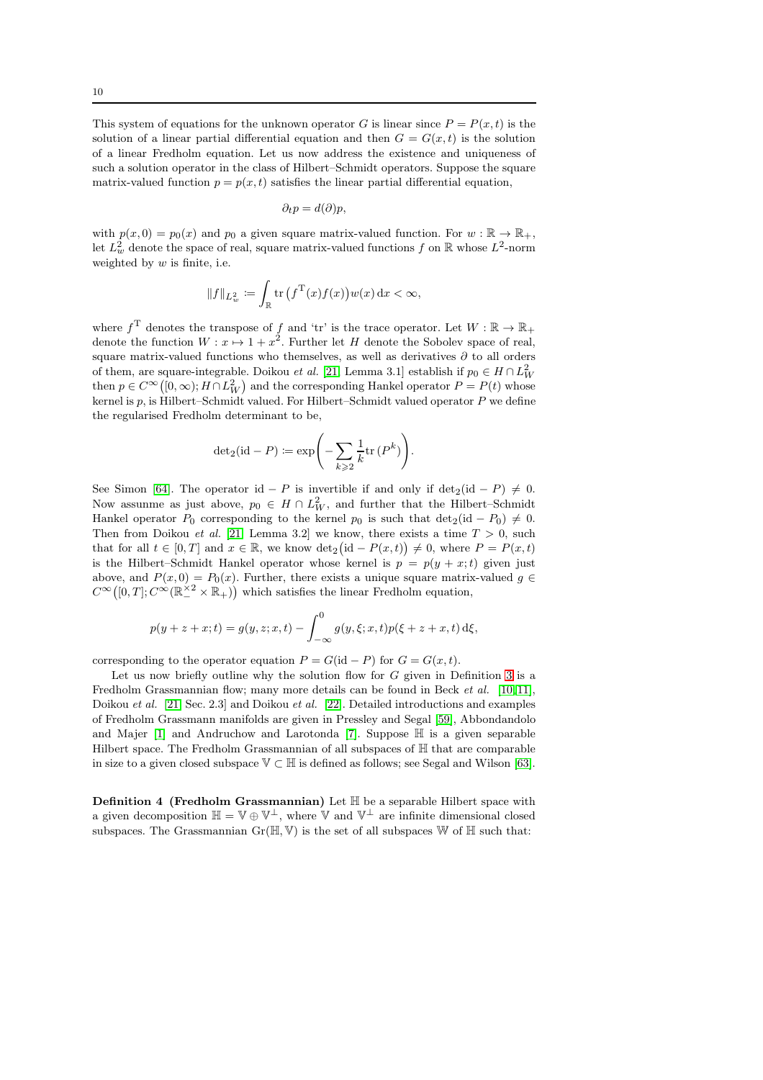This system of equations for the unknown operator G is linear since  $P = P(x, t)$  is the solution of a linear partial differential equation and then  $G = G(x, t)$  is the solution of a linear Fredholm equation. Let us now address the existence and uniqueness of such a solution operator in the class of Hilbert–Schmidt operators. Suppose the square matrix-valued function  $p = p(x, t)$  satisfies the linear partial differential equation,

$$
\partial_t p = d(\partial)p,
$$

with  $p(x, 0) = p_0(x)$  and  $p_0$  a given square matrix-valued function. For  $w : \mathbb{R} \to \mathbb{R}_+$ , let  $L^2_w$  denote the space of real, square matrix-valued functions f on  $\mathbb R$  whose  $L^2$ -norm weighted by  $w$  is finite, i.e.

$$
||f||_{L^2_w} := \int_{\mathbb{R}} \text{tr}\left(f^{\mathcal{T}}(x)f(x)\right)w(x)\,\mathrm{d}x < \infty,
$$

where  $f^{\mathrm{T}}$  denotes the transpose of f and 'tr' is the trace operator. Let  $W : \mathbb{R} \to \mathbb{R}_+$ denote the function  $W: x \mapsto 1 + x^2$ . Further let H denote the Sobolev space of real, square matrix-valued functions who themselves, as well as derivatives  $\partial$  to all orders of them, are square-integrable. Doikou *et al.* [\[21,](#page-37-2) Lemma 3.1] establish if  $p_0 \in H \cap L^2_W$ then  $p \in C^{\infty}([0,\infty); H \cap L^2_W)$  and the corresponding Hankel operator  $P = P(t)$  whose kernel is  $p$ , is Hilbert–Schmidt valued. For Hilbert–Schmidt valued operator  $P$  we define the regularised Fredholm determinant to be,

$$
\det_2(\mathrm{id} - P) \coloneqq \exp\left(-\sum_{k\geqslant 2}\frac{1}{k}\mathrm{tr}\left(P^k\right)\right).
$$

See Simon [\[64\]](#page-39-6). The operator id – P is invertible if and only if  $det_2(id - P) \neq 0$ . Now assunme as just above,  $p_0 \in H \cap L_W^2$ , and further that the Hilbert–Schmidt Hankel operator  $P_0$  corresponding to the kernel  $p_0$  is such that  $\det_2(\mathrm{id} - P_0) \neq 0$ . Then from Doikou et al. [\[21,](#page-37-2) Lemma 3.2] we know, there exists a time  $T > 0$ , such that for all  $t \in [0, T]$  and  $x \in \mathbb{R}$ , we know  $\det_2(\mathrm{id} - P(x, t)) \neq 0$ , where  $P = P(x, t)$ is the Hilbert–Schmidt Hankel operator whose kernel is  $p = p(y + x; t)$  given just above, and  $P(x, 0) = P_0(x)$ . Further, there exists a unique square matrix-valued  $g \in$  $C^{\infty}([0,T];C^{\infty}(\mathbb{R}^{\times 2}_-\times\mathbb{R}_+))$  which satisfies the linear Fredholm equation,

$$
p(y + z + x; t) = g(y, z; x, t) - \int_{-\infty}^{0} g(y, \xi; x, t) p(\xi + z + x, t) d\xi,
$$

corresponding to the operator equation  $P = G(\mathrm{id} - P)$  for  $G = G(x, t)$ .

Let us now briefly outline why the solution flow for  $G$  given in Definition [3](#page-8-2) is a Fredholm Grassmannian flow; many more details can be found in Beck *et al.* [\[10,](#page-37-5)11], Doikou et al. [\[21,](#page-37-2) Sec. 2.3] and Doikou et al. [\[22\]](#page-37-1). Detailed introductions and examples of Fredholm Grassmann manifolds are given in Pressley and Segal [\[59\]](#page-38-20), Abbondandolo and Majer [\[1\]](#page-36-2) and Andruchow and Larotonda [\[7\]](#page-37-23). Suppose  $\mathbb H$  is a given separable Hilbert space. The Fredholm Grassmannian of all subspaces of  $\mathbb H$  that are comparable in size to a given closed subspace  $\mathbb{V} \subset \mathbb{H}$  is defined as follows; see Segal and Wilson [\[63\]](#page-38-17).

Definition 4 (Fredholm Grassmannian) Let H be a separable Hilbert space with a given decomposition  $\mathbb{H} = \mathbb{V} \oplus \mathbb{V}^{\perp}$ , where  $\mathbb{V}$  and  $\mathbb{V}^{\perp}$  are infinite dimensional closed subspaces. The Grassmannian  $Gr(\mathbb{H}, V)$  is the set of all subspaces W of  $\mathbb H$  such that: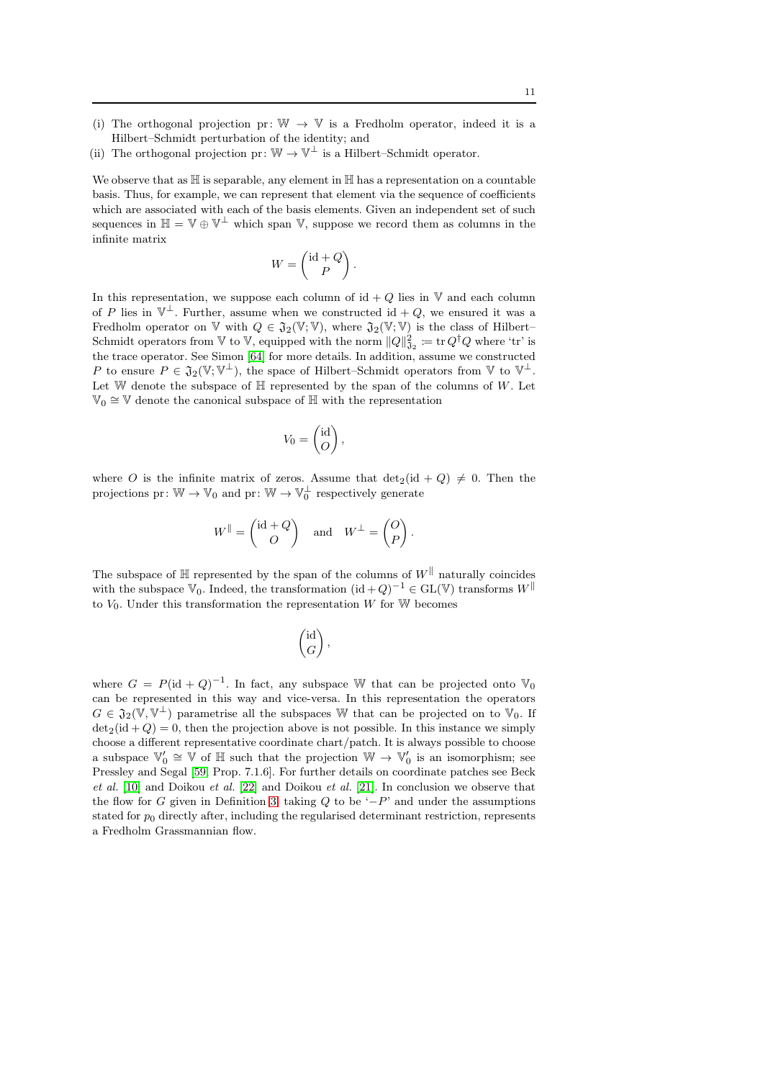- (i) The orthogonal projection pr:  $\mathbb{W} \to \mathbb{V}$  is a Fredholm operator, indeed it is a Hilbert–Schmidt perturbation of the identity; and
- (ii) The orthogonal projection pr:  $\mathbb{W} \to \mathbb{V}^{\perp}$  is a Hilbert–Schmidt operator.

We observe that as  $\mathbb H$  is separable, any element in  $\mathbb H$  has a representation on a countable basis. Thus, for example, we can represent that element via the sequence of coefficients which are associated with each of the basis elements. Given an independent set of such sequences in  $\mathbb{H} = \mathbb{V} \oplus \mathbb{V}^{\perp}$  which span  $\mathbb{V}$ , suppose we record them as columns in the infinite matrix

$$
W = \begin{pmatrix} \mathrm{id} + Q \\ P \end{pmatrix}.
$$

In this representation, we suppose each column of  $id + Q$  lies in V and each column of P lies in  $\mathbb{V}^{\perp}$ . Further, assume when we constructed id  $+$  Q, we ensured it was a Fredholm operator on V with  $Q \in \mathfrak{J}_2(\mathbb{V}; \mathbb{V})$ , where  $\mathfrak{J}_2(\mathbb{V}; \mathbb{V})$  is the class of Hilbert– Schmidt operators from V to V, equipped with the norm  $||Q||_{\mathfrak{J}_2}^2 := \text{tr } Q^{\dagger}Q$  where 'tr' is the trace operator. See Simon [\[64\]](#page-39-6) for more details. In addition, assume we constructed P to ensure  $P \in \mathfrak{J}_2(\mathbb{V}; \mathbb{V}^{\perp})$ , the space of Hilbert–Schmidt operators from  $\mathbb{V}$  to  $\mathbb{V}^{\perp}$ . Let  $W$  denote the subspace of  $H$  represented by the span of the columns of  $W$ . Let  $\mathbb{V}_0 \cong \mathbb{V}$  denote the canonical subspace of  $\mathbb{H}$  with the representation

$$
V_0 = \begin{pmatrix} \mathrm{id} \\ O \end{pmatrix}
$$

,

where O is the infinite matrix of zeros. Assume that  $det_2(id + Q) \neq 0$ . Then the projections  $\text{pr}: \mathbb{W} \to \mathbb{V}_0$  and  $\text{pr}: \mathbb{W} \to \mathbb{V}_0^{\perp}$  respectively generate

$$
W^{\parallel} = \begin{pmatrix} \mathrm{id} + Q \\ O \end{pmatrix} \quad \text{and} \quad W^{\perp} = \begin{pmatrix} O \\ P \end{pmatrix}.
$$

The subspace of  $\mathbb H$  represented by the span of the columns of  $W^{\parallel}$  naturally coincides with the subspace  $\mathbb{V}_0$ . Indeed, the transformation  $(\mathrm{id} + Q)^{-1} \in \mathrm{GL}(\mathbb{V})$  transforms  $W^{\parallel}$ to  $V_0$ . Under this transformation the representation W for W becomes

$$
\begin{pmatrix} \mathrm{id} \\ G \end{pmatrix},
$$

where  $G = P(\mathrm{id} + Q)^{-1}$ . In fact, any subspace W that can be projected onto  $\mathbb{V}_0$ can be represented in this way and vice-versa. In this representation the operators  $G \in \mathfrak{J}_2(\mathbb{V}, \mathbb{V}^{\perp})$  parametrise all the subspaces W that can be projected on to  $\mathbb{V}_0$ . If  $det_2(id + Q) = 0$ , then the projection above is not possible. In this instance we simply choose a different representative coordinate chart/patch. It is always possible to choose a subspace  $\mathbb{V}'_0 \cong \mathbb{V}$  of  $\mathbb{H}$  such that the projection  $\mathbb{W} \to \mathbb{V}'_0$  is an isomorphism; see Pressley and Segal [\[59,](#page-38-20) Prop. 7.1.6]. For further details on coordinate patches see Beck et al. [\[10\]](#page-37-5) and Doikou et al. [\[22\]](#page-37-1) and Doikou et al. [\[21\]](#page-37-2). In conclusion we observe that the flow for G given in Definition [3,](#page-8-2) taking Q to be  $\prime-P'$  and under the assumptions stated for  $p_0$  directly after, including the regularised determinant restriction, represents a Fredholm Grassmannian flow.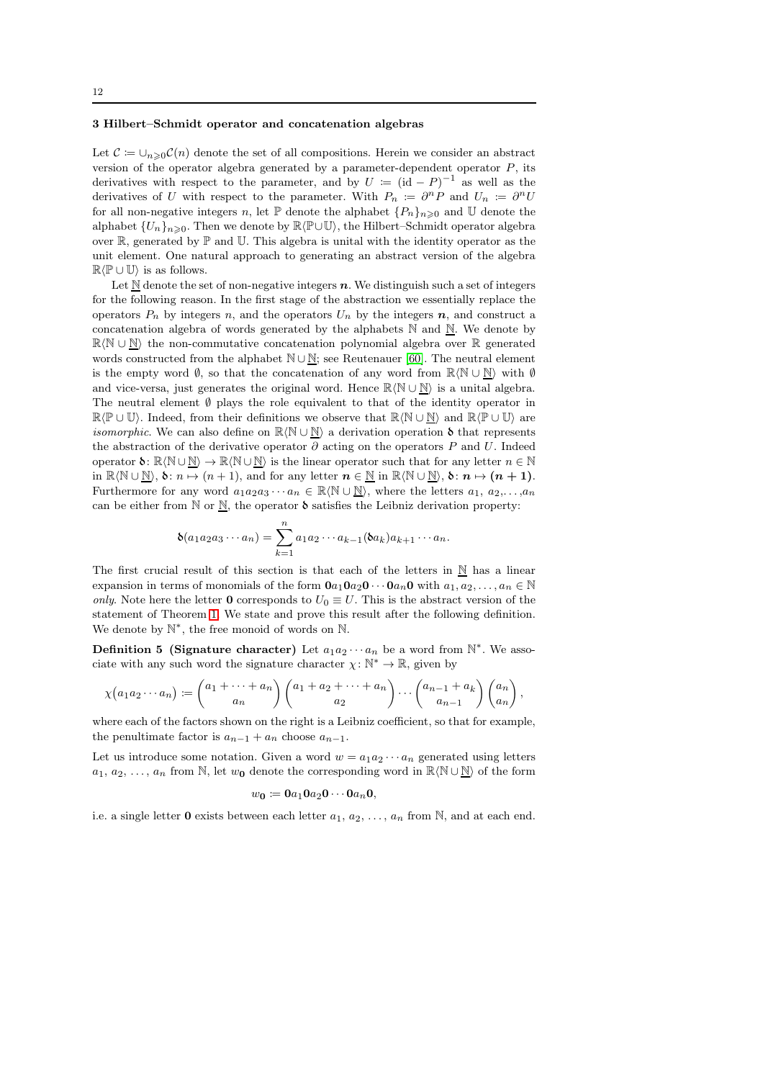#### <span id="page-11-2"></span>3 Hilbert–Schmidt operator and concatenation algebras

Let  $\mathcal{C} := \cup_{n\geq 0} \mathcal{C}(n)$  denote the set of all compositions. Herein we consider an abstract version of the operator algebra generated by a parameter-dependent operator  $P$ , its derivatives with respect to the parameter, and by  $U := (\mathrm{id} - P)^{-1}$  as well as the derivatives of U with respect to the parameter. With  $P_n := \partial^n P$  and  $U_n := \partial^n U$ for all non-negative integers n, let  $\mathbb P$  denote the alphabet  $\{P_n\}_{n\geq 0}$  and  $\mathbb U$  denote the alphabet  $\{U_n\}_{n\geq 0}$ . Then we denote by  $\mathbb{R}\backslash\mathbb{P}\cup\mathbb{U}$ , the Hilbert–Schmidt operator algebra over  $\mathbb{R}$ , generated by  $\mathbb{P}$  and  $\mathbb{U}$ . This algebra is unital with the identity operator as the unit element. One natural approach to generating an abstract version of the algebra  $\mathbb{R}\langle \mathbb{P}\cup \mathbb{U}\rangle$  is as follows.

Let  $\mathbb N$  denote the set of non-negative integers  $n$ . We distinguish such a set of integers for the following reason. In the first stage of the abstraction we essentially replace the operators  $P_n$  by integers n, and the operators  $U_n$  by the integers n, and construct a concatenation algebra of words generated by the alphabets  $\mathbb N$  and  $\underline{\mathbb N}$ . We denote by  $\mathbb{R}\langle\mathbb{N}\cup\underline{\mathbb{N}}\rangle$  the non-commutative concatenation polynomial algebra over R generated words constructed from the alphabet  $\mathbb{N} \cup \mathbb{N}$ ; see Reutenauer [\[60\]](#page-38-9). The neutral element is the empty word Ø, so that the concatenation of any word from  $\mathbb{R}\setminus\mathbb{N}\cup\mathbb{N}$  with Ø and vice-versa, just generates the original word. Hence  $\mathbb{R}\langle \mathbb{N} \cup \mathbb{N} \rangle$  is a unital algebra. The neutral element  $\emptyset$  plays the role equivalent to that of the identity operator in  $\mathbb{R}(\mathbb{P} \cup \mathbb{U})$ . Indeed, from their definitions we observe that  $\mathbb{R}\langle \mathbb{N} \cup \mathbb{N} \rangle$  and  $\mathbb{R}\langle \mathbb{P} \cup \mathbb{U} \rangle$  are *isomorphic*. We can also define on  $\mathbb{R}\langle \mathbb{N} \cup \underline{\mathbb{N}}\rangle$  a derivation operation  $\delta$  that represents the abstraction of the derivative operator  $\partial$  acting on the operators P and U. Indeed operator  $\mathfrak{d}: \mathbb{R}\langle \mathbb{N} \cup \underline{\mathbb{N}} \rangle \to \mathbb{R}\langle \mathbb{N} \cup \underline{\mathbb{N}} \rangle$  is the linear operator such that for any letter  $n \in \mathbb{N}$ in  $\mathbb{R}\langle \mathbb{N}\cup \underline{\mathbb{N}}\rangle$ ,  $\delta: n \mapsto (n+1)$ , and for any letter  $n \in \underline{\mathbb{N}}$  in  $\mathbb{R}\langle \mathbb{N}\cup \underline{\mathbb{N}}\rangle$ ,  $\delta: n \mapsto (n+1)$ . Furthermore for any word  $a_1a_2a_3\cdots a_n \in \mathbb{R} \langle \mathbb{N} \cup \mathbb{N} \rangle$ , where the letters  $a_1, a_2, \ldots, a_n$ can be either from  $\mathbb N$  or  $\underline{\mathbb N}$ , the operator  $\delta$  satisfies the Leibniz derivation property:

$$
\mathfrak{d}(a_1a_2a_3\cdots a_n)=\sum_{k=1}^n a_1a_2\cdots a_{k-1}(\mathfrak{d}a_k)a_{k+1}\cdots a_n.
$$

The first crucial result of this section is that each of the letters in  $\mathbb N$  has a linear expansion in terms of monomials of the form  $0a_10a_20 \cdots 0a_n0$  with  $a_1, a_2, \ldots, a_n \in \mathbb{N}$ only. Note here the letter 0 corresponds to  $U_0 \equiv U$ . This is the abstract version of the statement of Theorem [1.](#page-8-0) We state and prove this result after the following definition. We denote by  $\mathbb{N}^*$ , the free monoid of words on  $\mathbb{N}$ .

**Definition 5 (Signature character)** Let  $a_1a_2\cdots a_n$  be a word from  $\mathbb{N}^*$ . We associate with any such word the signature character  $\chi: \mathbb{N}^* \to \mathbb{R}$ , given by

$$
\chi(a_1a_2\cdots a_n)\coloneqq\binom{a_1+\cdots+a_n}{a_n}\binom{a_1+a_2+\cdots+a_n}{a_2}\cdots\binom{a_{n-1}+a_k}{a_{n-1}}\binom{a_n}{a_n},
$$

where each of the factors shown on the right is a Leibniz coefficient, so that for example, the penultimate factor is  $a_{n-1} + a_n$  choose  $a_{n-1}$ .

Let us introduce some notation. Given a word  $w = a_1 a_2 \cdots a_n$  generated using letters  $a_1, a_2, \ldots, a_n$  from N, let  $w_0$  denote the corresponding word in  $\mathbb{R}\langle \mathbb{N} \cup \mathbb{N}\rangle$  of the form

<span id="page-11-1"></span>
$$
w_0 := 0a_1 0a_2 0 \cdots 0a_n 0,
$$

<span id="page-11-0"></span>i.e. a single letter **0** exists between each letter  $a_1, a_2, \ldots, a_n$  from N, and at each end.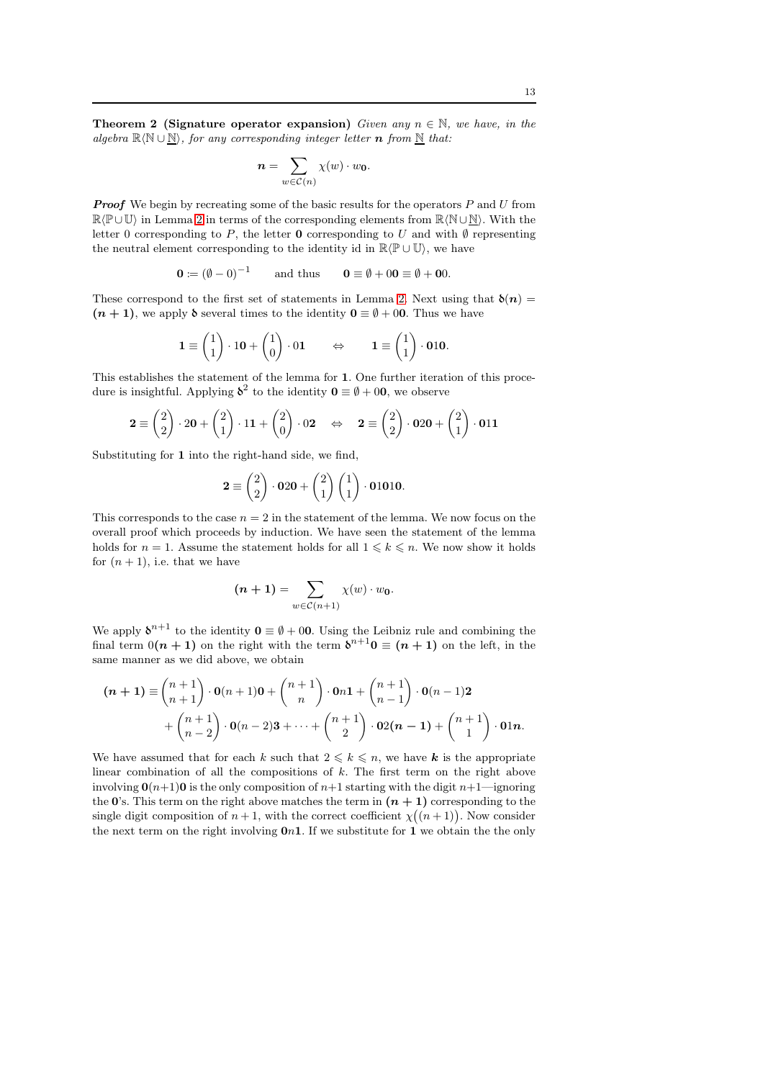**Theorem 2 (Signature operator expansion)** Given any  $n \in \mathbb{N}$ , we have, in the algebra  $\mathbb{R}\langle \mathbb{N} \cup \mathbb{N} \rangle$ , for any corresponding integer letter **n** from  $\mathbb{N}$  that:

$$
\boldsymbol{n} = \sum_{w \in \mathcal{C}(n)} \chi(w) \cdot w_{\boldsymbol{0}}.
$$

**Proof** We begin by recreating some of the basic results for the operators  $P$  and  $U$  from  $\mathbb{R}$  $\mathbb{P} \cup \mathbb{U}$  in Lemma [2](#page-8-1) in terms of the corresponding elements from  $\mathbb{R} \setminus \mathbb{N} \cup \mathbb{N}$ . With the letter 0 corresponding to P, the letter 0 corresponding to U and with  $\emptyset$  representing the neutral element corresponding to the identity id in  $\mathbb{R}\langle\mathbb{P}\cup\mathbb{U}\rangle$ , we have

$$
\mathbf{0} := (\emptyset - 0)^{-1} \quad \text{and thus} \quad \mathbf{0} \equiv \emptyset + 0\mathbf{0} \equiv \emptyset + \mathbf{0}0.
$$

These correspond to the first set of statements in Lemma [2.](#page-8-1) Next using that  $\delta(n)$  =  $(n + 1)$ , we apply  $\delta$  several times to the identity  $0 \equiv \emptyset + 00$ . Thus we have

$$
1 \equiv \begin{pmatrix} 1 \\ 1 \end{pmatrix} \cdot 10 + \begin{pmatrix} 1 \\ 0 \end{pmatrix} \cdot 01 \qquad \Leftrightarrow \qquad 1 \equiv \begin{pmatrix} 1 \\ 1 \end{pmatrix} \cdot 010.
$$

This establishes the statement of the lemma for 1. One further iteration of this procedure is insightful. Applying  $\delta^2$  to the identity  $0 \equiv \emptyset + 00$ , we observe

$$
2 \equiv \begin{pmatrix} 2 \\ 2 \end{pmatrix} \cdot 20 + \begin{pmatrix} 2 \\ 1 \end{pmatrix} \cdot 11 + \begin{pmatrix} 2 \\ 0 \end{pmatrix} \cdot 02 \quad \Leftrightarrow \quad 2 \equiv \begin{pmatrix} 2 \\ 2 \end{pmatrix} \cdot 020 + \begin{pmatrix} 2 \\ 1 \end{pmatrix} \cdot 011
$$

Substituting for 1 into the right-hand side, we find,

$$
2 \equiv \begin{pmatrix} 2 \\ 2 \end{pmatrix} \cdot 020 + \begin{pmatrix} 2 \\ 1 \end{pmatrix} \begin{pmatrix} 1 \\ 1 \end{pmatrix} \cdot 01010.
$$

This corresponds to the case  $n = 2$  in the statement of the lemma. We now focus on the overall proof which proceeds by induction. We have seen the statement of the lemma holds for  $n = 1$ . Assume the statement holds for all  $1 \leq k \leq n$ . We now show it holds for  $(n + 1)$ , i.e. that we have

$$
(\boldsymbol{n+1}) = \sum_{w \in \mathcal{C}(n+1)} \chi(w) \cdot w_{\boldsymbol{0}}.
$$

We apply  $\mathbf{\delta}^{n+1}$  to the identity  $\mathbf{0} \equiv \emptyset + 0\mathbf{0}$ . Using the Leibniz rule and combining the final term  $0(n + 1)$  on the right with the term  $\delta^{n+1}0 \equiv (n + 1)$  on the left, in the same manner as we did above, we obtain

$$
(\boldsymbol{n}+1) \equiv \binom{n+1}{n+1} \cdot \mathbf{0}(n+1)\mathbf{0} + \binom{n+1}{n} \cdot \mathbf{0}n\mathbf{1} + \binom{n+1}{n-1} \cdot \mathbf{0}(n-1)\mathbf{2} + \binom{n+1}{n-2} \cdot \mathbf{0}(n-2)\mathbf{3} + \dots + \binom{n+1}{2} \cdot \mathbf{0}2(\boldsymbol{n}-1) + \binom{n+1}{1} \cdot \mathbf{0}1\boldsymbol{n}.
$$

We have assumed that for each k such that  $2 \leq k \leq n$ , we have k is the appropriate linear combination of all the compositions of  $k$ . The first term on the right above involving  $\mathbf{0}(n+1)\mathbf{0}$  is the only composition of  $n+1$  starting with the digit  $n+1$ —ignoring the  $\mathbf{0}$ 's. This term on the right above matches the term in  $(n + 1)$  corresponding to the single digit composition of  $n+1$ , with the correct coefficient  $\chi((n+1))$ . Now consider the next term on the right involving  $0n1$ . If we substitute for 1 we obtain the the only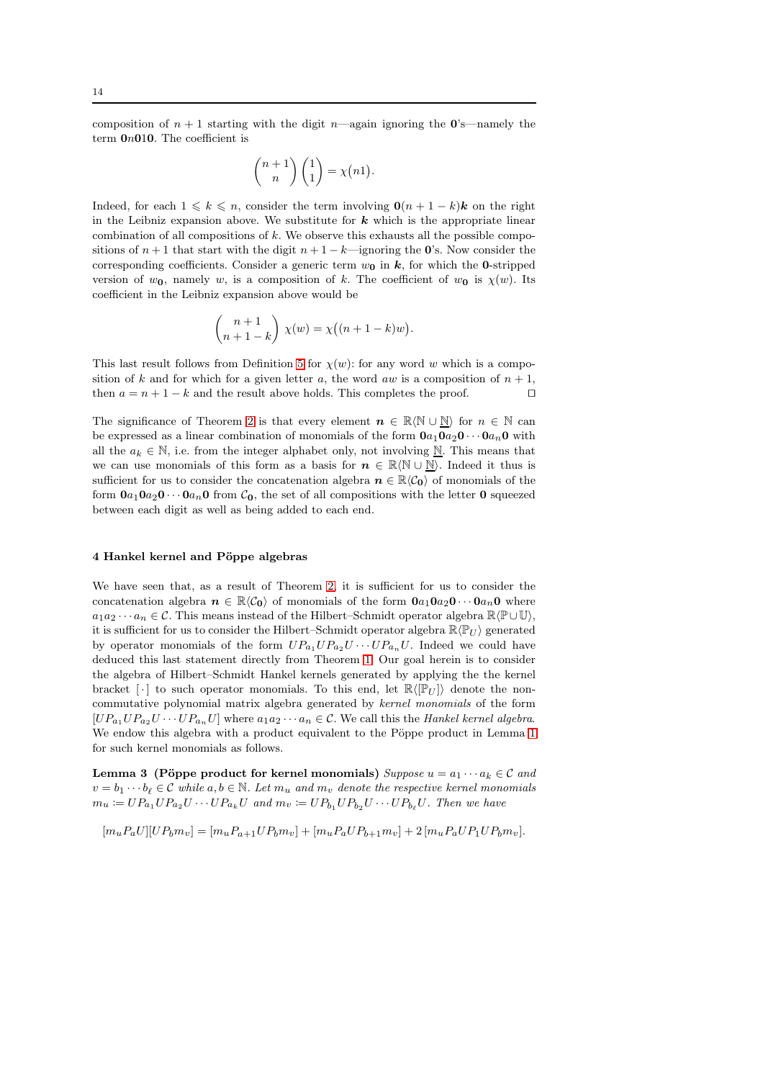composition of  $n + 1$  starting with the digit n—again ignoring the **0**'s—namely the term  $0n010$ . The coefficient is

$$
\binom{n+1}{n}\binom{1}{1} = \chi(n1).
$$

Indeed, for each  $1 \leq k \leq n$ , consider the term involving  $\mathbf{0}(n + 1 - k)\mathbf{k}$  on the right in the Leibniz expansion above. We substitute for  $k$  which is the appropriate linear combination of all compositions of  $k$ . We observe this exhausts all the possible compositions of  $n+1$  that start with the digit  $n+1-k$ —ignoring the 0's. Now consider the corresponding coefficients. Consider a generic term  $w_0$  in k, for which the 0-stripped version of  $w_0$ , namely w, is a composition of k. The coefficient of  $w_0$  is  $\chi(w)$ . Its coefficient in the Leibniz expansion above would be

$$
\binom{n+1}{n+1-k}\chi(w)=\chi\big((n+1-k)w\big).
$$

This last result follows from Definition [5](#page-11-1) for  $\chi(w)$ : for any word w which is a composition of k and for which for a given letter a, the word aw is a composition of  $n + 1$ , then  $a = n + 1 - k$  and the result above holds. This completes the proof. □

The significance of Theorem [2](#page-11-0) is that every element  $n \in \mathbb{R} \langle \mathbb{N} \cup \mathbb{N} \rangle$  for  $n \in \mathbb{N}$  can be expressed as a linear combination of monomials of the form  $0a_10a_20 \cdots 0a_n0$  with all the  $a_k \in \mathbb{N}$ , i.e. from the integer alphabet only, not involving  $\underline{\mathbb{N}}$ . This means that we can use monomials of this form as a basis for  $n \in \mathbb{R}(\mathbb{N} \cup \mathbb{N})$ . Indeed it thus is sufficient for us to consider the concatenation algebra  $n \in \mathbb{R}\langle \mathcal{C}_0 \rangle$  of monomials of the form  $0a_10a_20\cdots 0a_n0$  from  $C_0$ , the set of all compositions with the letter 0 squeezed between each digit as well as being added to each end.

#### <span id="page-13-0"></span>4 Hankel kernel and Pöppe algebras

We have seen that, as a result of Theorem [2,](#page-11-0) it is sufficient for us to consider the concatenation algebra  $n \in \mathbb{R}\langle \mathcal{C}_0 \rangle$  of monomials of the form  $0a_10a_20 \cdots 0a_n0$  where  $a_1a_2\cdots a_n\in\mathcal{C}$ . This means instead of the Hilbert–Schmidt operator algebra  $\mathbb{R}\langle\mathbb{P}\cup\mathbb{U}\rangle$ , it is sufficient for us to consider the Hilbert–Schmidt operator algebra  $\mathbb{R}\langle\mathbb{P}_U\rangle$  generated by operator monomials of the form  $UP_{a_1}UP_{a_2}U \cdots UP_{a_n}U$ . Indeed we could have deduced this last statement directly from Theorem [1.](#page-8-0) Our goal herein is to consider the algebra of Hilbert–Schmidt Hankel kernels generated by applying the the kernel bracket  $[\cdot]$  to such operator monomials. To this end, let  $\mathbb{R}\langle[\mathbb{P}_U]\rangle$  denote the noncommutative polynomial matrix algebra generated by kernel monomials of the form  $[UP_{a_1}UP_{a_2}U \cdots UP_{a_n}U]$  where  $a_1a_2\cdots a_n \in \mathcal{C}$ . We call this the *Hankel kernel algebra*. We endow this algebra with a product equivalent to the Pöppe product in Lemma [1](#page-7-0) for such kernel monomials as follows.

<span id="page-13-1"></span>Lemma 3 (Pöppe product for kernel monomials) Suppose  $u = a_1 \cdots a_k \in \mathcal{C}$  and  $v = b_1 \cdots b_\ell \in \mathcal{C}$  while  $a, b \in \mathbb{N}$ . Let  $m_u$  and  $m_v$  denote the respective kernel monomials  $m_u := UP_{a_1}UP_{a_2}U \cdots UP_{a_k}U$  and  $m_v := UP_{b_1}UP_{b_2}U \cdots UP_{b_\ell}U$ . Then we have

 $\label{eq:3} [m_uP_aU][UP_bm_v] = [m_uP_{a+1}UP_bm_v] + [m_uP_aUP_{b+1}m_v] + 2\,[m_uP_aUP_1UP_bm_v].$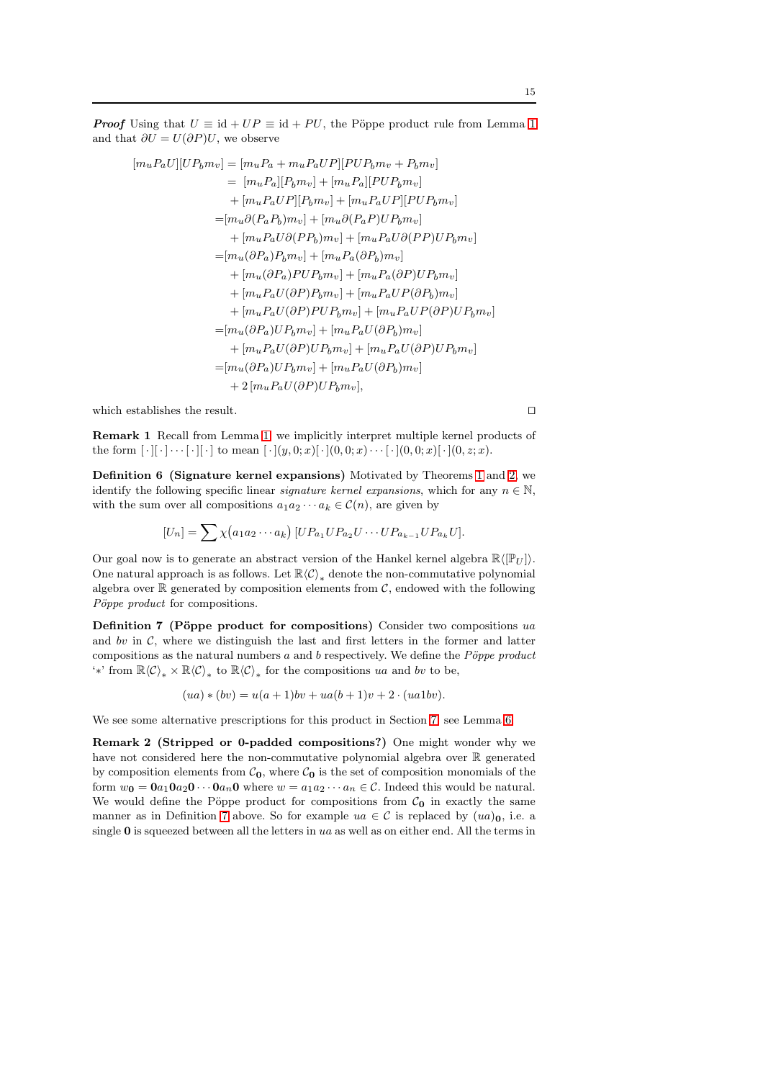**Proof** Using that  $U \equiv id + UP \equiv id + PU$ , the Pöppe product rule from Lemma [1](#page-7-0) and that  $\partial U = U(\partial P)U$ , we observe

$$
[m_{u}P_{a}U][UP_{b}m_{v}] = [m_{u}P_{a} + m_{u}P_{a}UP][PUP_{b}m_{v} + P_{b}m_{v}]
$$
  
\n
$$
= [m_{u}P_{a}][P_{b}m_{v}] + [m_{u}P_{a}][PUP_{b}m_{v}]
$$
  
\n
$$
+ [m_{u}P_{a}UP][P_{b}m_{v}] + [m_{u}P_{a}UP][PUP_{b}m_{v}]
$$
  
\n
$$
= [m_{u}\partial(P_{a}P_{b})m_{v}] + [m_{u}\partial(P_{a}P)UP_{b}m_{v}]
$$
  
\n
$$
+ [m_{u}P_{a}U\partial(PP_{b})m_{v}] + [m_{u}P_{a}U\partial(PP)UP_{b}m_{v}]
$$
  
\n
$$
= [m_{u}(\partial P_{a})P_{b}m_{v}] + [m_{u}P_{a}(\partial P_{b})m_{v}]
$$
  
\n
$$
+ [m_{u}P_{a}U(\partial P)P_{b}m_{v}] + [m_{u}P_{a}UP(\partial P)UP_{b}m_{v}]
$$
  
\n
$$
+ [m_{u}P_{a}U(\partial P)P_{b}m_{v}] + [m_{u}P_{a}UP(\partial P)UP_{b}m_{v}]
$$
  
\n
$$
= [m_{u}(\partial P_{a})UP_{b}m_{v}] + [m_{u}P_{a}U(\partial P_{b})m_{v}]
$$
  
\n
$$
= [m_{u}(\partial P_{a})UP_{b}m_{v}] + [m_{u}P_{a}U(\partial P)UP_{b}m_{v}]
$$
  
\n
$$
= [m_{u}(\partial P_{a})UP_{b}m_{v}] + [m_{u}P_{a}U(\partial P)UP_{b}m_{v}]
$$
  
\n
$$
= [m_{u}(\partial P_{a})UP_{b}m_{v}] + [m_{u}P_{a}U(\partial P)UP_{b}m_{v}]
$$
  
\n
$$
+ 2 [m_{u}P_{a}U(\partial P)UP_{b}m_{v}],
$$

which establishes the result. □

Remark 1 Recall from Lemma [1,](#page-7-0) we implicitly interpret multiple kernel products of the form  $[\cdot][\cdot]\cdots[\cdot][\cdot]$  to mean  $[\cdot](y,0;x)[\cdot](0,0;x)\cdots[\cdot](0,0;x)[\cdot](0,z;x)$ .

<span id="page-14-1"></span>Definition 6 (Signature kernel expansions) Motivated by Theorems [1](#page-8-0) and [2,](#page-11-0) we identify the following specific linear *signature kernel expansions*, which for any  $n \in \mathbb{N}$ , with the sum over all compositions  $a_1a_2 \cdots a_k \in \mathcal{C}(n)$ , are given by

<span id="page-14-0"></span>
$$
[U_n] = \sum \chi(a_1 a_2 \cdots a_k) [U P_{a_1} U P_{a_2} U \cdots U P_{a_{k-1}} U P_{a_k} U].
$$

Our goal now is to generate an abstract version of the Hankel kernel algebra  $\mathbb{R}\langle[\mathbb{P}_U]\rangle$ . One natural approach is as follows. Let  $\mathbb{R}\langle \mathcal{C} \rangle_*$  denote the non-commutative polynomial algebra over  $\mathbb R$  generated by composition elements from  $\mathcal C$ , endowed with the following Pöppe product for compositions.

Definition 7 (Pöppe product for compositions) Consider two compositions  $ua$ and by in  $\mathcal{C}$ , where we distinguish the last and first letters in the former and latter compositions as the natural numbers  $a$  and  $b$  respectively. We define the Pöppe product '\*' from  $\mathbb{R}\langle \mathcal{C} \rangle_* \times \mathbb{R}\langle \mathcal{C} \rangle_*$  to  $\mathbb{R}\langle \mathcal{C} \rangle_*$  for the compositions ua and bv to be,

$$
(ua)*(bv) = u(a+1)bv + ua(b+1)v + 2 \cdot (ua1bv).
$$

We see some alternative prescriptions for this product in Section [7;](#page-30-0) see Lemma [6.](#page-31-0)

Remark 2 (Stripped or 0-padded compositions?) One might wonder why we have not considered here the non-commutative polynomial algebra over  $\mathbb R$  generated by composition elements from  $C_0$ , where  $C_0$  is the set of composition monomials of the form  $w_0 = 0a_1 0a_2 0 \cdots 0a_n 0$  where  $w = a_1 a_2 \cdots a_n \in \mathcal{C}$ . Indeed this would be natural. We would define the Pöppe product for compositions from  $\mathcal{C}_0$  in exactly the same manner as in Definition [7](#page-14-0) above. So for example  $ua \in C$  is replaced by  $(ua)_0$ , i.e. a single  $\bf{0}$  is squeezed between all the letters in ua as well as on either end. All the terms in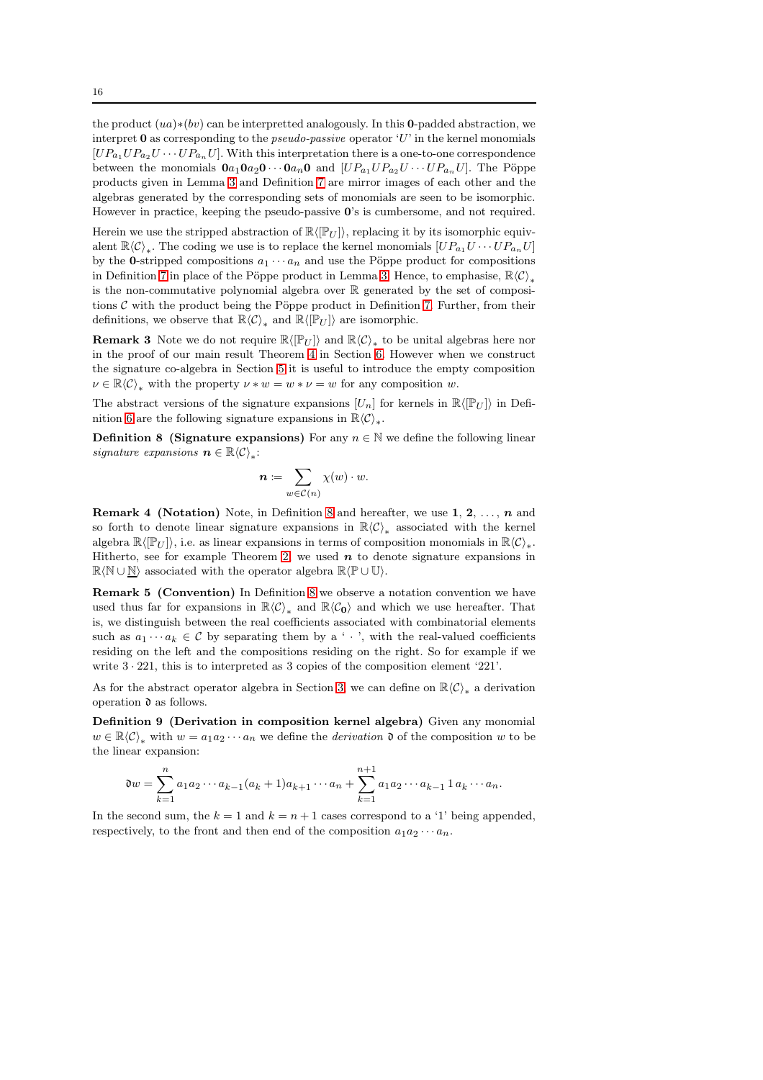the product  $(ua)*(bv)$  can be interpretted analogously. In this **0**-padded abstraction, we interpret  $\bf{0}$  as corresponding to the *pseudo-passive* operator 'U' in the kernel monomials  $[UP_{a_1}UP_{a_2}U \cdots UP_{a_n}U]$ . With this interpretation there is a one-to-one correspondence between the monomials  $0a_10a_20 \cdots 0a_n0$  and  $[UP_{a_1}UP_{a_2}U \cdots UP_{a_n}U]$ . The Pöppe products given in Lemma [3](#page-13-1) and Definition [7](#page-14-0) are mirror images of each other and the algebras generated by the corresponding sets of monomials are seen to be isomorphic. However in practice, keeping the pseudo-passive 0's is cumbersome, and not required.

Herein we use the stripped abstraction of  $\mathbb{R}\langle\mathbb{P}_U\rangle$ , replacing it by its isomorphic equivalent  $\mathbb{R}\langle\mathcal{C}\rangle_*$ . The coding we use is to replace the kernel monomials  $[UP_{a_1}U\cdots UP_{a_n}U]$ by the 0-stripped compositions  $a_1 \cdots a_n$  and use the Pöppe product for compositions in Definition [7](#page-14-0) in place of the Pöppe product in Lemma [3.](#page-13-1) Hence, to emphasise,  $\mathbb{R}\langle\mathcal{C}\rangle_*$ is the non-commutative polynomial algebra over  $\mathbb R$  generated by the set of compositions  $\mathcal C$  with the product being the Pöppe product in Definition [7.](#page-14-0) Further, from their definitions, we observe that  $\mathbb{R}\langle \mathcal{C} \rangle_*$  and  $\mathbb{R}\langle [\mathbb{P}_U] \rangle$  are isomorphic.

**Remark 3** Note we do not require  $\mathbb{R}\langle [\mathbb{P}_U] \rangle$  and  $\mathbb{R}\langle \mathcal{C} \rangle_*$  to be unital algebras here nor in the proof of our main result Theorem [4](#page-23-0) in Section [6.](#page-20-1) However when we construct the signature co-algebra in Section [5](#page-16-0) it is useful to introduce the empty composition  $\nu \in \mathbb{R}\langle \mathcal{C} \rangle_*$  with the property  $\nu * w = w * \nu = w$  for any composition w.

The abstract versions of the signature expansions  $[U_n]$  for kernels in  $\mathbb{R}\langle[\mathbb{P}_U]\rangle$  in Defi-nition [6](#page-14-1) are the following signature expansions in  $\mathbb{R}\langle \mathcal{C}\rangle_*$ .

**Definition 8 (Signature expansions)** For any  $n \in \mathbb{N}$  we define the following linear signature expansions  $\boldsymbol{n} \in \mathbb{R}\langle C \rangle_*$ :

<span id="page-15-1"></span><span id="page-15-0"></span>
$$
\boldsymbol{n}\coloneqq \sum_{w\in\mathcal{C}(n)}\chi(w)\cdot w.
$$

**Remark 4 (Notation)** Note, in Definition [8](#page-15-0) and hereafter, we use  $1, 2, \ldots, n$  and so forth to denote linear signature expansions in  $\mathbb{R}\langle \mathcal{C} \rangle_*$  associated with the kernel algebra  $\mathbb{R}\langle [\mathbb{P}_U] \rangle$ , i.e. as linear expansions in terms of composition monomials in  $\mathbb{R}\langle C \rangle_*$ . Hitherto, see for example Theorem [2,](#page-11-0) we used  $n$  to denote signature expansions in  $\mathbb{R}\langle\mathbb{N}\cup\mathbb{N}\rangle$  associated with the operator algebra  $\mathbb{R}\langle\mathbb{P}\cup\mathbb{U}\rangle$ .

Remark 5 (Convention) In Definition [8](#page-15-0) we observe a notation convention we have used thus far for expansions in  $\mathbb{R}\langle \mathcal{C} \rangle_*$  and  $\mathbb{R}\langle \mathcal{C}_0 \rangle$  and which we use hereafter. That is, we distinguish between the real coefficients associated with combinatorial elements such as  $a_1 \cdots a_k \in \mathcal{C}$  by separating them by a ' · ', with the real-valued coefficients residing on the left and the compositions residing on the right. So for example if we write  $3 \cdot 221$ , this is to interpreted as 3 copies of the composition element '221'.

As for the abstract operator algebra in Section [3,](#page-11-2) we can define on  $\mathbb{R}\langle\mathcal{C}\rangle_*$  a derivation operation  $\mathfrak d$  as follows.

Definition 9 (Derivation in composition kernel algebra) Given any monomial  $w \in \mathbb{R}\langle \mathcal{C} \rangle_*$  with  $w = a_1 a_2 \cdots a_n$  we define the *derivation*  $\mathfrak{d}$  of the composition w to be the linear expansion:

<span id="page-15-2"></span>
$$
\mathfrak{d}w = \sum_{k=1}^n a_1 a_2 \cdots a_{k-1} (a_k + 1) a_{k+1} \cdots a_n + \sum_{k=1}^{n+1} a_1 a_2 \cdots a_{k-1} 1 a_k \cdots a_n.
$$

In the second sum, the  $k = 1$  and  $k = n + 1$  cases correspond to a '1' being appended, respectively, to the front and then end of the composition  $a_1a_2\cdots a_n$ .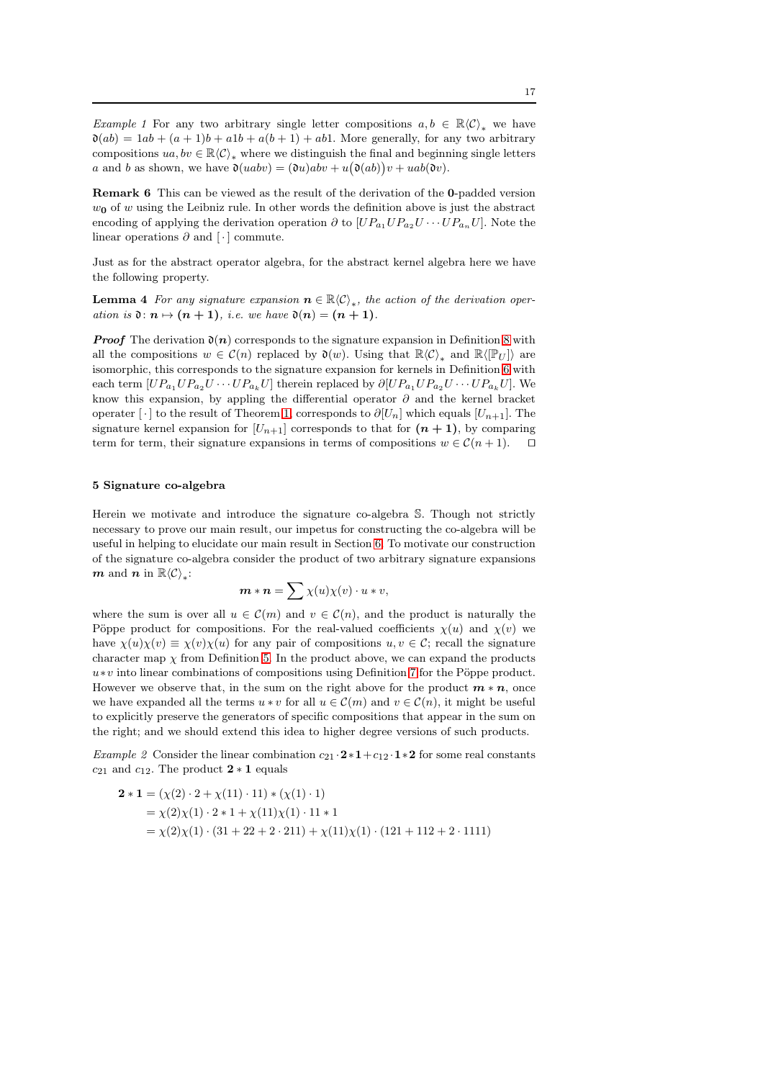Example 1 For any two arbitrary single letter compositions  $a, b \in \mathbb{R}\langle C \rangle_*$  we have  $\mathfrak{d}(ab) = 1ab + (a+1)b + a1b + a(b+1) + ab1$ . More generally, for any two arbitrary compositions  $ua, bv \in \mathbb{R}\langle \mathcal{C} \rangle_*$  where we distinguish the final and beginning single letters a and b as shown, we have  $\mathfrak{d}(uabv) = (\mathfrak{d}u)abv + u(\mathfrak{d}(ab))v + uab(\mathfrak{d}v)$ .

Remark 6 This can be viewed as the result of the derivation of the 0-padded version  $w_0$  of w using the Leibniz rule. In other words the definition above is just the abstract encoding of applying the derivation operation  $\partial$  to  $[UP_{a_1}UP_{a_2}U\cdots UP_{a_n}U]$ . Note the linear operations  $\partial$  and [ $\cdot$ ] commute.

Just as for the abstract operator algebra, for the abstract kernel algebra here we have the following property.

**Lemma 4** For any signature expansion  $n \in \mathbb{R}\langle C \rangle_*$ , the action of the derivation operation is  $\mathfrak{d}: n \mapsto (n + 1)$ , i.e. we have  $\mathfrak{d}(n) = (n + 1)$ .

**Proof** The derivation  $\mathfrak{d}(n)$  corresponds to the signature expansion in Definition [8](#page-15-0) with all the compositions  $w \in \mathcal{C}(n)$  replaced by  $\mathfrak{d}(w)$ . Using that  $\mathbb{R}\langle \mathcal{C} \rangle_*$  and  $\mathbb{R}\langle [\mathbb{P}_U] \rangle$  are isomorphic, this corresponds to the signature expansion for kernels in Definition [6](#page-14-1) with each term  $[UP_{a_1}UP_{a_2}U \cdots UP_{a_k}U]$  therein replaced by  $\partial [UP_{a_1}UP_{a_2}U \cdots UP_{a_k}U]$ . We know this expansion, by appling the differential operator  $\partial$  and the kernel bracket operater  $\lceil \cdot \rceil$  to the result of Theorem [1,](#page-8-0) corresponds to  $\partial [U_n]$  which equals  $[U_{n+1}]$ . The signature kernel expansion for  $[U_{n+1}]$  corresponds to that for  $(n + 1)$ , by comparing term for term, their signature expansions in terms of compositions  $w \in \mathcal{C}(n+1)$ . □

#### <span id="page-16-0"></span>5 Signature co-algebra

Herein we motivate and introduce the signature co-algebra S. Though not strictly necessary to prove our main result, our impetus for constructing the co-algebra will be useful in helping to elucidate our main result in Section [6.](#page-20-1) To motivate our construction of the signature co-algebra consider the product of two arbitrary signature expansions  $\boldsymbol{m}$  and  $\boldsymbol{n}$  in  $\mathbb{R}\langle C \rangle_*$ :

<span id="page-16-1"></span>
$$
\mathbf{m}*\mathbf{n}=\sum \chi(u)\chi(v)\cdot u*v,
$$

where the sum is over all  $u \in \mathcal{C}(m)$  and  $v \in \mathcal{C}(n)$ , and the product is naturally the Pöppe product for compositions. For the real-valued coefficients  $\chi(u)$  and  $\chi(v)$  we have  $\chi(u)\chi(v) \equiv \chi(v)\chi(u)$  for any pair of compositions  $u, v \in \mathcal{C}$ ; recall the signature character map  $\chi$  from Definition [5.](#page-11-1) In the product above, we can expand the products  $u*v$  into linear combinations of compositions using Definition [7](#page-14-0) for the Pöppe product. However we observe that, in the sum on the right above for the product  $m * n$ , once we have expanded all the terms  $u * v$  for all  $u \in \mathcal{C}(m)$  and  $v \in \mathcal{C}(n)$ , it might be useful to explicitly preserve the generators of specific compositions that appear in the sum on the right; and we should extend this idea to higher degree versions of such products.

Example 2 Consider the linear combination  $c_{21} \cdot 2 * 1 + c_{12} \cdot 1 * 2$  for some real constants  $c_{21}$  and  $c_{12}$ . The product  $2 * 1$  equals

$$
2 * 1 = (\chi(2) \cdot 2 + \chi(11) \cdot 11) * (\chi(1) \cdot 1)
$$
  
=  $\chi(2)\chi(1) \cdot 2 * 1 + \chi(11)\chi(1) \cdot 11 * 1$   
=  $\chi(2)\chi(1) \cdot (31 + 22 + 2 \cdot 211) + \chi(11)\chi(1) \cdot (121 + 112 + 2 \cdot 1111)$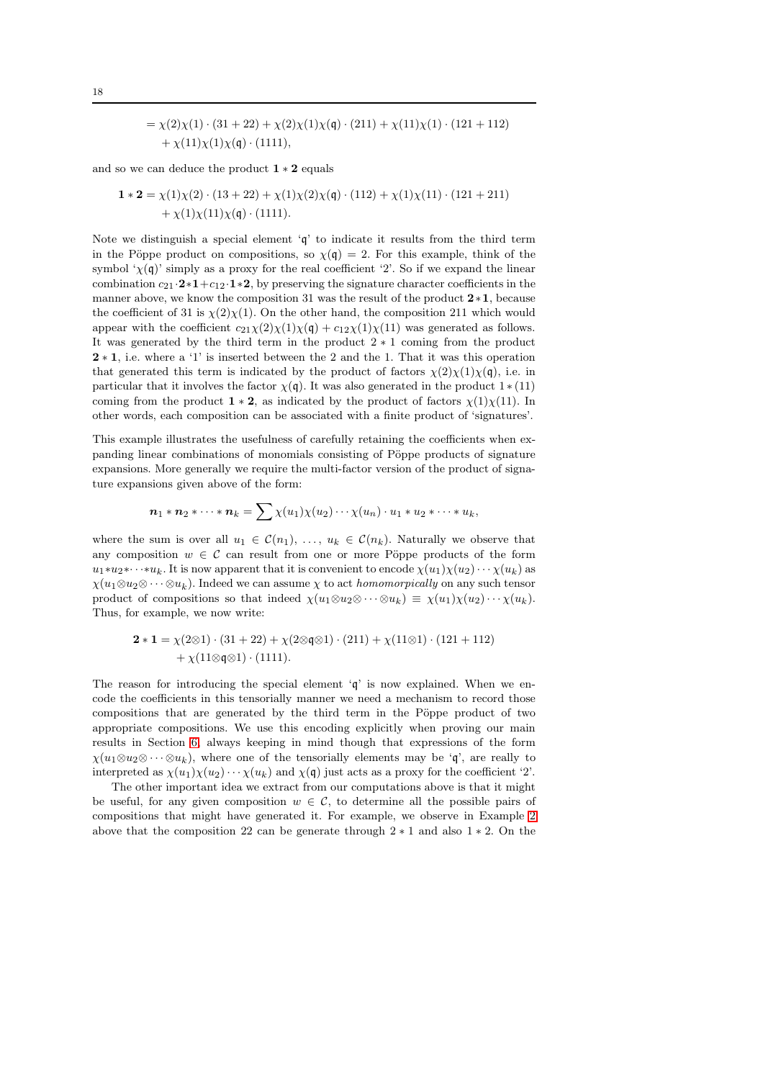$$
= \chi(2)\chi(1) \cdot (31+22) + \chi(2)\chi(1)\chi(\mathfrak{q}) \cdot (211) + \chi(11)\chi(1) \cdot (121+112) + \chi(11)\chi(1)\chi(\mathfrak{q}) \cdot (1111),
$$

and so we can deduce the product  $1 * 2$  equals

$$
\mathbf{1} * \mathbf{2} = \chi(1)\chi(2) \cdot (13 + 22) + \chi(1)\chi(2)\chi(\mathbf{q}) \cdot (112) + \chi(1)\chi(11) \cdot (121 + 211) + \chi(1)\chi(11)\chi(\mathbf{q}) \cdot (1111).
$$

Note we distinguish a special element  $q'$  to indicate it results from the third term in the Pöppe product on compositions, so  $\chi(\mathfrak{q}) = 2$ . For this example, think of the symbol ' $\chi(\mathfrak{q})$ ' simply as a proxy for the real coefficient '2'. So if we expand the linear combination  $c_{21} \cdot 2 * 1 + c_{12} \cdot 1 * 2$ , by preserving the signature character coefficients in the manner above, we know the composition 31 was the result of the product  $2*1$ , because the coefficient of 31 is  $\chi(2)\chi(1)$ . On the other hand, the composition 211 which would appear with the coefficient  $c_{21}\chi(2)\chi(1)\chi(\mathfrak{q}) + c_{12}\chi(1)\chi(11)$  was generated as follows. It was generated by the third term in the product 2 ∗ 1 coming from the product 2 ∗ 1, i.e. where a '1' is inserted between the 2 and the 1. That it was this operation that generated this term is indicated by the product of factors  $\chi(2)\chi(1)\chi(\mathfrak{q})$ , i.e. in particular that it involves the factor  $\chi(\mathfrak{q})$ . It was also generated in the product  $1 \ast (11)$ coming from the product  $1 * 2$ , as indicated by the product of factors  $\chi(1)\chi(11)$ . In other words, each composition can be associated with a finite product of 'signatures'.

This example illustrates the usefulness of carefully retaining the coefficients when expanding linear combinations of monomials consisting of Pöppe products of signature expansions. More generally we require the multi-factor version of the product of signature expansions given above of the form:

$$
\boldsymbol{n}_1 * \boldsymbol{n}_2 * \cdots * \boldsymbol{n}_k = \sum \chi(u_1) \chi(u_2) \cdots \chi(u_n) \cdot u_1 * u_2 * \cdots * u_k,
$$

where the sum is over all  $u_1 \in \mathcal{C}(n_1), \ldots, u_k \in \mathcal{C}(n_k)$ . Naturally we observe that any composition  $w \in \mathcal{C}$  can result from one or more Pöppe products of the form  $u_1 * u_2 * \cdots * u_k$ . It is now apparent that it is convenient to encode  $\chi(u_1)\chi(u_2)\cdots\chi(u_k)$  as  $\chi(u_1\otimes u_2\otimes \cdots \otimes u_k)$ . Indeed we can assume  $\chi$  to act *homomorpically* on any such tensor product of compositions so that indeed  $\chi(u_1\otimes u_2\otimes \cdots \otimes u_k) \equiv \chi(u_1)\chi(u_2)\cdots \chi(u_k)$ . Thus, for example, we now write:

$$
\mathbf{2} * \mathbf{1} = \chi(2 \otimes 1) \cdot (31 + 22) + \chi(2 \otimes \mathbf{q} \otimes 1) \cdot (211) + \chi(11 \otimes 1) \cdot (121 + 112) + \chi(11 \otimes \mathbf{q} \otimes 1) \cdot (1111).
$$

The reason for introducing the special element  $q'$  is now explained. When we encode the coefficients in this tensorially manner we need a mechanism to record those compositions that are generated by the third term in the Pöppe product of two appropriate compositions. We use this encoding explicitly when proving our main results in Section [6,](#page-20-1) always keeping in mind though that expressions of the form  $\chi(u_1\otimes u_2\otimes \cdots \otimes u_k)$ , where one of the tensorially elements may be 'q', are really to interpreted as  $\chi(u_1)\chi(u_2)\cdots\chi(u_k)$  and  $\chi(\mathfrak{q})$  just acts as a proxy for the coefficient '2'.

The other important idea we extract from our computations above is that it might be useful, for any given composition  $w \in \mathcal{C}$ , to determine all the possible pairs of compositions that might have generated it. For example, we observe in Example [2](#page-16-1) above that the composition 22 can be generate through  $2 * 1$  and also  $1 * 2$ . On the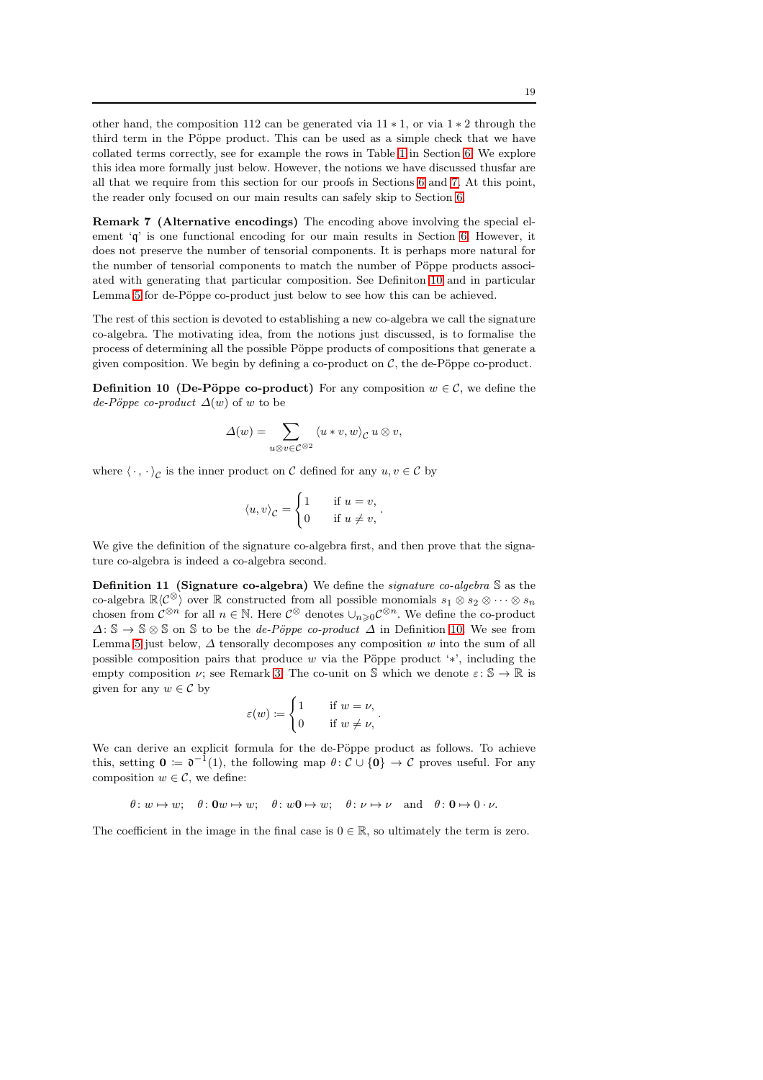other hand, the composition 112 can be generated via  $11 * 1$ , or via  $1 * 2$  through the third term in the Pöppe product. This can be used as a simple check that we have collated terms correctly, see for example the rows in Table [1](#page-22-0) in Section [6.](#page-20-1) We explore this idea more formally just below. However, the notions we have discussed thusfar are all that we require from this section for our proofs in Sections [6](#page-20-1) and [7.](#page-30-0) At this point, the reader only focused on our main results can safely skip to Section [6.](#page-20-1)

Remark 7 (Alternative encodings) The encoding above involving the special element 'q' is one functional encoding for our main results in Section [6.](#page-20-1) However, it does not preserve the number of tensorial components. It is perhaps more natural for the number of tensorial components to match the number of Pöppe products associ-ated with generating that particular composition. See Definiton [10](#page-18-0) and in particular Lemma [5](#page-18-1) for de-Pöppe co-product just below to see how this can be achieved.

The rest of this section is devoted to establishing a new co-algebra we call the signature co-algebra. The motivating idea, from the notions just discussed, is to formalise the process of determining all the possible Pöppe products of compositions that generate a given composition. We begin by defining a co-product on  $\mathcal{C}$ , the de-Pöppe co-product.

**Definition 10 (De-Pöppe co-product)** For any composition  $w \in \mathcal{C}$ , we define the de-Pöppe co-product  $\Delta(w)$  of w to be

<span id="page-18-0"></span>
$$
\varDelta(w)=\sum_{u\otimes v\in\mathcal{C}^{\otimes 2}}\left\langle u\ast v,w\right\rangle _{\mathcal{C}}u\otimes v,
$$

where  $\langle \cdot, \cdot \rangle_{\mathcal{C}}$  is the inner product on  $\mathcal{C}$  defined for any  $u, v \in \mathcal{C}$  by

<span id="page-18-2"></span>
$$
\langle u, v \rangle_{\mathcal{C}} = \begin{cases} 1 & \text{if } u = v, \\ 0 & \text{if } u \neq v, \end{cases}
$$

We give the definition of the signature co-algebra first, and then prove that the signature co-algebra is indeed a co-algebra second.

Definition 11 (Signature co-algebra) We define the signature co-algebra S as the co-algebra  $\mathbb{R}\langle \mathcal{C}^\otimes \rangle$  over R constructed from all possible monomials  $s_1 \otimes s_2 \otimes \cdots \otimes s_n$ chosen from  $\mathcal{C}^{\otimes n}$  for all  $n \in \mathbb{N}$ . Here  $\mathcal{C}^{\otimes n}$  denotes  $\cup_{n\geqslant 0} \mathcal{C}^{\otimes n}$ . We define the co-product  $\Delta: \mathbb{S} \to \mathbb{S} \otimes \mathbb{S}$  on S to be the *de-Pöppe co-product*  $\Delta$  in Definition [10.](#page-18-0) We see from Lemma [5](#page-18-1) just below,  $\Delta$  tensorally decomposes any composition w into the sum of all possible composition pairs that produce w via the Pöppe product '\*', including the empty composition  $\nu$ ; see Remark [3.](#page-15-1) The co-unit on S which we denote  $\varepsilon : S \to \mathbb{R}$  is given for any  $w \in \mathcal{C}$  by

<span id="page-18-1"></span>
$$
\varepsilon(w) \coloneqq \begin{cases} 1 & \text{if } w = \nu, \\ 0 & \text{if } w \neq \nu, \end{cases}.
$$

We can derive an explicit formula for the de-Pöppe product as follows. To achieve this, setting  $\mathbf{0} := \mathbf{0}^{-1}(1)$ , the following map  $\theta: \mathcal{C} \cup \{\mathbf{0}\} \to \mathcal{C}$  proves useful. For any composition  $w \in \mathcal{C}$ , we define:

 $\theta \colon w \mapsto w; \quad \theta \colon \mathbf{0}w \mapsto w; \quad \theta \colon w\mathbf{0} \mapsto w; \quad \theta \colon \nu \mapsto \nu \quad \text{and} \quad \theta \colon \mathbf{0} \mapsto 0 \cdot \nu.$ 

The coefficient in the image in the final case is  $0 \in \mathbb{R}$ , so ultimately the term is zero.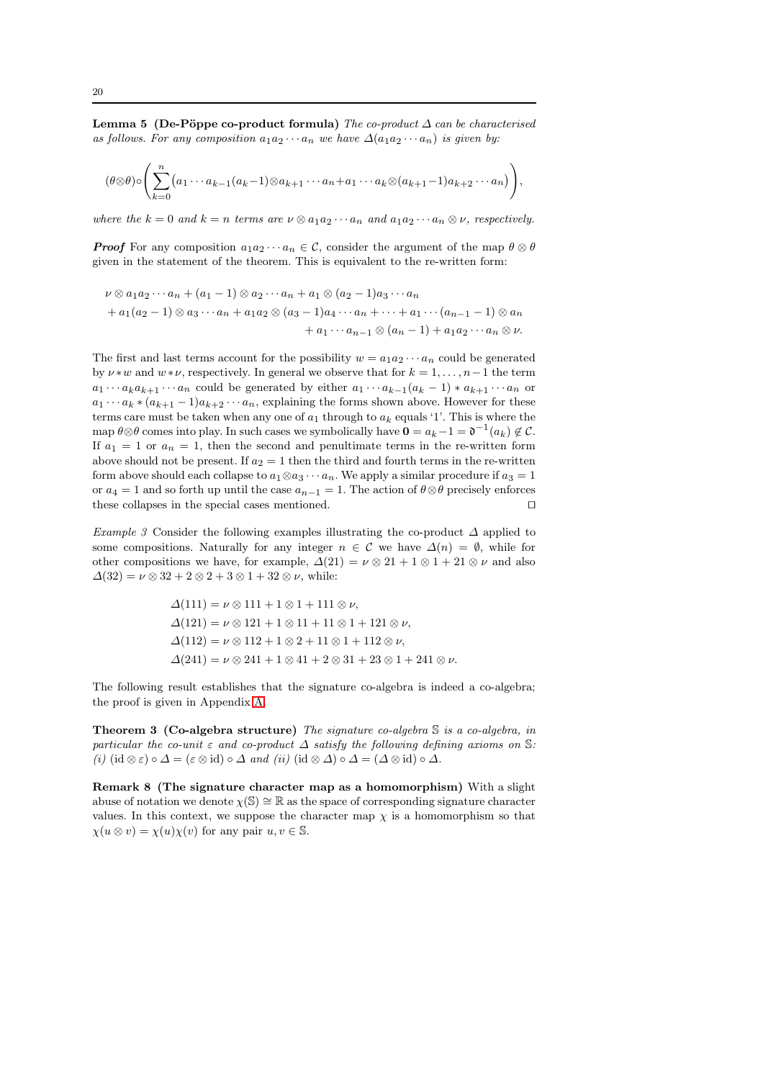Lemma 5 (De-Pöppe co-product formula) The co-product  $\Delta$  can be characterised as follows. For any composition  $a_1a_2 \cdots a_n$  we have  $\Delta(a_1a_2 \cdots a_n)$  is given by:

$$
(\theta \otimes \theta) \circ \left( \sum_{k=0}^{n} (a_1 \cdots a_{k-1}(a_k-1) \otimes a_{k+1} \cdots a_n + a_1 \cdots a_k \otimes (a_{k+1}-1) a_{k+2} \cdots a_n) \right),
$$

where the  $k = 0$  and  $k = n$  terms are  $\nu \otimes a_1 a_2 \cdots a_n$  and  $a_1 a_2 \cdots a_n \otimes \nu$ , respectively.

**Proof** For any composition  $a_1a_2 \cdots a_n \in \mathcal{C}$ , consider the argument of the map  $\theta \otimes \theta$ given in the statement of the theorem. This is equivalent to the re-written form:

$$
\nu \otimes a_1 a_2 \cdots a_n + (a_1 - 1) \otimes a_2 \cdots a_n + a_1 \otimes (a_2 - 1) a_3 \cdots a_n
$$
  
+ 
$$
a_1(a_2 - 1) \otimes a_3 \cdots a_n + a_1 a_2 \otimes (a_3 - 1) a_4 \cdots a_n + \cdots + a_1 \cdots (a_{n-1} - 1) \otimes a_n
$$
  
+ 
$$
a_1 \cdots a_{n-1} \otimes (a_n - 1) + a_1 a_2 \cdots a_n \otimes \nu.
$$

The first and last terms account for the possibility  $w = a_1 a_2 \cdots a_n$  could be generated by  $\nu * w$  and  $w * \nu$ , respectively. In general we observe that for  $k = 1, \ldots, n-1$  the term  $a_1 \cdots a_k a_{k+1} \cdots a_n$  could be generated by either  $a_1 \cdots a_{k-1} (a_k - 1) * a_{k+1} \cdots a_n$  or  $a_1 \cdots a_k * (a_{k+1}-1)a_{k+2} \cdots a_n$ , explaining the forms shown above. However for these terms care must be taken when any one of  $a_1$  through to  $a_k$  equals '1'. This is where the map  $\theta \otimes \theta$  comes into play. In such cases we symbolically have  $\mathbf{0} = a_k - 1 = \mathbf{0}^{-1}(a_k) \notin \mathcal{C}$ . If  $a_1 = 1$  or  $a_n = 1$ , then the second and penultimate terms in the re-written form above should not be present. If  $a_2 = 1$  then the third and fourth terms in the re-written form above should each collapse to  $a_1 \otimes a_3 \cdots a_n$ . We apply a similar procedure if  $a_3 = 1$ or  $a_4 = 1$  and so forth up until the case  $a_{n-1} = 1$ . The action of  $\theta \otimes \theta$  precisely enforces these collapses in the special cases mentioned. ⊓⊔

Example 3 Consider the following examples illustrating the co-product  $\Delta$  applied to some compositions. Naturally for any integer  $n \in \mathcal{C}$  we have  $\Delta(n) = \emptyset$ , while for other compositions we have, for example,  $\Delta(21) = \nu \otimes 21 + 1 \otimes 1 + 21 \otimes \nu$  and also  $\Delta(32) = \nu \otimes 32 + 2 \otimes 2 + 3 \otimes 1 + 32 \otimes \nu$ , while:

$$
\Delta(111) = \nu \otimes 111 + 1 \otimes 1 + 111 \otimes \nu,
$$
  
\n
$$
\Delta(121) = \nu \otimes 121 + 1 \otimes 11 + 11 \otimes 1 + 121 \otimes \nu,
$$
  
\n
$$
\Delta(112) = \nu \otimes 112 + 1 \otimes 2 + 11 \otimes 1 + 112 \otimes \nu,
$$
  
\n
$$
\Delta(241) = \nu \otimes 241 + 1 \otimes 41 + 2 \otimes 31 + 23 \otimes 1 + 241 \otimes \nu.
$$

<span id="page-19-0"></span>The following result establishes that the signature co-algebra is indeed a co-algebra; the proof is given in Appendix [A.](#page-39-7)

**Theorem 3 (Co-algebra structure)** The signature co-algebra  $\mathbb{S}$  is a co-algebra, in particular the co-unit  $\varepsilon$  and co-product  $\Delta$  satisfy the following defining axioms on S: (i) (id  $\otimes \varepsilon$ ) ∘  $\Delta = (\varepsilon \otimes id) \circ \Delta$  and (ii) (id  $\otimes \Delta$ ) ∘  $\Delta = (\Delta \otimes id) \circ \Delta$ .

Remark 8 (The signature character map as a homomorphism) With a slight abuse of notation we denote  $\chi(\mathbb{S}) \cong \mathbb{R}$  as the space of corresponding signature character values. In this context, we suppose the character map  $\chi$  is a homomorphism so that  $\chi(u \otimes v) = \chi(u)\chi(v)$  for any pair  $u, v \in \mathbb{S}$ .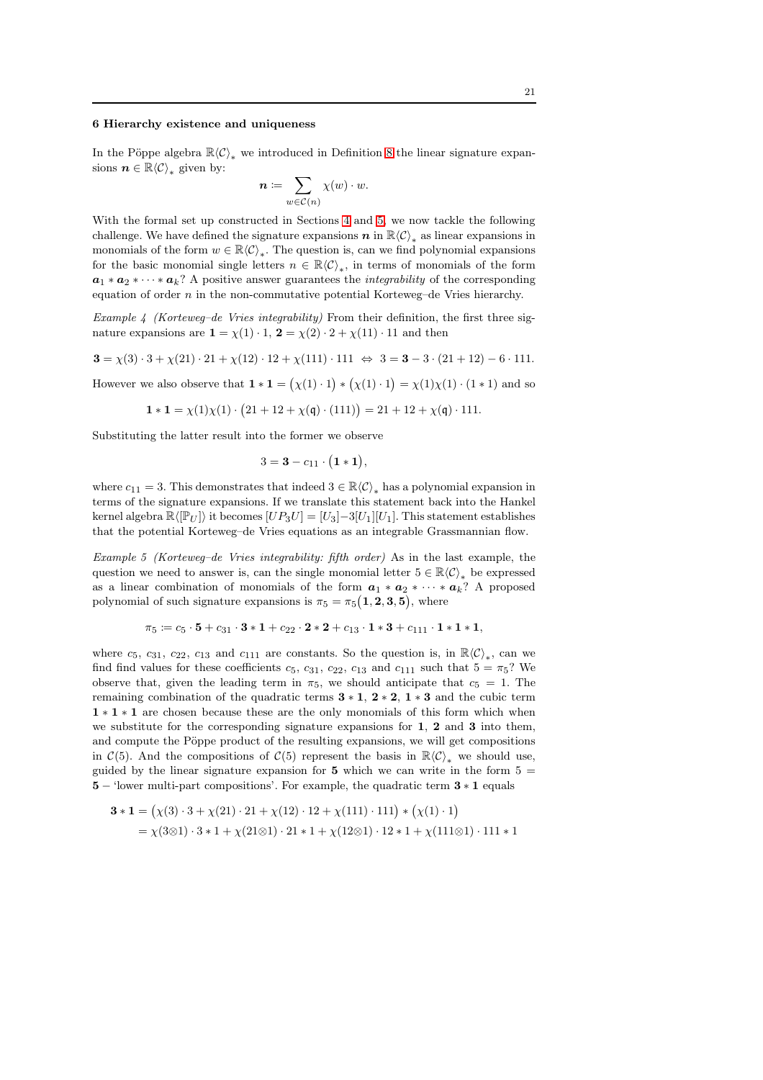#### <span id="page-20-1"></span>6 Hierarchy existence and uniqueness

In the Pöppe algebra  $\mathbb{R}\langle\mathcal{C}\rangle_*$  we introduced in Definition [8](#page-15-0) the linear signature expansions  $n \in \mathbb{R}\langle C \rangle_*$  given by:

<span id="page-20-0"></span>
$$
\boldsymbol{n}\coloneqq \sum_{w\in\mathcal{C}(n)}\chi(w)\cdot w.
$$

With the formal set up constructed in Sections [4](#page-13-0) and [5,](#page-16-0) we now tackle the following challenge. We have defined the signature expansions  $n$  in  $\mathbb{R}\langle C \rangle_*$  as linear expansions in monomials of the form  $w \in \mathbb{R}\langle \mathcal{C} \rangle_*$ . The question is, can we find polynomial expansions for the basic monomial single letters  $n \in \mathbb{R}\langle \mathcal{C} \rangle_*$ , in terms of monomials of the form  $a_1 * a_2 * \cdots * a_k$ ? A positive answer guarantees the *integrability* of the corresponding equation of order  $n$  in the non-commutative potential Korteweg–de Vries hierarchy.

Example 4 (Korteweg–de Vries integrability) From their definition, the first three signature expansions are  $\mathbf{1} = \chi(1) \cdot 1$ ,  $\mathbf{2} = \chi(2) \cdot 2 + \chi(11) \cdot 11$  and then

 $3 = \chi(3) \cdot 3 + \chi(21) \cdot 21 + \chi(12) \cdot 12 + \chi(111) \cdot 111 \Leftrightarrow 3 = 3 - 3 \cdot (21 + 12) - 6 \cdot 111.$ 

However we also observe that  $1 * 1 = (\chi(1) \cdot 1) * (\chi(1) \cdot 1) = \chi(1)\chi(1) \cdot (1 * 1)$  and so

$$
1 * 1 = \chi(1)\chi(1) \cdot (21 + 12 + \chi(\mathfrak{q}) \cdot (111)) = 21 + 12 + \chi(\mathfrak{q}) \cdot 111.
$$

Substituting the latter result into the former we observe

$$
3=\mathbf{3}-c_{11}\cdot(\mathbf{1}*\mathbf{1}),
$$

where  $c_{11} = 3$ . This demonstrates that indeed  $3 \in \mathbb{R}\langle C \rangle_*$  has a polynomial expansion in terms of the signature expansions. If we translate this statement back into the Hankel kernel algebra  $\mathbb{R}\langle [\mathbb{P}_U] \rangle$  it becomes  $[UP_3U] = [U_3]-3[U_1][U_1]$ . This statement establishes that the potential Korteweg–de Vries equations as an integrable Grassmannian flow.

<span id="page-20-2"></span>Example 5 (Korteweg–de Vries integrability: fifth order) As in the last example, the question we need to answer is, can the single monomial letter  $5 \in \mathbb{R}\langle C \rangle_*$  be expressed as a linear combination of monomials of the form  $a_1 * a_2 * \cdots * a_k$ ? A proposed polynomial of such signature expansions is  $\pi_5 = \pi_5(1, 2, 3, 5)$ , where

$$
\pi_5 \coloneqq c_5 \cdot 5 + c_{31} \cdot 3 * 1 + c_{22} \cdot 2 * 2 + c_{13} \cdot 1 * 3 + c_{111} \cdot 1 * 1 * 1,
$$

where  $c_5$ ,  $c_{31}$ ,  $c_{22}$ ,  $c_{13}$  and  $c_{111}$  are constants. So the question is, in  $\mathbb{R}\langle\mathcal{C}\rangle_*$ , can we find find values for these coefficients  $c_5$ ,  $c_{31}$ ,  $c_{22}$ ,  $c_{13}$  and  $c_{111}$  such that  $5 = \pi_5$ ? We observe that, given the leading term in  $\pi_5$ , we should anticipate that  $c_5 = 1$ . The remaining combination of the quadratic terms  $3 * 1$ ,  $2 * 2$ ,  $1 * 3$  and the cubic term 1 ∗ 1 ∗ 1 are chosen because these are the only monomials of this form which when we substitute for the corresponding signature expansions for  $1, 2$  and  $3$  into them, and compute the Pöppe product of the resulting expansions, we will get compositions in C(5). And the compositions of C(5) represent the basis in  $\mathbb{R}\langle\mathcal{C}\rangle_*$  we should use, guided by the linear signature expansion for 5 which we can write in the form  $5 =$ 5 − 'lower multi-part compositions'. For example, the quadratic term 3 ∗ 1 equals

$$
\mathbf{3} * \mathbf{1} = (\chi(3) \cdot 3 + \chi(21) \cdot 21 + \chi(12) \cdot 12 + \chi(111) \cdot 111) * (\chi(1) \cdot 1)
$$
  
=  $\chi(3 \otimes 1) \cdot 3 * 1 + \chi(21 \otimes 1) \cdot 21 * 1 + \chi(12 \otimes 1) \cdot 12 * 1 + \chi(111 \otimes 1) \cdot 111 * 1$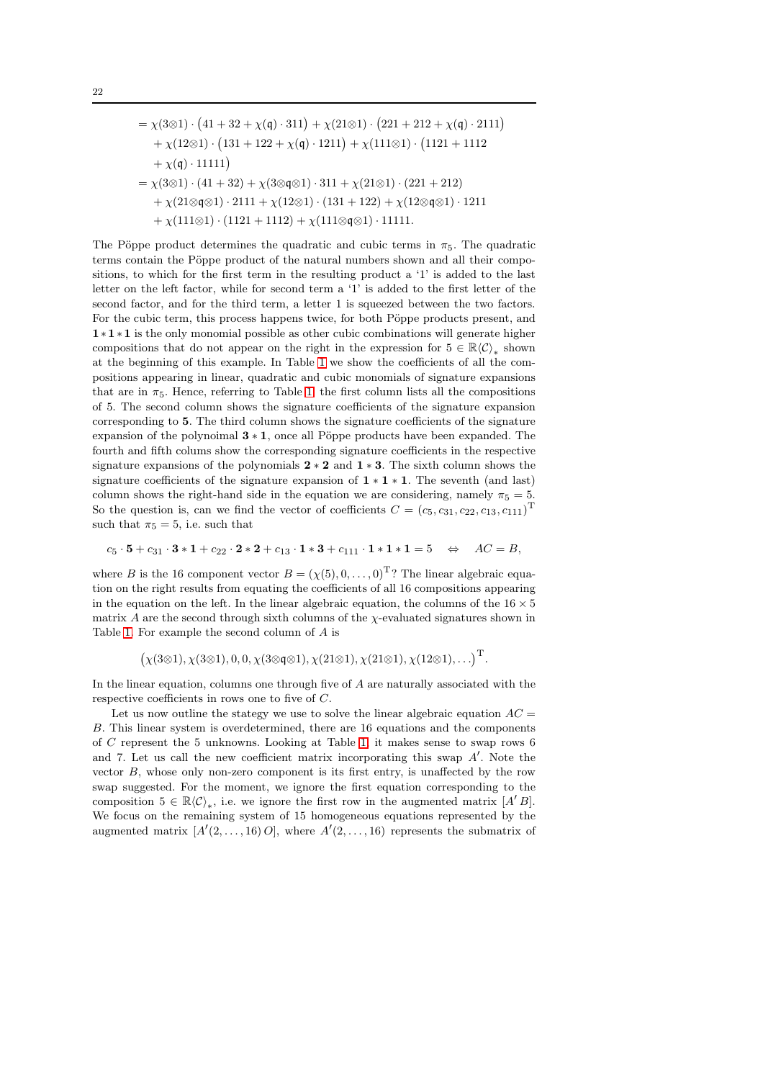$$
= \chi(3\otimes 1) \cdot (41 + 32 + \chi(\mathfrak{q}) \cdot 311) + \chi(21\otimes 1) \cdot (221 + 212 + \chi(\mathfrak{q}) \cdot 2111)
$$
  
+  $\chi(12\otimes 1) \cdot (131 + 122 + \chi(\mathfrak{q}) \cdot 1211) + \chi(111\otimes 1) \cdot (1121 + 1112 + \chi(\mathfrak{q}) \cdot 11111)$   
=  $\chi(3\otimes 1) \cdot (41 + 32) + \chi(3\otimes \mathfrak{q} \otimes 1) \cdot 311 + \chi(21\otimes 1) \cdot (221 + 212)$   
+  $\chi(21\otimes \mathfrak{q} \otimes 1) \cdot 2111 + \chi(12\otimes 1) \cdot (131 + 122) + \chi(12\otimes \mathfrak{q} \otimes 1) \cdot 1211$   
+  $\chi(111\otimes 1) \cdot (1121 + 1112) + \chi(111\otimes \mathfrak{q} \otimes 1) \cdot 11111.$ 

The Pöppe product determines the quadratic and cubic terms in  $\pi_5$ . The quadratic terms contain the Pöppe product of the natural numbers shown and all their compositions, to which for the first term in the resulting product a '1' is added to the last letter on the left factor, while for second term a '1' is added to the first letter of the second factor, and for the third term, a letter 1 is squeezed between the two factors. For the cubic term, this process happens twice, for both Pöppe products present, and 1∗1 ∗1 is the only monomial possible as other cubic combinations will generate higher compositions that do not appear on the right in the expression for  $5 \in \mathbb{R}\langle \mathcal{C} \rangle_*$  shown at the beginning of this example. In Table [1](#page-22-0) we show the coefficients of all the compositions appearing in linear, quadratic and cubic monomials of signature expansions that are in  $\pi_5$ . Hence, referring to Table [1,](#page-22-0) the first column lists all the compositions of 5. The second column shows the signature coefficients of the signature expansion corresponding to 5. The third column shows the signature coefficients of the signature expansion of the polynoimal  $3 * 1$ , once all Pöppe products have been expanded. The fourth and fifth colums show the corresponding signature coefficients in the respective signature expansions of the polynomials  $2 \times 2$  and  $1 \times 3$ . The sixth column shows the signature coefficients of the signature expansion of  $1 * 1 * 1$ . The seventh (and last) column shows the right-hand side in the equation we are considering, namely  $\pi_5 = 5$ . So the question is, can we find the vector of coefficients  $C = (c_5, c_{31}, c_{22}, c_{13}, c_{111})^T$ such that  $\pi_5 = 5$ , i.e. such that

$$
c_5 \cdot 5 + c_{31} \cdot 3 * 1 + c_{22} \cdot 2 * 2 + c_{13} \cdot 1 * 3 + c_{111} \cdot 1 * 1 * 1 = 5 \quad \Leftrightarrow \quad AC = B,
$$

where B is the 16 component vector  $B = (\chi(5), 0, \ldots, 0)^T$ ? The linear algebraic equation on the right results from equating the coefficients of all 16 compositions appearing in the equation on the left. In the linear algebraic equation, the columns of the  $16 \times 5$ matrix A are the second through sixth columns of the  $\chi$ -evaluated signatures shown in Table [1.](#page-22-0) For example the second column of A is

$$
(\chi(3\otimes 1),\chi(3\otimes 1),0,0,\chi(3\otimes \mathfrak{q}\otimes 1),\chi(21\otimes 1),\chi(21\otimes 1),\chi(12\otimes 1),\ldots)^{\mathrm{T}}.
$$

In the linear equation, columns one through five of A are naturally associated with the respective coefficients in rows one to five of C.

Let us now outline the stategy we use to solve the linear algebraic equation  $AC =$ B. This linear system is overdetermined, there are 16 equations and the components of C represent the 5 unknowns. Looking at Table [1,](#page-22-0) it makes sense to swap rows 6 and 7. Let us call the new coefficient matrix incorporating this swap  $A'$ . Note the vector  $B$ , whose only non-zero component is its first entry, is unaffected by the row swap suggested. For the moment, we ignore the first equation corresponding to the composition  $5 \in \mathbb{R}\langle \mathcal{C} \rangle_*$ , i.e. we ignore the first row in the augmented matrix  $[A'B]$ . We focus on the remaining system of 15 homogeneous equations represented by the augmented matrix  $[A'(2, \ldots, 16) O],$  where  $A'(2, \ldots, 16)$  represents the submatrix of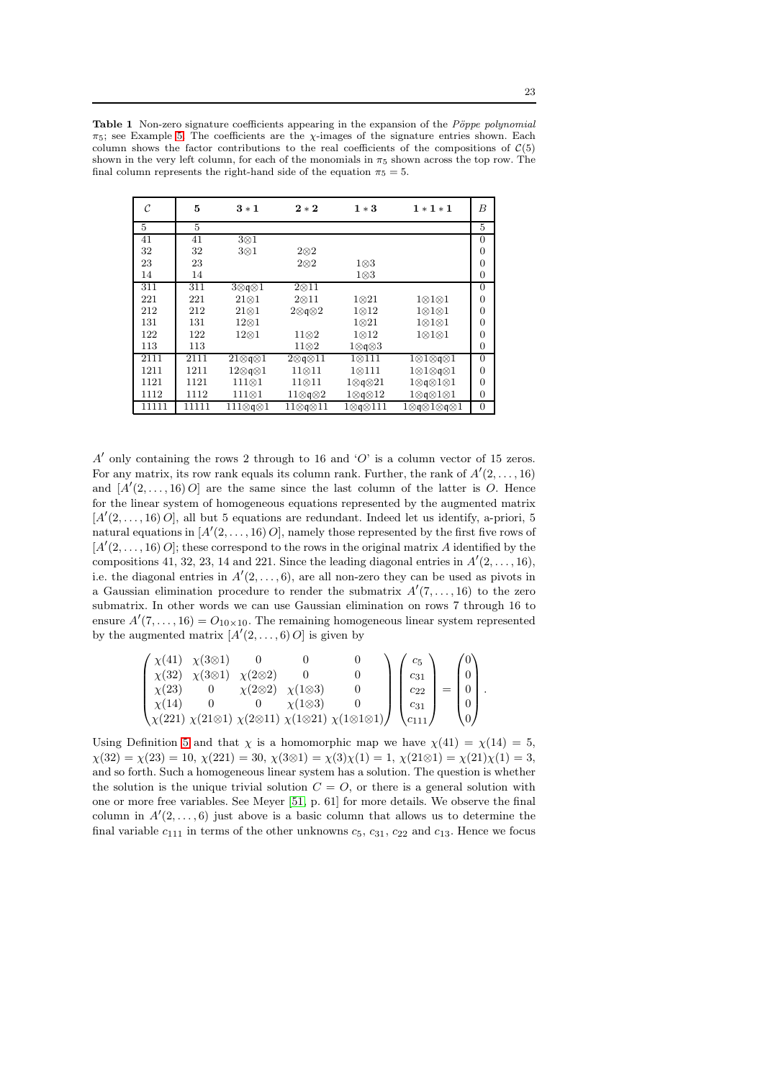<span id="page-22-0"></span>Table 1 Non-zero signature coefficients appearing in the expansion of the *Pöppe polynomial*  $\pi_5$ ; see Example [5.](#page-20-2) The coefficients are the  $\chi$ -images of the signature entries shown. Each column shows the factor contributions to the real coefficients of the compositions of  $\mathcal{C}(5)$ shown in the very left column, for each of the monomials in  $\pi_5$  shown across the top row. The final column represents the right-hand side of the equation  $\pi_5 = 5$ .

| $\mathcal{C}_{0}$ | 5     | $3*1$                    | $2 * 2$                             | $1*3$                               | $1 * 1 * 1$                       | В                |
|-------------------|-------|--------------------------|-------------------------------------|-------------------------------------|-----------------------------------|------------------|
| $\overline{5}$    | 5     |                          |                                     |                                     |                                   | 5                |
| 41                | 41    | $3 \otimes 1$            |                                     |                                     |                                   | $\boldsymbol{0}$ |
| 32                | 32    | $3 \otimes 1$            | $2 \otimes 2$                       |                                     |                                   | $\boldsymbol{0}$ |
| 23                | 23    |                          | $2 \otimes 2$                       | $1 \otimes 3$                       |                                   | $\boldsymbol{0}$ |
| 14                | 14    |                          |                                     | $1 \otimes 3$                       |                                   | $\overline{0}$   |
| 311               | 311   | $3\otimes q\otimes 1$    | 2@11                                |                                     |                                   | $\overline{0}$   |
| 221               | 221   | $21 \otimes 1$           | $2 \otimes 11$                      | $1 \otimes 21$                      | $1 \otimes 1 \otimes 1$           | $\boldsymbol{0}$ |
| 212               | 212   | $21 \otimes 1$           | $2\otimes q\otimes 2$               | $1 \otimes 12$                      | $1 \otimes 1 \otimes 1$           | $\theta$         |
| 131               | 131   | $12\otimes 1$            |                                     | $1 \otimes 21$                      | $1 \otimes 1 \otimes 1$           | $\theta$         |
| 122               | 122   | $12\otimes 1$            | $11\otimes 2$                       | $1 \otimes 12$                      | $1 \otimes 1 \otimes 1$           | $\theta$         |
| 113               | 113   |                          | $11\otimes 2$                       | $1 \otimes q \otimes 3$             |                                   | $\theta$         |
| 2111              | 2111  | $21 \otimes q \otimes 1$ | $2 \otimes \mathfrak{q} \otimes 11$ | $1 \otimes 111$                     | $1 \otimes 1 \otimes q \otimes 1$ | $\overline{0}$   |
| 1211              | 1211  | $12\otimes q\otimes 1$   | $11 \otimes 11$                     | $1 \otimes 111$                     | $1 \otimes 1 \otimes q \otimes 1$ | $\theta$         |
| 1121              | 1121  | $111 \otimes 1$          | $11 \otimes 11$                     | $1 \otimes q \otimes 21$            | $1 \otimes q \otimes 1 \otimes 1$ | $\theta$         |
| 1112              | 1112  | $111\otimes 1$           | $11\otimes q\otimes 2$              | $1 \otimes \mathfrak{q} \otimes 12$ | $1 \otimes q \otimes 1 \otimes 1$ | $\theta$         |
| T1111             | 11111 | $111\otimes q\otimes 1$  | $11 \otimes q \otimes 11$           | 1⊗q⊗111                             | 1⊗q⊗1⊗q⊗1                         | $\overline{0}$   |

 $A'$  only containing the rows 2 through to 16 and 'O' is a column vector of 15 zeros. For any matrix, its row rank equals its column rank. Further, the rank of  $A'(2,\ldots,16)$ and  $[A'(2, \ldots, 16) O]$  are the same since the last column of the latter is O. Hence for the linear system of homogeneous equations represented by the augmented matrix  $[A'(2, \ldots, 16) O]$ , all but 5 equations are redundant. Indeed let us identify, a-priori, 5 natural equations in  $[A'(2, \ldots, 16) O]$ , namely those represented by the first five rows of  $[A'(2,\ldots,16) O]$ ; these correspond to the rows in the original matrix A identified by the compositions 41, 32, 23, 14 and 221. Since the leading diagonal entries in  $A'(2,\ldots,16)$ , i.e. the diagonal entries in  $A'(2,\ldots,6)$ , are all non-zero they can be used as pivots in a Gaussian elimination procedure to render the submatrix  $A'(7, \ldots, 16)$  to the zero submatrix. In other words we can use Gaussian elimination on rows 7 through 16 to ensure  $A'$ (7, ..., 16) =  $O_{10 \times 10}$ . The remaining homogeneous linear system represented by the augmented matrix  $[A'(2,\ldots,6) O]$  is given by

$$
\begin{pmatrix} \chi(41) & \chi(3\otimes 1) & 0 & 0 & 0 \\ \chi(32) & \chi(3\otimes 1) & \chi(2\otimes 2) & 0 & 0 \\ \chi(23) & 0 & \chi(2\otimes 2) & \chi(1\otimes 3) & 0 \\ \chi(14) & 0 & 0 & \chi(1\otimes 3) & 0 \\ \chi(221) & \chi(21\otimes 1) & \chi(2\otimes 11) & \chi(1\otimes 21) & \chi(1\otimes 1\otimes 1) \end{pmatrix} \begin{pmatrix} c_5 \\ c_{31} \\ c_{22} \\ c_{31} \\ c_{111} \end{pmatrix} = \begin{pmatrix} 0 \\ 0 \\ 0 \\ 0 \end{pmatrix}.
$$

Using Definition [5](#page-11-1) and that  $\chi$  is a homomorphic map we have  $\chi(41) = \chi(14) = 5$ ,  $\chi(32) = \chi(23) = 10, \ \chi(221) = 30, \ \chi(3 \otimes 1) = \chi(3)\chi(1) = 1, \ \chi(21 \otimes 1) = \chi(21)\chi(1) = 3,$ and so forth. Such a homogeneous linear system has a solution. The question is whether the solution is the unique trivial solution  $C = O$ , or there is a general solution with one or more free variables. See Meyer [\[51,](#page-38-21) p. 61] for more details. We observe the final column in  $A'(2,\ldots,6)$  just above is a basic column that allows us to determine the final variable  $c_{111}$  in terms of the other unknowns  $c_5$ ,  $c_{31}$ ,  $c_{22}$  and  $c_{13}$ . Hence we focus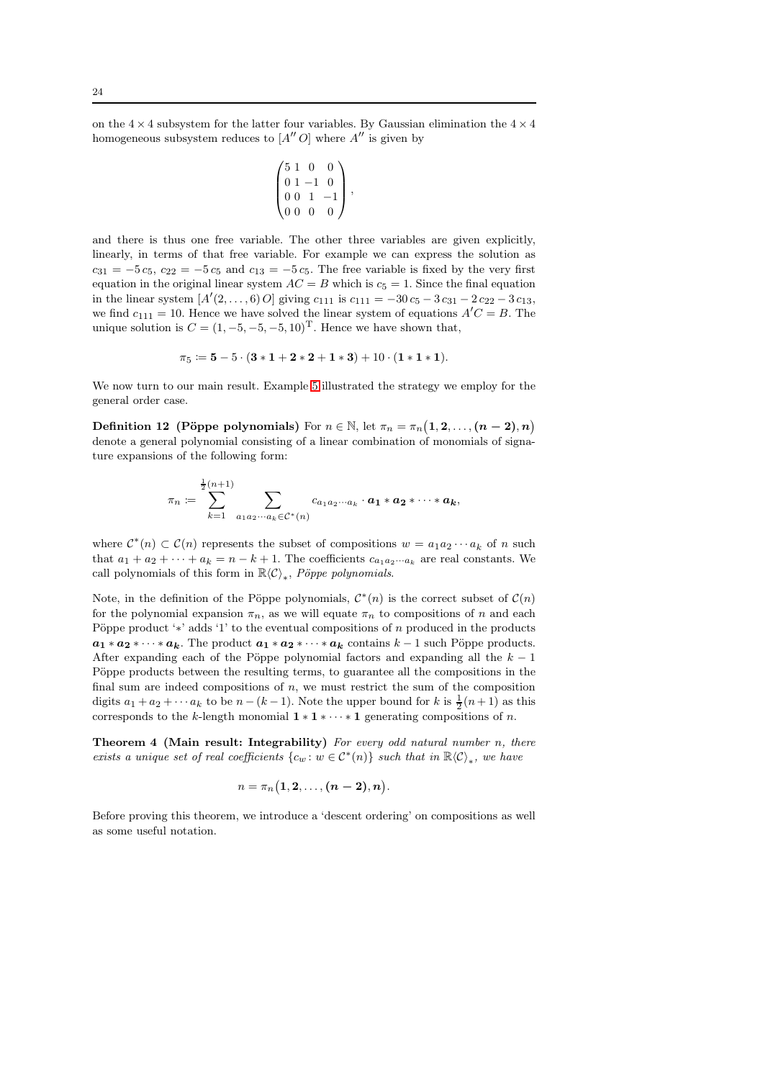on the  $4 \times 4$  subsystem for the latter four variables. By Gaussian elimination the  $4 \times 4$ homogeneous subsystem reduces to  $[A''O]$  where  $A''$  is given by

$$
\begin{pmatrix} 5 & 1 & 0 & 0 \\ 0 & 1 & -1 & 0 \\ 0 & 0 & 1 & -1 \\ 0 & 0 & 0 & 0 \end{pmatrix},
$$

and there is thus one free variable. The other three variables are given explicitly, linearly, in terms of that free variable. For example we can express the solution as  $c_{31} = -5 c_5$ ,  $c_{22} = -5 c_5$  and  $c_{13} = -5 c_5$ . The free variable is fixed by the very first equation in the original linear system  $AC = B$  which is  $c<sub>5</sub> = 1$ . Since the final equation in the linear system  $[A'(2, ..., 6) O]$  giving  $c_{111}$  is  $c_{111} = -30 c_5 - 3 c_{31} - 2 c_{22} - 3 c_{13}$ , we find  $c_{111} = 10$ . Hence we have solved the linear system of equations  $A'C = B$ . The unique solution is  $C = (1, -5, -5, -5, 10)^T$ . Hence we have shown that,

$$
\pi_5 \coloneqq \mathbf{5} - 5 \cdot (\mathbf{3} * \mathbf{1} + \mathbf{2} * \mathbf{2} + \mathbf{1} * \mathbf{3}) + 10 \cdot (\mathbf{1} * \mathbf{1} * \mathbf{1}).
$$

We now turn to our main result. Example [5](#page-20-2) illustrated the strategy we employ for the general order case.

Definition 12 (Pöppe polynomials) For  $n \in \mathbb{N}$ , let  $\pi_n = \pi_n(1, 2, \ldots, (n-2), n)$ denote a general polynomial consisting of a linear combination of monomials of signature expansions of the following form:

$$
\pi_n\coloneqq\sum_{k=1}^{\frac{1}{2}(n+1)}\sum_{a_1a_2\cdots a_k\in\mathcal{C}^*(n)}c_{a_1a_2\cdots a_k}\cdot a_1*a_2*\cdots*a_k,
$$

where  $C^*(n) \subset C(n)$  represents the subset of compositions  $w = a_1 a_2 \cdots a_k$  of n such that  $a_1 + a_2 + \cdots + a_k = n - k + 1$ . The coefficients  $c_{a_1 a_2 \cdots a_k}$  are real constants. We call polynomials of this form in  $\mathbb{R}\langle \mathcal{C} \rangle_*$ , Pöppe polynomials.

Note, in the definition of the Pöppe polynomials,  $\mathcal{C}^*(n)$  is the correct subset of  $\mathcal{C}(n)$ for the polynomial expansion  $\pi_n$ , as we will equate  $\pi_n$  to compositions of n and each Pöppe product ' $*$ ' adds '1' to the eventual compositions of n produced in the products  $a_1 * a_2 * \cdots * a_k$ . The product  $a_1 * a_2 * \cdots * a_k$  contains  $k-1$  such Pöppe products. After expanding each of the Pöppe polynomial factors and expanding all the  $k - 1$ Pöppe products between the resulting terms, to guarantee all the compositions in the final sum are indeed compositions of  $n$ , we must restrict the sum of the composition digits  $a_1 + a_2 + \cdots + a_k$  to be  $n - (k - 1)$ . Note the upper bound for k is  $\frac{1}{2}(n + 1)$  as this corresponds to the k-length monomial  $1 * 1 * \cdots * 1$  generating compositions of n.

Theorem 4 (Main result: Integrability) For every odd natural number n, there exists a unique set of real coefficients  $\{c_w : w \in C^*(n)\}$  such that in  $\mathbb{R}\langle C \rangle_*$ , we have

<span id="page-23-1"></span><span id="page-23-0"></span>
$$
n=\pi_n\big(1,2,\ldots,(n-2),n\big).
$$

Before proving this theorem, we introduce a 'descent ordering' on compositions as well as some useful notation.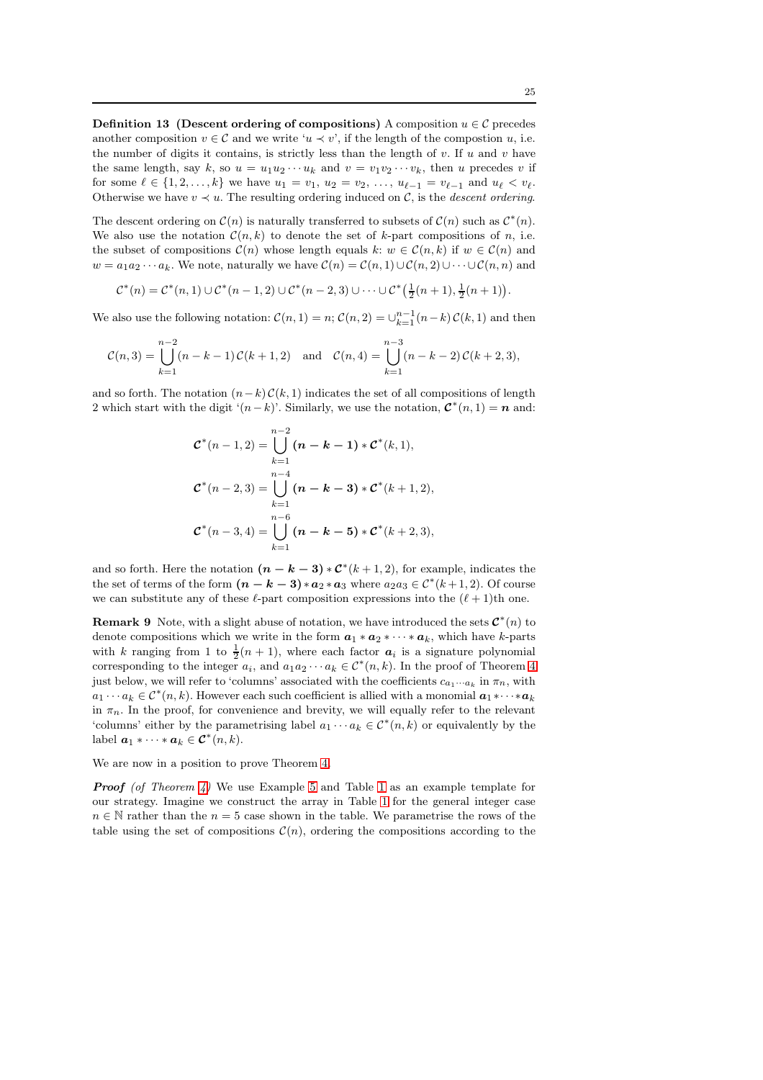**Definition 13** (Descent ordering of compositions) A composition  $u \in \mathcal{C}$  precedes another composition  $v \in \mathcal{C}$  and we write ' $u \prec v$ ', if the length of the composition u, i.e. the number of digits it contains, is strictly less than the length of v. If u and v have the same length, say k, so  $u = u_1u_2\cdots u_k$  and  $v = v_1v_2\cdots v_k$ , then u precedes v if for some  $\ell \in \{1, 2, ..., k\}$  we have  $u_1 = v_1, u_2 = v_2, ..., u_{\ell-1} = v_{\ell-1}$  and  $u_{\ell} < v_{\ell}$ . Otherwise we have  $v \prec u$ . The resulting ordering induced on C, is the *descent ordering*.

The descent ordering on  $\mathcal{C}(n)$  is naturally transferred to subsets of  $\mathcal{C}(n)$  such as  $\mathcal{C}^*(n)$ . We also use the notation  $C(n, k)$  to denote the set of k-part compositions of n, i.e. the subset of compositions  $\mathcal{C}(n)$  whose length equals k:  $w \in \mathcal{C}(n, k)$  if  $w \in \mathcal{C}(n)$  and  $w = a_1 a_2 \cdots a_k$ . We note, naturally we have  $\mathcal{C}(n) = \mathcal{C}(n, 1) \cup \mathcal{C}(n, 2) \cup \cdots \cup \mathcal{C}(n, n)$  and

$$
\mathcal{C}^*(n) = \mathcal{C}^*(n,1) \cup \mathcal{C}^*(n-1,2) \cup \mathcal{C}^*(n-2,3) \cup \cdots \cup \mathcal{C}^*(\frac{1}{2}(n+1),\frac{1}{2}(n+1)).
$$

We also use the following notation:  $\mathcal{C}(n, 1) = n$ ;  $\mathcal{C}(n, 2) = \bigcup_{k=1}^{n-1} (n-k) \mathcal{C}(k, 1)$  and then

$$
\mathcal{C}(n,3) = \bigcup_{k=1}^{n-2} (n-k-1)\,\mathcal{C}(k+1,2) \quad \text{and} \quad \mathcal{C}(n,4) = \bigcup_{k=1}^{n-3} (n-k-2)\,\mathcal{C}(k+2,3),
$$

and so forth. The notation  $(n-k)\mathcal{C}(k,1)$  indicates the set of all compositions of length 2 which start with the digit ' $(n-k)$ '. Similarly, we use the notation,  $\mathcal{C}^*(n,1) = n$  and:

$$
\mathcal{C}^*(n-1,2) = \bigcup_{k=1}^{n-2} (n-k-1) * \mathcal{C}^*(k,1),
$$
  

$$
\mathcal{C}^*(n-2,3) = \bigcup_{k=1}^{n-4} (n-k-3) * \mathcal{C}^*(k+1,2),
$$
  

$$
\mathcal{C}^*(n-3,4) = \bigcup_{k=1}^{n-6} (n-k-5) * \mathcal{C}^*(k+2,3),
$$

and so forth. Here the notation  $(n - k - 3) * C^{*}(k + 1, 2)$ , for example, indicates the the set of terms of the form  $(n - k - 3) * a_2 * a_3$  where  $a_2 a_3 \in C^*(k + 1, 2)$ . Of course we can substitute any of these  $\ell$ -part composition expressions into the  $(\ell + 1)$ th one.

**Remark 9** Note, with a slight abuse of notation, we have introduced the sets  $\mathcal{C}^*(n)$  to denote compositions which we write in the form  $a_1 * a_2 * \cdots * a_k$ , which have k-parts with k ranging from 1 to  $\frac{1}{2}(n+1)$ , where each factor  $a_i$  is a signature polynomial corresponding to the integer  $a_i$ , and  $a_1 a_2 \cdots a_k \in C^*(n,k)$ . In the proof of Theorem [4](#page-23-0) just below, we will refer to 'columns' associated with the coefficients  $c_{a_1\cdots a_k}$  in  $\pi_n$ , with  $a_1 \cdots a_k \in C^*(n, k)$ . However each such coefficient is allied with a monomial  $a_1 \cdots a_k$ in  $\pi_n$ . In the proof, for convenience and brevity, we will equally refer to the relevant 'columns' either by the parametrising label  $a_1 \cdots a_k \in C^*(n,k)$  or equivalently by the label  $\mathbf{a}_1 \ast \cdots \ast \mathbf{a}_k \in \mathcal{C}^*(n,k)$ .

We are now in a position to prove Theorem [4.](#page-23-0)

**Proof** (of Theorem [4\)](#page-23-0) We use Example [5](#page-20-2) and Table [1](#page-22-0) as an example template for our strategy. Imagine we construct the array in Table [1](#page-22-0) for the general integer case  $n \in \mathbb{N}$  rather than the  $n = 5$  case shown in the table. We parametrise the rows of the table using the set of compositions  $\mathcal{C}(n)$ , ordering the compositions according to the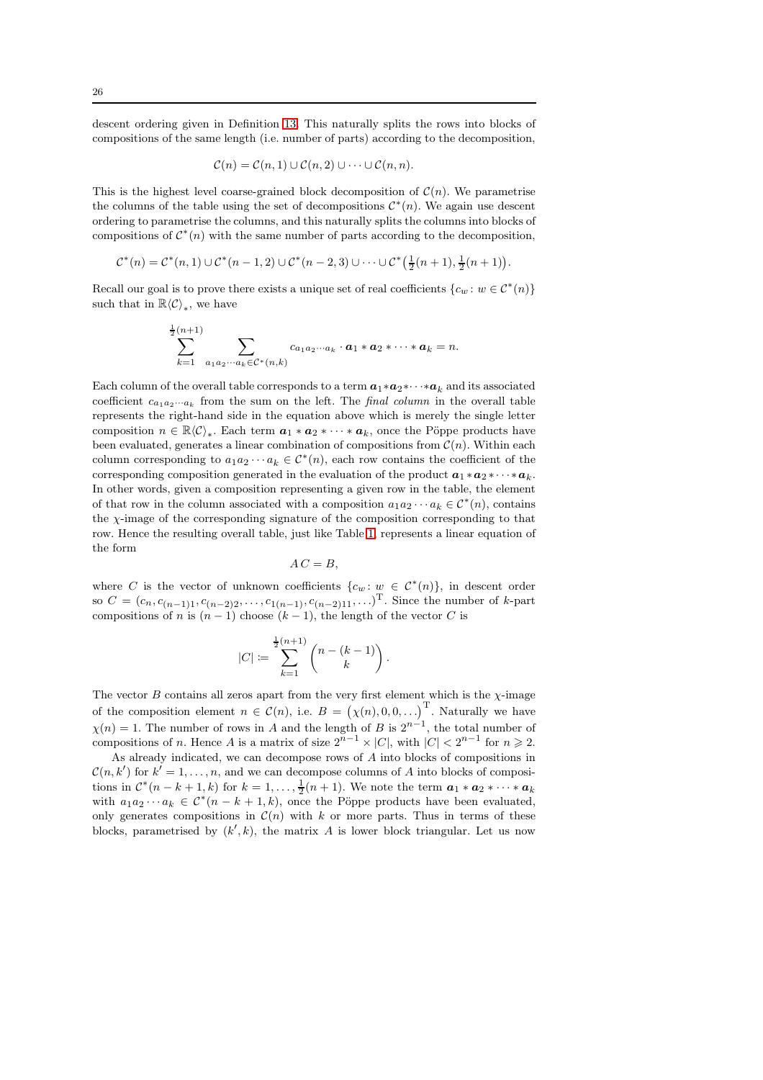descent ordering given in Definition [13.](#page-23-1) This naturally splits the rows into blocks of compositions of the same length (i.e. number of parts) according to the decomposition,

$$
\mathcal{C}(n) = \mathcal{C}(n,1) \cup \mathcal{C}(n,2) \cup \cdots \cup \mathcal{C}(n,n).
$$

This is the highest level coarse-grained block decomposition of  $\mathcal{C}(n)$ . We parametrise the columns of the table using the set of decompositions  $\mathcal{C}^*(n)$ . We again use descent ordering to parametrise the columns, and this naturally splits the columns into blocks of compositions of  $\mathcal{C}^*(n)$  with the same number of parts according to the decomposition,

$$
\mathcal{C}^*(n) = \mathcal{C}^*(n, 1) \cup \mathcal{C}^*(n-1, 2) \cup \mathcal{C}^*(n-2, 3) \cup \dots \cup \mathcal{C}^*\left(\frac{1}{2}(n+1), \frac{1}{2}(n+1)\right)
$$

.

Recall our goal is to prove there exists a unique set of real coefficients  $\{c_w : w \in C^*(n)\}$ such that in  $\mathbb{R}\langle \mathcal{C} \rangle_*,$  we have

$$
\sum_{k=1}^{\frac{1}{2}(n+1)} \sum_{a_1a_2\cdots a_k \in \mathcal{C}^*(n,k)} c_{a_1a_2\cdots a_k} \cdot \mathbf{a}_1 \cdot \mathbf{a}_2 \cdot \cdots \cdot \mathbf{a}_k = n.
$$

Each column of the overall table corresponds to a term  $a_1*a_2*\cdots*a_k$  and its associated coefficient  $c_{a_1a_2\cdots a_k}$  from the sum on the left. The *final column* in the overall table represents the right-hand side in the equation above which is merely the single letter composition  $n \in \mathbb{R}\langle \mathcal{C} \rangle_*$ . Each term  $a_1 * a_2 * \cdots * a_k$ , once the Pöppe products have been evaluated, generates a linear combination of compositions from  $\mathcal{C}(n)$ . Within each column corresponding to  $a_1 a_2 \cdots a_k \in C^*(n)$ , each row contains the coefficient of the corresponding composition generated in the evaluation of the product  $a_1 * a_2 * \cdots * a_k$ . In other words, given a composition representing a given row in the table, the element of that row in the column associated with a composition  $a_1 a_2 \cdots a_k \in C^*(n)$ , contains the  $\chi$ -image of the corresponding signature of the composition corresponding to that row. Hence the resulting overall table, just like Table [1,](#page-22-0) represents a linear equation of the form

$$
AC = B,
$$

where C is the vector of unknown coefficients  $\{c_w : w \in C^*(n)\},\$ in descent order so  $C = (c_n, c_{(n-1)1}, c_{(n-2)2}, \ldots, c_{1(n-1)}, c_{(n-2)11}, \ldots)^{\mathrm{T}}$ . Since the number of k-part compositions of n is  $(n-1)$  choose  $(k-1)$ , the length of the vector C is

$$
|C| \coloneqq \sum_{k=1}^{\frac{1}{2}(n+1)} \binom{n-(k-1)}{k}\,.
$$

The vector B contains all zeros apart from the very first element which is the  $\chi$ -image of the composition element  $n \in \mathcal{C}(n)$ , i.e.  $B = (\chi(n), 0, 0, ...)$ <sup>T</sup>. Naturally we have  $\chi(n) = 1$ . The number of rows in A and the length of B is  $2^{n-1}$ , the total number of compositions of n. Hence A is a matrix of size  $2^{n-1} \times |C|$ , with  $|C| < 2^{n-1}$  for  $n \ge 2$ .

As already indicated, we can decompose rows of A into blocks of compositions in  $\mathcal{C}(n, k')$  for  $k' = 1, \ldots, n$ , and we can decompose columns of A into blocks of compositions in  $\mathcal{C}^*(n-k+1,k)$  for  $k=1,\ldots,\frac{1}{2}(n+1)$ . We note the term  $a_1 * a_2 * \cdots * a_k$ with  $a_1 a_2 \cdots a_k \in C^*(n-k+1,k)$ , once the Pöppe products have been evaluated, only generates compositions in  $\mathcal{C}(n)$  with k or more parts. Thus in terms of these blocks, parametrised by  $(k', k)$ , the matrix A is lower block triangular. Let us now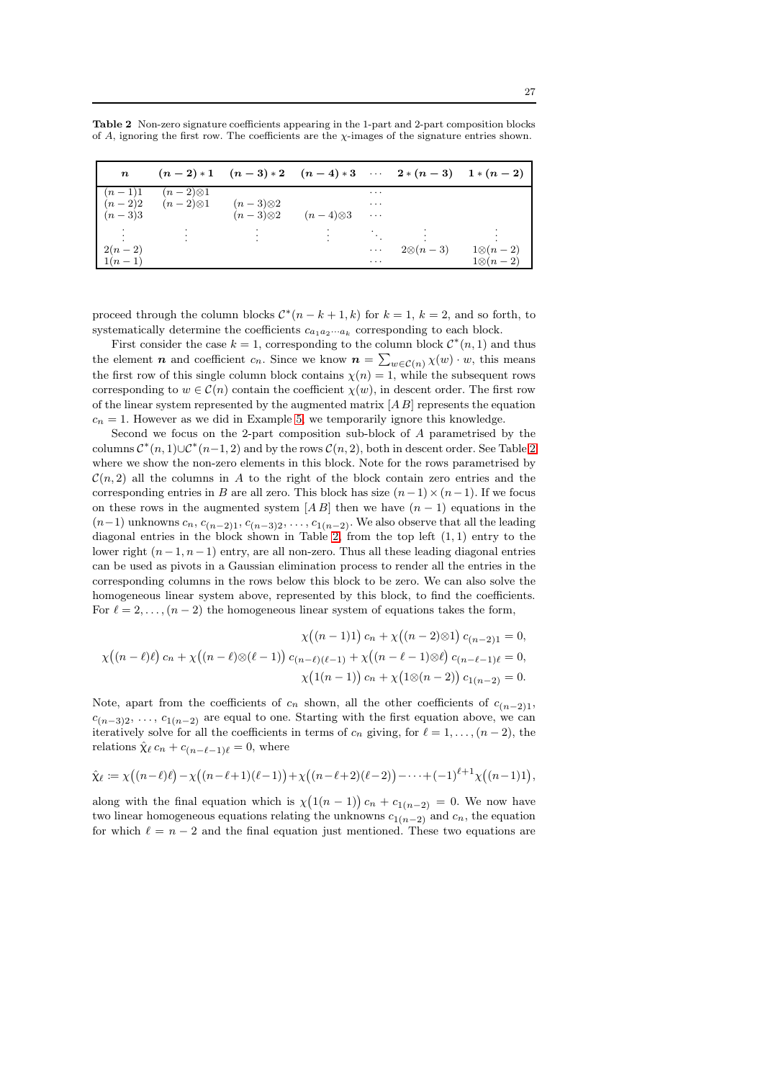| $\boldsymbol{n}$                                |                                            | $(n-2)*1$ $(n-3)*2$ $(n-4)*3$ $\cdots$ $2*(n-3)$ $1*(n-2)$ |                                   |            |                  |                  |
|-------------------------------------------------|--------------------------------------------|------------------------------------------------------------|-----------------------------------|------------|------------------|------------------|
| $(n-1)1$                                        | $(n-2)\otimes 1$                           |                                                            |                                   | $\cdots$   |                  |                  |
|                                                 | $(n-2)2$ $(n-2)\otimes 1$ $(n-3)\otimes 2$ |                                                            |                                   | $\cdots$   |                  |                  |
| $(n-3)3$                                        |                                            |                                                            | $(n-3)\otimes 2$ $(n-4)\otimes 3$ | $\cdots$   |                  |                  |
|                                                 |                                            | $\ddot{\phantom{1}}$                                       | $\cdot$                           |            |                  |                  |
|                                                 |                                            |                                                            |                                   |            |                  |                  |
| $\begin{array}{c} 2(n-2) \\ 1(n-1) \end{array}$ |                                            |                                                            |                                   | $\ldots$ . | $2\otimes (n-3)$ | $1\otimes (n-2)$ |
|                                                 |                                            |                                                            |                                   | .          |                  | $1\otimes (n-2)$ |

<span id="page-26-0"></span>Table 2 Non-zero signature coefficients appearing in the 1-part and 2-part composition blocks of A, ignoring the first row. The coefficients are the  $\chi$ -images of the signature entries shown.

proceed through the column blocks  $C^*(n-k+1, k)$  for  $k = 1, k = 2$ , and so forth, to systematically determine the coefficients  $c_{a_1a_2\cdots a_k}$  corresponding to each block.

First consider the case  $k = 1$ , corresponding to the column block  $\mathcal{C}^*(n, 1)$  and thus the element **n** and coefficient  $c_n$ . Since we know  $n = \sum_{w \in \mathcal{C}(n)} \chi(w) \cdot w$ , this means the first row of this single column block contains  $\chi(n) = 1$ , while the subsequent rows corresponding to  $w \in \mathcal{C}(n)$  contain the coefficient  $\chi(w)$ , in descent order. The first row of the linear system represented by the augmented matrix  $[A B]$  represents the equation  $c_n = 1$ . However as we did in Example [5,](#page-20-2) we temporarily ignore this knowledge.

Second we focus on the 2-part composition sub-block of A parametrised by the columns  $\mathcal{C}^*(n,1)\cup\mathcal{C}^*(n-1,2)$  and by the rows  $\mathcal{C}(n,2)$ , both in descent order. See Table [2](#page-26-0) where we show the non-zero elements in this block. Note for the rows parametrised by  $\mathcal{C}(n, 2)$  all the columns in A to the right of the block contain zero entries and the corresponding entries in B are all zero. This block has size  $(n-1)\times(n-1)$ . If we focus on these rows in the augmented system  $\vert AB \vert$  then we have  $(n-1)$  equations in the  $(n-1)$  unknowns  $c_n$ ,  $c_{(n-2)1}$ ,  $c_{(n-3)2}$ , ...,  $c_{1(n-2)}$ . We also observe that all the leading diagonal entries in the block shown in Table [2,](#page-26-0) from the top left  $(1, 1)$  entry to the lower right  $(n-1, n-1)$  entry, are all non-zero. Thus all these leading diagonal entries can be used as pivots in a Gaussian elimination process to render all the entries in the corresponding columns in the rows below this block to be zero. We can also solve the homogeneous linear system above, represented by this block, to find the coefficients. For  $\ell = 2, \ldots, (n-2)$  the homogeneous linear system of equations takes the form,

$$
\chi((n-1)1) c_n + \chi((n-2) \otimes 1) c_{(n-2)1} = 0,
$$
  

$$
\chi((n-\ell)\ell) c_n + \chi((n-\ell) \otimes (\ell-1)) c_{(n-\ell)(\ell-1)} + \chi((n-\ell-1) \otimes \ell) c_{(n-\ell-1)\ell} = 0,
$$
  

$$
\chi((n-1)1) c_n + \chi((n-\ell-2) \otimes c_{(n-\ell-1)\ell} = 0).
$$

Note, apart from the coefficients of  $c_n$  shown, all the other coefficients of  $c_{(n-2)1}$ ,  $c_{(n-3)2}, \ldots, c_{1(n-2)}$  are equal to one. Starting with the first equation above, we can iteratively solve for all the coefficients in terms of  $c_n$  giving, for  $\ell = 1, \ldots, (n-2)$ , the relations  $\hat{\chi}_{\ell} c_n + c_{(n-\ell-1)\ell} = 0$ , where

$$
\hat{\chi}_{\ell} := \chi((n-\ell)\ell) - \chi((n-\ell+1)(\ell-1)) + \chi((n-\ell+2)(\ell-2)) - \cdots + (-1)^{\ell+1}\chi((n-1)1),
$$

along with the final equation which is  $\chi(1(n-1)) c_n + c_{1(n-2)} = 0$ . We now have two linear homogeneous equations relating the unknowns  $c_{1(n-2)}$  and  $c_n$ , the equation for which  $\ell = n - 2$  and the final equation just mentioned. These two equations are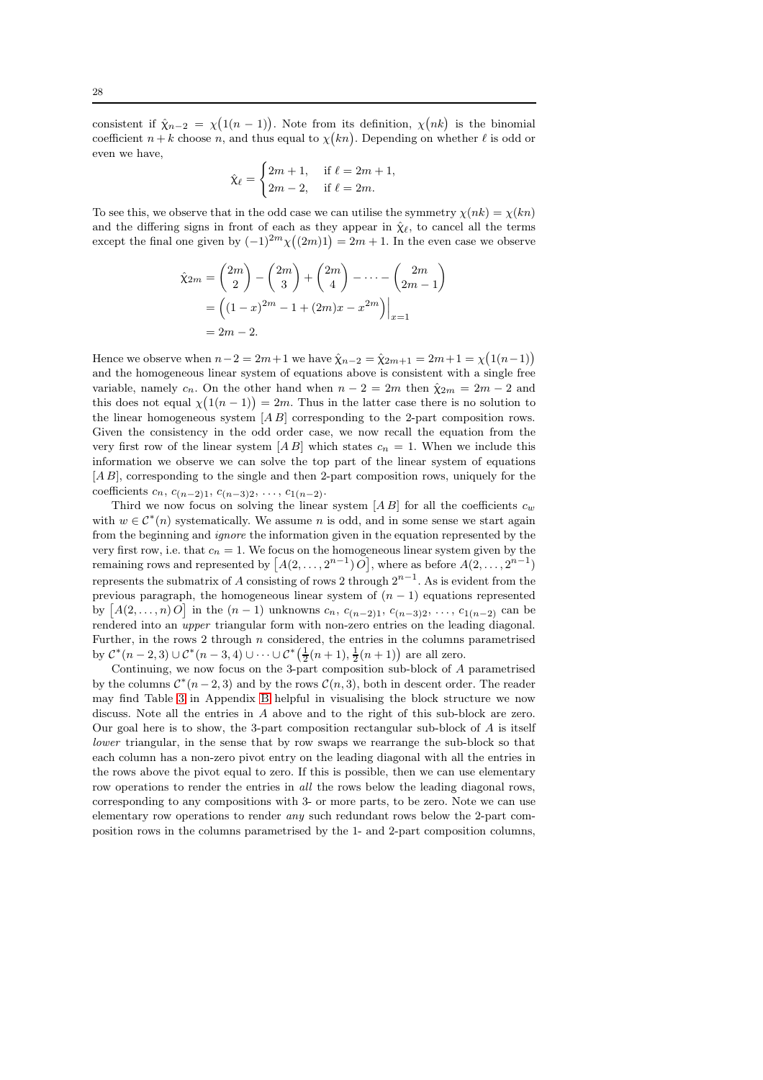consistent if  $\hat{\chi}_{n-2} = \chi(1(n-1))$ . Note from its definition,  $\chi(nk)$  is the binomial coefficient  $n + k$  choose n, and thus equal to  $\chi(kn)$ . Depending on whether  $\ell$  is odd or even we have,

$$
\hat{\chi}_{\ell} = \begin{cases} 2m+1, & \text{if } \ell = 2m+1, \\ 2m-2, & \text{if } \ell = 2m. \end{cases}
$$

To see this, we observe that in the odd case we can utilise the symmetry  $\chi(nk) = \chi(kn)$ and the differing signs in front of each as they appear in  $\hat{\chi}_{\ell}$ , to cancel all the terms except the final one given by  $(-1)^{2m}\chi((2m)1) = 2m + 1$ . In the even case we observe

$$
\hat{\chi}_{2m} = \binom{2m}{2} - \binom{2m}{3} + \binom{2m}{4} - \dots - \binom{2m}{2m-1} \n= \left( (1-x)^{2m} - 1 + (2m)x - x^{2m} \right) \Big|_{x=1} \n= 2m - 2.
$$

Hence we observe when  $n-2=2m+1$  we have  $\hat{\chi}_{n-2} = \hat{\chi}_{2m+1} = 2m+1 = \chi(1(n-1))$ and the homogeneous linear system of equations above is consistent with a single free variable, namely c<sub>n</sub>. On the other hand when  $n-2=2m$  then  $\hat{\chi}_{2m}=2m-2$  and this does not equal  $\chi(1(n-1)) = 2m$ . Thus in the latter case there is no solution to the linear homogeneous system  $[AB]$  corresponding to the 2-part composition rows. Given the consistency in the odd order case, we now recall the equation from the very first row of the linear system [A B] which states  $c_n = 1$ . When we include this information we observe we can solve the top part of the linear system of equations [A B], corresponding to the single and then 2-part composition rows, uniquely for the coefficients  $c_n$ ,  $c_{(n-2)1}$ ,  $c_{(n-3)2}$ , ...,  $c_{1(n-2)}$ .

Third we now focus on solving the linear system  $[AB]$  for all the coefficients  $c_w$ with  $w \in \mathcal{C}^*(n)$  systematically. We assume n is odd, and in some sense we start again from the beginning and ignore the information given in the equation represented by the very first row, i.e. that  $c_n = 1$ . We focus on the homogeneous linear system given by the remaining rows and represented by  $[A(2, \ldots, 2^{n-1}) O],$  where as before  $A(2, \ldots, 2^{n-1})$ represents the submatrix of A consisting of rows 2 through  $2^{n-1}$ . As is evident from the previous paragraph, the homogeneous linear system of  $(n - 1)$  equations represented by  $[A(2, ..., n) O]$  in the  $(n - 1)$  unknowns  $c_n, c_{(n-2)1}, c_{(n-3)2}, ..., c_{1(n-2)}$  can be rendered into an upper triangular form with non-zero entries on the leading diagonal. Further, in the rows 2 through  $n$  considered, the entries in the columns parametrised by  $C^*(n-2,3) \cup C^*(n-3,4) \cup \cdots \cup C^*(\frac{1}{2}(n+1),\frac{1}{2}(n+1))$  are all zero.

Continuing, we now focus on the 3-part composition sub-block of A parametrised by the columns  $\mathcal{C}^*(n-2,3)$  and by the rows  $\mathcal{C}(n,3)$ , both in descent order. The reader may find Table [3](#page-41-0) in Appendix [B](#page-40-0) helpful in visualising the block structure we now discuss. Note all the entries in A above and to the right of this sub-block are zero. Our goal here is to show, the 3-part composition rectangular sub-block of A is itself lower triangular, in the sense that by row swaps we rearrange the sub-block so that each column has a non-zero pivot entry on the leading diagonal with all the entries in the rows above the pivot equal to zero. If this is possible, then we can use elementary row operations to render the entries in *all* the rows below the leading diagonal rows, corresponding to any compositions with 3- or more parts, to be zero. Note we can use elementary row operations to render any such redundant rows below the 2-part composition rows in the columns parametrised by the 1- and 2-part composition columns,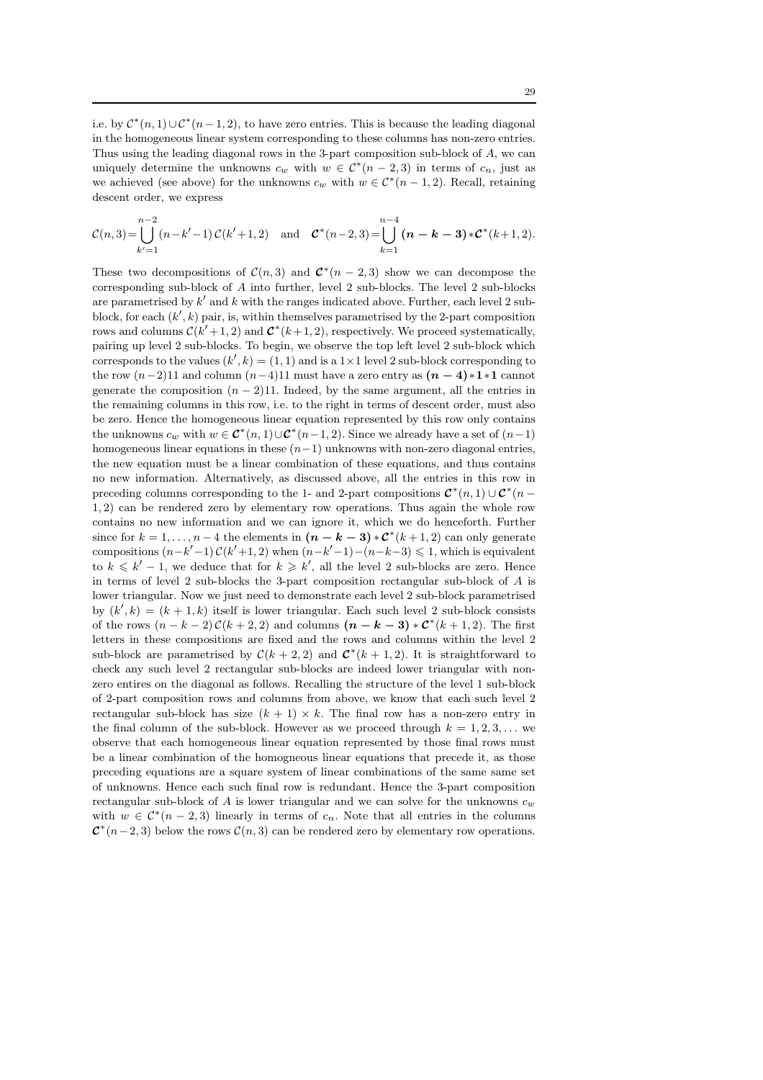i.e. by  $\mathcal{C}^*(n,1) \cup \mathcal{C}^*(n-1,2)$ , to have zero entries. This is because the leading diagonal in the homogeneous linear system corresponding to these columns has non-zero entries. Thus using the leading diagonal rows in the 3-part composition sub-block of A, we can uniquely determine the unknowns  $c_w$  with  $w \in \mathcal{C}^*(n-2,3)$  in terms of  $c_n$ , just as we achieved (see above) for the unknowns  $c_w$  with  $w \in \mathcal{C}^*(n-1,2)$ . Recall, retaining descent order, we express

$$
\mathcal{C}(n,3) = \bigcup_{k'=1}^{n-2} (n-k'-1) \, \mathcal{C}(k'+1,2) \quad \text{and} \quad \mathcal{C}^*(n-2,3) = \bigcup_{k=1}^{n-4} (n-k-3) \cdot \mathcal{C}^*(k+1,2).
$$

These two decompositions of  $C(n,3)$  and  $\mathcal{C}^*(n-2,3)$  show we can decompose the corresponding sub-block of A into further, level 2 sub-blocks. The level 2 sub-blocks are parametrised by  $k'$  and  $k$  with the ranges indicated above. Further, each level 2 subblock, for each  $(k', k)$  pair, is, within themselves parametrised by the 2-part composition rows and columns  $C(k'+1,2)$  and  $\mathcal{C}^*(k+1,2)$ , respectively. We proceed systematically, pairing up level 2 sub-blocks. To begin, we observe the top left level 2 sub-block which corresponds to the values  $(k', k) = (1, 1)$  and is a  $1 \times 1$  level 2 sub-block corresponding to the row  $(n-2)11$  and column  $(n-4)11$  must have a zero entry as  $(n-4)*1*1$  cannot generate the composition  $(n-2)11$ . Indeed, by the same argument, all the entries in the remaining columns in this row, i.e. to the right in terms of descent order, must also be zero. Hence the homogeneous linear equation represented by this row only contains the unknowns  $c_w$  with  $w \in \mathcal{C}^*(n,1) \cup \mathcal{C}^*(n-1,2)$ . Since we already have a set of  $(n-1)$ homogeneous linear equations in these  $(n-1)$  unknowns with non-zero diagonal entries, the new equation must be a linear combination of these equations, and thus contains no new information. Alternatively, as discussed above, all the entries in this row in preceding columns corresponding to the 1- and 2-part compositions  $\mathcal{C}^*(n,1) \cup \mathcal{C}^*(n-1)$ 1, 2) can be rendered zero by elementary row operations. Thus again the whole row contains no new information and we can ignore it, which we do henceforth. Further since for  $k = 1, ..., n-4$  the elements in  $(n - k - 3) * C^{*}(k + 1, 2)$  can only generate compositions  $(n-k'-1) \mathcal{C}(k'+1,2)$  when  $(n-k'-1)-(n-k-3) \leq 1$ , which is equivalent to  $k \leq k'-1$ , we deduce that for  $k \geq k'$ , all the level 2 sub-blocks are zero. Hence in terms of level 2 sub-blocks the 3-part composition rectangular sub-block of A is lower triangular. Now we just need to demonstrate each level 2 sub-block parametrised by  $(k', k) = (k + 1, k)$  itself is lower triangular. Each such level 2 sub-block consists of the rows  $(n - k - 2) \mathcal{C}(k + 2, 2)$  and columns  $(n - k - 3) * \mathcal{C}^*(k + 1, 2)$ . The first letters in these compositions are fixed and the rows and columns within the level 2 sub-block are parametrised by  $C(k+2, 2)$  and  $\mathcal{C}^*(k+1, 2)$ . It is straightforward to check any such level 2 rectangular sub-blocks are indeed lower triangular with nonzero entires on the diagonal as follows. Recalling the structure of the level 1 sub-block of 2-part composition rows and columns from above, we know that each such level 2 rectangular sub-block has size  $(k + 1) \times k$ . The final row has a non-zero entry in the final column of the sub-block. However as we proceed through  $k = 1, 2, 3, \ldots$  we observe that each homogeneous linear equation represented by those final rows must be a linear combination of the homogneous linear equations that precede it, as those preceding equations are a square system of linear combinations of the same same set of unknowns. Hence each such final row is redundant. Hence the 3-part composition rectangular sub-block of A is lower triangular and we can solve for the unknowns  $c_w$ with  $w \in \mathcal{C}^*(n-2,3)$  linearly in terms of  $c_n$ . Note that all entries in the columns  $\mathcal{C}^*(n-2,3)$  below the rows  $\mathcal{C}(n,3)$  can be rendered zero by elementary row operations.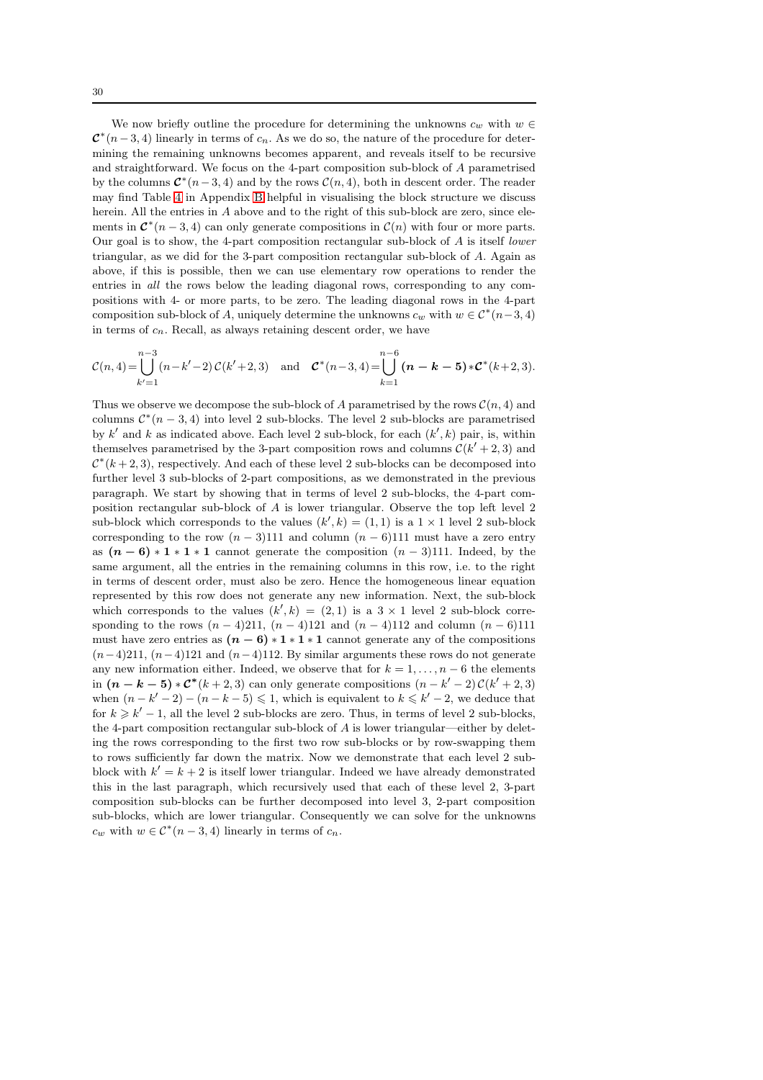We now briefly outline the procedure for determining the unknowns  $c_w$  with  $w \in$  $\mathcal{C}^*(n-3, 4)$  linearly in terms of  $c_n$ . As we do so, the nature of the procedure for determining the remaining unknowns becomes apparent, and reveals itself to be recursive and straightforward. We focus on the 4-part composition sub-block of A parametrised by the columns  $\mathcal{C}^*(n-3, 4)$  and by the rows  $\mathcal{C}(n, 4)$ , both in descent order. The reader may find Table [4](#page-42-0) in Appendix [B](#page-40-0) helpful in visualising the block structure we discuss herein. All the entries in  $A$  above and to the right of this sub-block are zero, since elements in  $\mathcal{C}^*(n-3,4)$  can only generate compositions in  $\mathcal{C}(n)$  with four or more parts. Our goal is to show, the 4-part composition rectangular sub-block of  $A$  is itself *lower* triangular, as we did for the 3-part composition rectangular sub-block of A. Again as above, if this is possible, then we can use elementary row operations to render the entries in all the rows below the leading diagonal rows, corresponding to any compositions with 4- or more parts, to be zero. The leading diagonal rows in the 4-part composition sub-block of A, uniquely determine the unknowns  $c_w$  with  $w \in C^*(n-3, 4)$ in terms of  $c_n$ . Recall, as always retaining descent order, we have

$$
\mathcal{C}(n,4) = \bigcup_{k'=1}^{n-3} (n-k'-2) \, \mathcal{C}(k'+2,3) \quad \text{and} \quad \mathcal{C}^*(n-3,4) = \bigcup_{k=1}^{n-6} (n-k-5) \, * \mathcal{C}^*(k+2,3).
$$

Thus we observe we decompose the sub-block of A parametrised by the rows  $\mathcal{C}(n, 4)$  and columns  $\mathcal{C}^*(n-3,4)$  into level 2 sub-blocks. The level 2 sub-blocks are parametrised by  $k'$  and k as indicated above. Each level 2 sub-block, for each  $(k', k)$  pair, is, within themselves parametrised by the 3-part composition rows and columns  $\mathcal{C}(k'+2,3)$  and  $\mathcal{C}^*(k+2,3)$ , respectively. And each of these level 2 sub-blocks can be decomposed into further level 3 sub-blocks of 2-part compositions, as we demonstrated in the previous paragraph. We start by showing that in terms of level 2 sub-blocks, the 4-part composition rectangular sub-block of A is lower triangular. Observe the top left level 2 sub-block which corresponds to the values  $(k', k) = (1, 1)$  is a  $1 \times 1$  level 2 sub-block corresponding to the row  $(n-3)111$  and column  $(n-6)111$  must have a zero entry as  $(n-6) * 1 * 1 * 1$  cannot generate the composition  $(n-3)$ 111. Indeed, by the same argument, all the entries in the remaining columns in this row, i.e. to the right in terms of descent order, must also be zero. Hence the homogeneous linear equation represented by this row does not generate any new information. Next, the sub-block which corresponds to the values  $(k',k) = (2,1)$  is a  $3 \times 1$  level 2 sub-block corresponding to the rows  $(n-4)211$ ,  $(n-4)121$  and  $(n-4)112$  and column  $(n-6)111$ must have zero entries as  $(n - 6) * 1 * 1 * 1$  cannot generate any of the compositions  $(n-4)211$ ,  $(n-4)121$  and  $(n-4)112$ . By similar arguments these rows do not generate any new information either. Indeed, we observe that for  $k = 1, \ldots, n-6$  the elements  $\lim_{k \to \infty} (n - k - 5) * C^*(k + 2, 3)$  can only generate compositions  $(n - k' - 2) C(k' + 2, 3)$ when  $(n - k' - 2) - (n - k - 5) \leq 1$ , which is equivalent to  $k \leq k' - 2$ , we deduce that for  $k \geq k'-1$ , all the level 2 sub-blocks are zero. Thus, in terms of level 2 sub-blocks, the 4-part composition rectangular sub-block of A is lower triangular—either by deleting the rows corresponding to the first two row sub-blocks or by row-swapping them to rows sufficiently far down the matrix. Now we demonstrate that each level 2 subblock with  $k' = k + 2$  is itself lower triangular. Indeed we have already demonstrated this in the last paragraph, which recursively used that each of these level 2, 3-part composition sub-blocks can be further decomposed into level 3, 2-part composition sub-blocks, which are lower triangular. Consequently we can solve for the unknowns  $c_w$  with  $w \in \mathcal{C}^*(n-3,4)$  linearly in terms of  $c_n$ .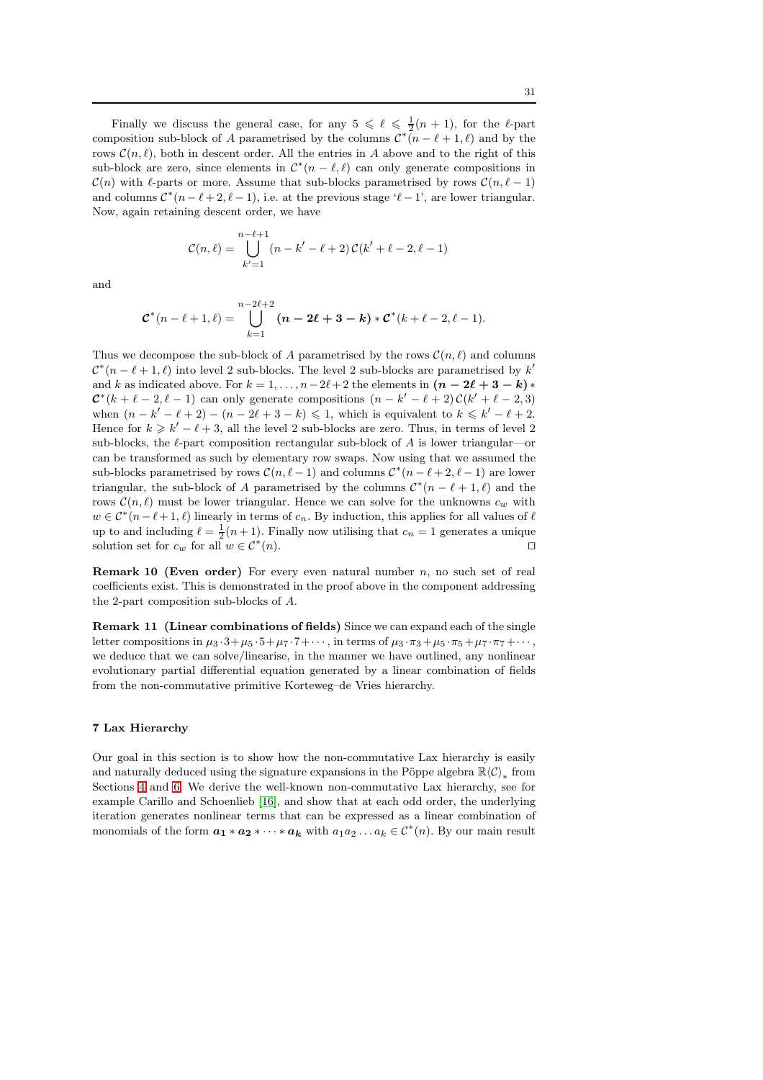Finally we discuss the general case, for any  $5 \leq \ell \leq \frac{1}{2}(n+1)$ , for the  $\ell$ -part composition sub-block of A parametrised by the columns  $\mathcal{C}^*$ ( $\bar{n} - \ell + 1, \ell$ ) and by the rows  $\mathcal{C}(n, \ell)$ , both in descent order. All the entries in A above and to the right of this sub-block are zero, since elements in  $\mathcal{C}^*(n-\ell,\ell)$  can only generate compositions in  $\mathcal{C}(n)$  with  $\ell$ -parts or more. Assume that sub-blocks parametrised by rows  $\mathcal{C}(n, \ell-1)$ and columns  $\mathcal{C}^*(n-\ell+2,\ell-1)$ , i.e. at the previous stage ' $\ell-1$ ', are lower triangular. Now, again retaining descent order, we have

$$
C(n,\ell) = \bigcup_{k'=1}^{n-\ell+1} (n-k'-\ell+2) C(k'+\ell-2,\ell-1)
$$

and

$$
\mathcal{C}^{*}(n-\ell+1,\ell) = \bigcup_{k=1}^{n-2\ell+2} (n-2\ell+3-k) * \mathcal{C}^{*}(k+\ell-2,\ell-1).
$$

Thus we decompose the sub-block of A parametrised by the rows  $\mathcal{C}(n, \ell)$  and columns  $\mathcal{C}^*(n-\ell+1,\ell)$  into level 2 sub-blocks. The level 2 sub-blocks are parametrised by  $k'$ and k as indicated above. For  $k = 1, \ldots, n-2\ell+2$  the elements in  $(n - 2\ell + 3 - k)$ \*  $\mathcal{C}^*(k+\ell-2,\ell-1)$  can only generate compositions  $(n-k'-\ell+2)\,\mathcal{C}(k'+\ell-2,3)$ when  $(n - k' - \ell + 2) - (n - 2\ell + 3 - k) \leq 1$ , which is equivalent to  $k \leq k' - \ell + 2$ . Hence for  $k \geq k' - \ell + 3$ , all the level 2 sub-blocks are zero. Thus, in terms of level 2 sub-blocks, the  $\ell$ -part composition rectangular sub-block of A is lower triangular—or can be transformed as such by elementary row swaps. Now using that we assumed the sub-blocks parametrised by rows  $\mathcal{C}(n, \ell-1)$  and columns  $\mathcal{C}^*(n-\ell+2, \ell-1)$  are lower triangular, the sub-block of A parametrised by the columns  $\mathcal{C}^*(n-\ell+1,\ell)$  and the rows  $\mathcal{C}(n, \ell)$  must be lower triangular. Hence we can solve for the unknowns  $c_w$  with  $w \in \mathcal{C}^*(n-\ell+1,\ell)$  linearly in terms of  $c_n$ . By induction, this applies for all values of  $\ell$ up to and including  $\ell = \frac{1}{2}(n+1)$ . Finally now utilising that  $c_n = 1$  generates a unique solution set for  $c_w$  for all  $w \in C^*(n)$ .  $(n)$ . □

**Remark 10 (Even order)** For every even natural number  $n$ , no such set of real coefficients exist. This is demonstrated in the proof above in the component addressing the 2-part composition sub-blocks of A.

Remark 11 (Linear combinations of fields) Since we can expand each of the single letter compositions in  $\mu_3 \cdot 3 + \mu_5 \cdot 5 + \mu_7 \cdot 7 + \cdots$ , in terms of  $\mu_3 \cdot \pi_3 + \mu_5 \cdot \pi_5 + \mu_7 \cdot \pi_7 + \cdots$ , we deduce that we can solve/linearise, in the manner we have outlined, any nonlinear evolutionary partial differential equation generated by a linear combination of fields from the non-commutative primitive Korteweg–de Vries hierarchy.

### <span id="page-30-0"></span>7 Lax Hierarchy

Our goal in this section is to show how the non-commutative Lax hierarchy is easily and naturally deduced using the signature expansions in the Pöppe algebra  $\mathbb{R}\langle\mathcal{C}\rangle_*$  from Sections [4](#page-13-0) and [6.](#page-20-1) We derive the well-known non-commutative Lax hierarchy, see for example Carillo and Schoenlieb [\[16\]](#page-37-13), and show that at each odd order, the underlying iteration generates nonlinear terms that can be expressed as a linear combination of monomials of the form  $a_1 * a_2 * \cdots * a_k$  with  $a_1 a_2 \ldots a_k \in C^*(n)$ . By our main result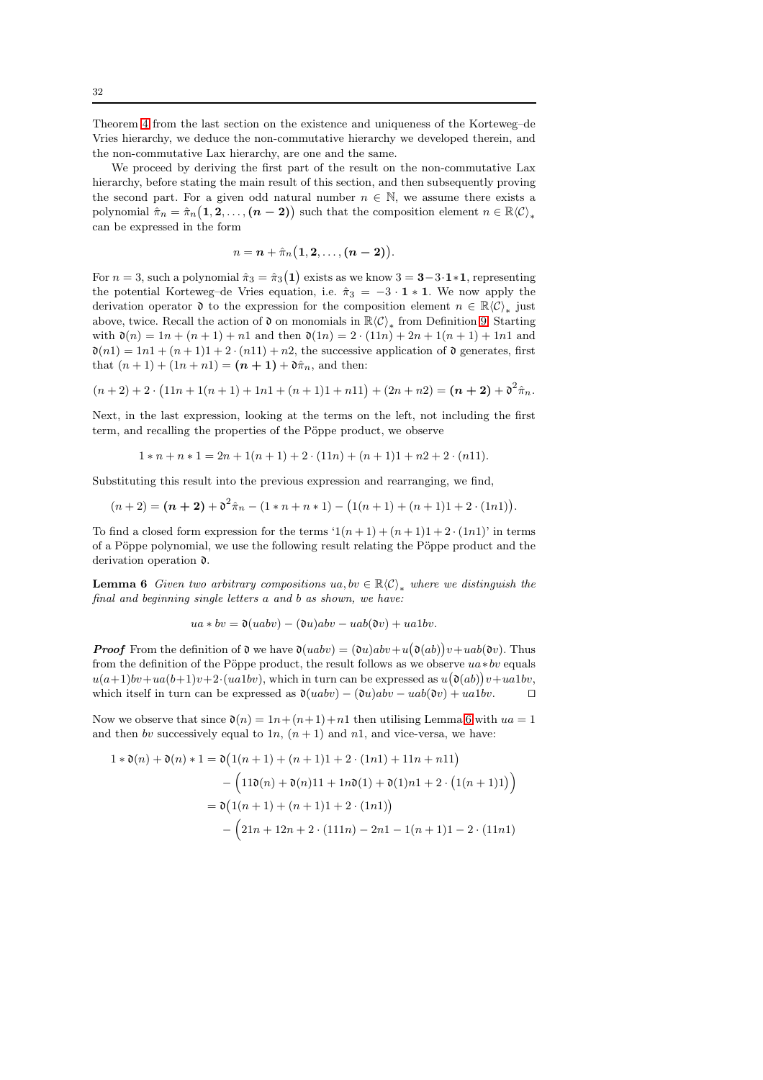Theorem [4](#page-23-0) from the last section on the existence and uniqueness of the Korteweg–de Vries hierarchy, we deduce the non-commutative hierarchy we developed therein, and the non-commutative Lax hierarchy, are one and the same.

We proceed by deriving the first part of the result on the non-commutative Lax hierarchy, before stating the main result of this section, and then subsequently proving the second part. For a given odd natural number  $n \in \mathbb{N}$ , we assume there exists a polynomial  $\hat{\pi}_n = \hat{\pi}_n \big( 1, 2, \ldots, (n-2) \big)$  such that the composition element  $n \in \mathbb{R} \langle C \rangle_*$ can be expressed in the form

$$
n=\boldsymbol n+\hat\pi_n\big(\boldsymbol 1,\boldsymbol 2,\ldots, (\boldsymbol n-\boldsymbol 2)\big).
$$

For  $n=3$ , such a polynomial  $\hat{\pi}_3 = \hat{\pi}_3(1)$  exists as we know  $3 = \mathbf{3} - 3 \cdot \mathbf{1} * \mathbf{1}$ , representing the potential Korteweg–de Vries equation, i.e.  $\hat{\pi}_3 = -3 \cdot 1 \cdot 1$ . We now apply the derivation operator  $\mathfrak d$  to the expression for the composition element  $n \in \mathbb R\langle C \rangle_*$  just above, twice. Recall the action of  $\mathfrak d$  on monomials in  $\mathbb R\langle\mathcal C\rangle_*$  from Definition [9.](#page-15-2) Starting with  $\mathfrak{d}(n) = 1n + (n + 1) + n1$  and then  $\mathfrak{d}(1n) = 2 \cdot (11n) + 2n + 1(n + 1) + 1n1$  and  $\mathfrak{d}(n1) = 1n1 + (n+1)1 + 2 \cdot (n11) + n2$ , the successive application of  $\mathfrak{d}$  generates, first that  $(n+1) + (1n + n1) = (n + 1) + \mathfrak{d}\hat{\pi}_n$ , and then:

$$
(n+2)+2\cdot(11n+1(n+1)+1n1+(n+1)1+n11)+(2n+n2)=(n+2)+\mathfrak{d}^2\hat{\pi}_n.
$$

Next, in the last expression, looking at the terms on the left, not including the first term, and recalling the properties of the Pöppe product, we observe

$$
1 * n + n * 1 = 2n + 1(n + 1) + 2 \cdot (11n) + (n + 1)1 + n2 + 2 \cdot (n11).
$$

Substituting this result into the previous expression and rearranging, we find,

$$
(n+2)=(n+2)+\mathfrak{d}^2\hat{\pi}_n-(1*n+n*1)-\big(1(n+1)+(n+1)1+2\cdot(1n1)\big).
$$

To find a closed form expression for the terms  $(1(n+1)+(n+1)1+2)(1n)$  in terms of a Pöppe polynomial, we use the following result relating the Pöppe product and the derivation operation  $\mathfrak{d}$ .

**Lemma 6** Given two arbitrary compositions ua, bv  $\in \mathbb{R}\langle \mathcal{C} \rangle$ , where we distinguish the final and beginning single letters a and b as shown, we have:

<span id="page-31-0"></span>
$$
ua * bv = \mathfrak{d}(uabv) - (\mathfrak{d}u)abv - uab(\mathfrak{d}v) + ua1bv.
$$

**Proof** From the definition of  $\mathfrak{d}$  we have  $\mathfrak{d}(uabv) = (\mathfrak{d}u)abv + u(\mathfrak{d}(ab))v + uab(\mathfrak{d}v)$ . Thus from the definition of the Pöppe product, the result follows as we observe  $ua * bv$  equals  $u(a+1)bv+ua(b+1)v+2(ua1bv)$ , which in turn can be expressed as  $u(\mathfrak{d}(ab))v+ua1bv$ , which itself in turn can be expressed as  $\mathfrak{d}(uabv) - (\mathfrak{d}u)abv - uab(\mathfrak{d}v) + ua1bv$ . □

Now we observe that since  $\mathfrak{d}(n) = 1n + (n+1) + n1$  then utilising Lemma [6](#page-31-0) with  $ua = 1$ and then bv successively equal to 1n,  $(n + 1)$  and n1, and vice-versa, we have:

$$
1 * \mathfrak{d}(n) + \mathfrak{d}(n) * 1 = \mathfrak{d}(1(n+1) + (n+1)1 + 2 \cdot (1n1) + 11n + n11)
$$
  
 
$$
- (11\mathfrak{d}(n) + \mathfrak{d}(n)11 + 1n\mathfrak{d}(1) + \mathfrak{d}(1)n1 + 2 \cdot (1(n+1)1))
$$
  
 
$$
= \mathfrak{d}(1(n+1) + (n+1)1 + 2 \cdot (1n1))
$$
  
 
$$
- (21n + 12n + 2 \cdot (111n) - 2n1 - 1(n+1)1 - 2 \cdot (11n1))
$$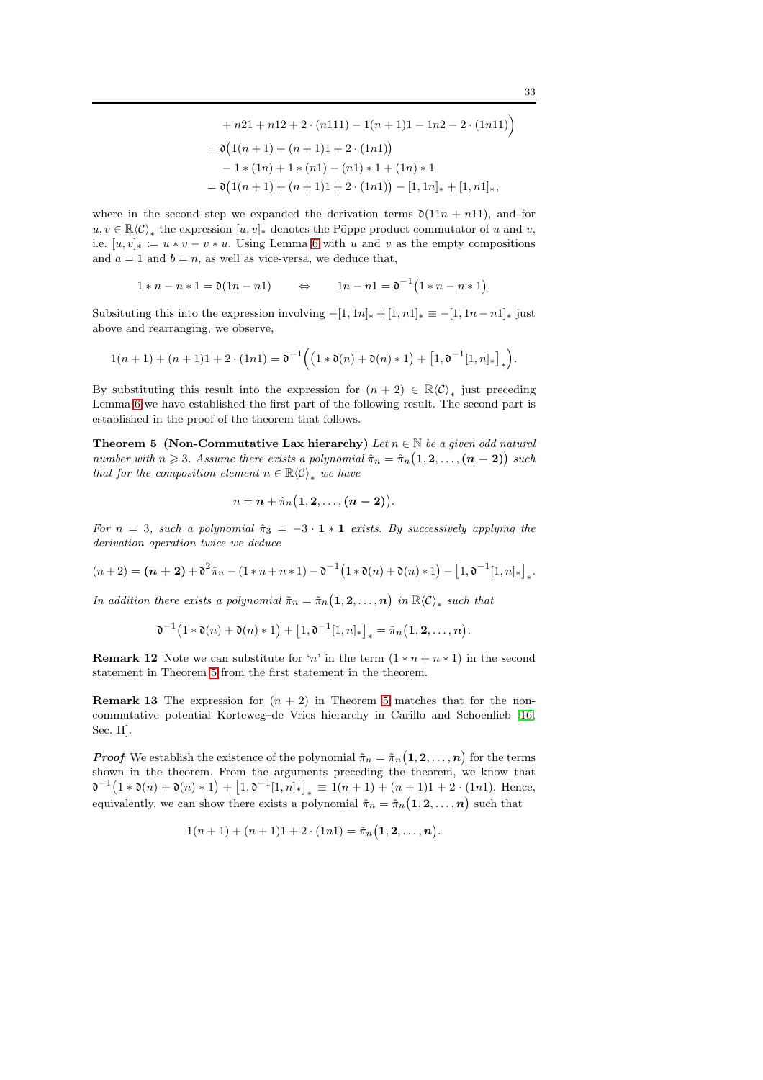$$
+ n21 + n12 + 2 \cdot (n111) - 1(n+1)1 - 1n2 - 2 \cdot (1n11)
$$
  
=  $\mathfrak{d}(1(n+1) + (n+1)1 + 2 \cdot (1n1))$   
 $- 1 * (1n) + 1 * (n1) - (n1) * 1 + (1n) * 1$   
=  $\mathfrak{d}(1(n+1) + (n+1)1 + 2 \cdot (1n1)) - [1, 1n] * + [1, n1] *$ ,

where in the second step we expanded the derivation terms  $\mathfrak{d}(11n + n11)$ , and for  $u, v \in \mathbb{R}\langle \mathcal{C} \rangle_*$  the expression  $[u, v]_*$  denotes the Pöppe product commutator of u and v, i.e.  $[u, v]_* := u * v - v * u$ . Using Lemma [6](#page-31-0) with u and v as the empty compositions and  $a = 1$  and  $b = n$ , as well as vice-versa, we deduce that,

$$
1 * n - n * 1 = \mathfrak{d}(1n - n1) \qquad \Leftrightarrow \qquad 1n - n1 = \mathfrak{d}^{-1}(1 * n - n * 1)
$$

Subsituting this into the expression involving  $-[1, 1n]_* + [1, n1]_* \equiv -[1, 1n - n1]_*$  just above and rearranging, we observe,

$$
1(n+1) + (n+1)1 + 2 \cdot (1n1) = \mathfrak{d}^{-1} \Big( \big( 1 * \mathfrak{d}(n) + \mathfrak{d}(n) * 1 \big) + \big[ 1, \mathfrak{d}^{-1} [1, n] * \big]_* \Big).
$$

By substituting this result into the expression for  $(n + 2) \in \mathbb{R}\langle C \rangle_*$  just preceding Lemma [6](#page-31-0) we have established the first part of the following result. The second part is established in the proof of the theorem that follows.

Theorem 5 (Non-Commutative Lax hierarchy) Let  $n \in \mathbb{N}$  be a given odd natural number with  $n \geqslant 3$ . Assume there exists a polynomial  $\hat{\pi}_n = \hat{\pi}_n (1, 2, \ldots, (n-2))$  such that for the composition element  $n \in \mathbb{R}\langle C \rangle$ , we have

<span id="page-32-0"></span>
$$
n = \boldsymbol{n} + \hat{\pi}_n \big( \boldsymbol{1}, \boldsymbol{2}, \ldots, (n-2) \big).
$$

For  $n = 3$ , such a polynomial  $\hat{\pi}_3 = -3 \cdot 1 * 1$  exists. By successively applying the derivation operation twice we deduce

$$
(n+2) = (n+2) + \mathfrak{d}^2 \hat{\pi}_n - (1*n+n*1) - \mathfrak{d}^{-1} (1*\mathfrak{d}(n) + \mathfrak{d}(n) + 1) - [1, \mathfrak{d}^{-1} [1, n]_*].
$$

In addition there exists a polynomial  $\tilde{\pi}_n = \tilde{\pi}_n (1, 2, \ldots, n)$  in  $\mathbb{R}\langle C \rangle_*$  such that

$$
\mathfrak{d}^{-1}\big(1*\mathfrak{d}(n)+\mathfrak{d}(n)*1\big)+\big[1,\mathfrak{d}^{-1}[1,n]_*\big]_*=\tilde{\pi}_n\big(1,2,\ldots,n\big).
$$

**Remark 12** Note we can substitute for 'n' in the term  $(1 * n + n * 1)$  in the second statement in Theorem [5](#page-32-0) from the first statement in the theorem.

**Remark 13** The expression for  $(n + 2)$  in Theorem [5](#page-32-0) matches that for the noncommutative potential Korteweg–de Vries hierarchy in Carillo and Schoenlieb [\[16,](#page-37-13) Sec. II].

**Proof** We establish the existence of the polynomial  $\tilde{\pi}_n = \tilde{\pi}_n(1, 2, \ldots, n)$  for the terms shown in the theorem. From the arguments preceding the theorem, we know that  $\mathfrak{d}^{-1}(1 * \mathfrak{d}(n) + \mathfrak{d}(n) * 1) + [1, \mathfrak{d}^{-1}[1, n]_*]_* \equiv 1(n+1) + (n+1)1 + 2 \cdot (1n1)$ . Hence, equivalently, we can show there exists a polynomial  $\tilde{\pi}_n = \tilde{\pi}_n(1, 2, \ldots, n)$  such that

$$
1(n+1) + (n+1)1 + 2 \cdot (1n1) = \tilde{\pi}_n(1,2,\ldots,n).
$$

.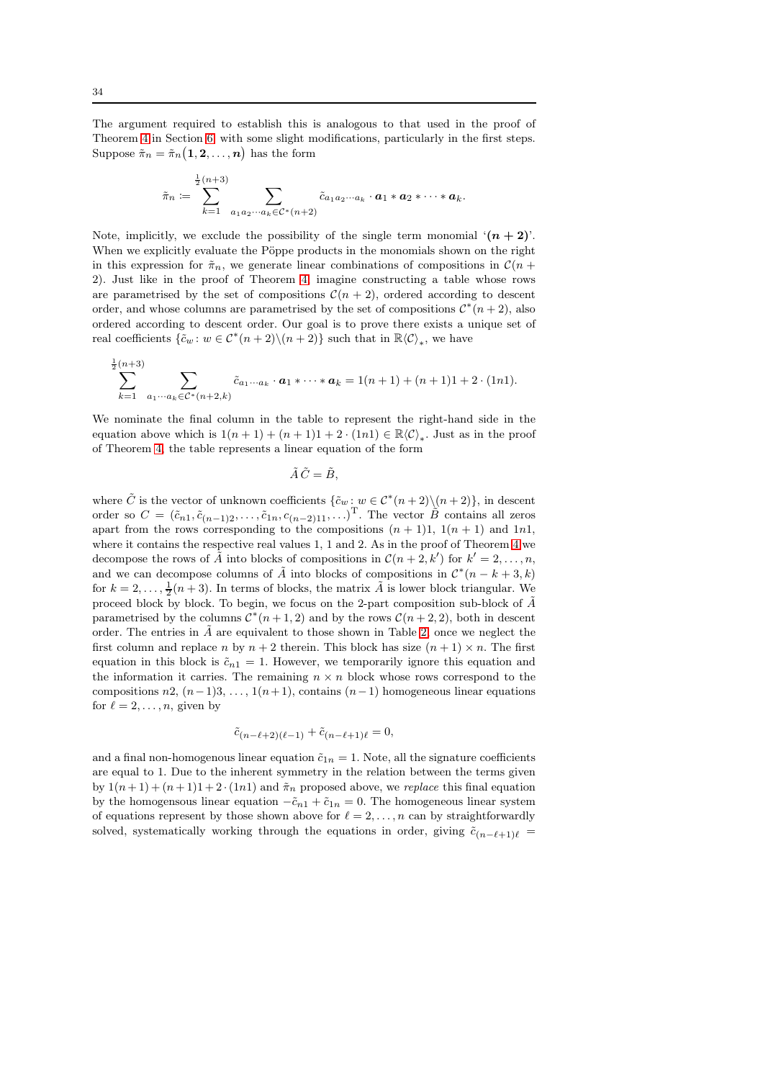The argument required to establish this is analogous to that used in the proof of Theorem [4](#page-23-0) in Section [6,](#page-20-1) with some slight modifications, particularly in the first steps. Suppose  $\tilde{\pi}_n = \tilde{\pi}_n(1, 2, \ldots, n)$  has the form

$$
\tilde{\pi}_n := \sum_{k=1}^{\frac{1}{2}(n+3)} \sum_{a_1 a_2 \cdots a_k \in \mathcal{C}^*(n+2)} \tilde{c}_{a_1 a_2 \cdots a_k} \cdot a_1 * a_2 * \cdots * a_k.
$$

Note, implicitly, we exclude the possibility of the single term monomial  $(n + 2)$ . When we explicitly evaluate the Pöppe products in the monomials shown on the right in this expression for  $\tilde{\pi}_n$ , we generate linear combinations of compositions in  $\mathcal{C}(n +$ 2). Just like in the proof of Theorem [4,](#page-23-0) imagine constructing a table whose rows are parametrised by the set of compositions  $C(n + 2)$ , ordered according to descent order, and whose columns are parametrised by the set of compositions  $\mathcal{C}^*(n+2)$ , also ordered according to descent order. Our goal is to prove there exists a unique set of real coefficients  $\{\tilde{c}_w : w \in C^*(n+2) \setminus (n+2)\}$  such that in  $\mathbb{R}\langle C \rangle_*$ , we have

$$
\sum_{k=1}^{\frac{1}{2}(n+3)} \sum_{a_1 \cdots a_k \in \mathcal{C}^*(n+2,k)} \tilde{c}_{a_1 \cdots a_k} \cdot \mathbf{a}_1 * \cdots * \mathbf{a}_k = 1(n+1) + (n+1)1 + 2 \cdot (1n1).
$$

We nominate the final column in the table to represent the right-hand side in the equation above which is  $1(n + 1) + (n + 1)1 + 2 \cdot (1n) \in \mathbb{R}\langle \mathcal{C} \rangle_*$ . Just as in the proof of Theorem [4,](#page-23-0) the table represents a linear equation of the form

 $ilde{A} \tilde{C} = \tilde{B}$ .

where  $\tilde{C}$  is the vector of unknown coefficients  $\{\tilde{c}_w : w \in C^*(n+2) \setminus (n+2)\}\)$ , in descent order so  $C = (\tilde{c}_{n1}, \tilde{c}_{(n-1)2}, \ldots, \tilde{c}_{1n}, c_{(n-2)11}, \ldots)^{\text{T}}$ . The vector  $\tilde{B}$  contains all zeros apart from the rows corresponding to the compositions  $(n + 1)1$ ,  $1(n + 1)$  and  $1n1$ , where it contains the respective real values 1, 1 and 2. As in the proof of Theorem [4](#page-23-0) we decompose the rows of  $\tilde{A}$  into blocks of compositions in  $\mathcal{C}(n+2,k')$  for  $k'=2,\ldots,n$ , and we can decompose columns of  $\tilde{A}$  into blocks of compositions in  $\mathcal{C}^*(n-k+3,k)$ for  $k = 2, \ldots, \frac{1}{2}(n+3)$ . In terms of blocks, the matrix  $\tilde{A}$  is lower block triangular. We proceed block by block. To begin, we focus on the 2-part composition sub-block of  $\tilde{A}$ parametrised by the columns  $\mathcal{C}^*(n+1,2)$  and by the rows  $\mathcal{C}(n+2,2)$ , both in descent order. The entries in  $\tilde{A}$  are equivalent to those shown in Table [2,](#page-26-0) once we neglect the first column and replace n by  $n + 2$  therein. This block has size  $(n + 1) \times n$ . The first equation in this block is  $\tilde{c}_{n1} = 1$ . However, we temporarily ignore this equation and the information it carries. The remaining  $n \times n$  block whose rows correspond to the compositions  $n^2$ ,  $(n-1)^3$ , ...,  $1(n+1)$ , contains  $(n-1)$  homogeneous linear equations for  $\ell = 2, \ldots, n$ , given by

$$
\tilde{c}_{(n-\ell+2)(\ell-1)} + \tilde{c}_{(n-\ell+1)\ell} = 0,
$$

and a final non-homogenous linear equation  $\tilde{c}_{1n} = 1$ . Note, all the signature coefficients are equal to 1. Due to the inherent symmetry in the relation between the terms given by  $1(n+1) + (n+1)1 + 2 \cdot (1n1)$  and  $\tilde{\pi}_n$  proposed above, we *replace* this final equation by the homogeneous linear equation  $-\tilde{c}_{n1} + \tilde{c}_{1n} = 0$ . The homogeneous linear system of equations represent by those shown above for  $\ell = 2, \ldots, n$  can by straightforwardly solved, systematically working through the equations in order, giving  $\tilde{c}_{(n-\ell+1)\ell}$  =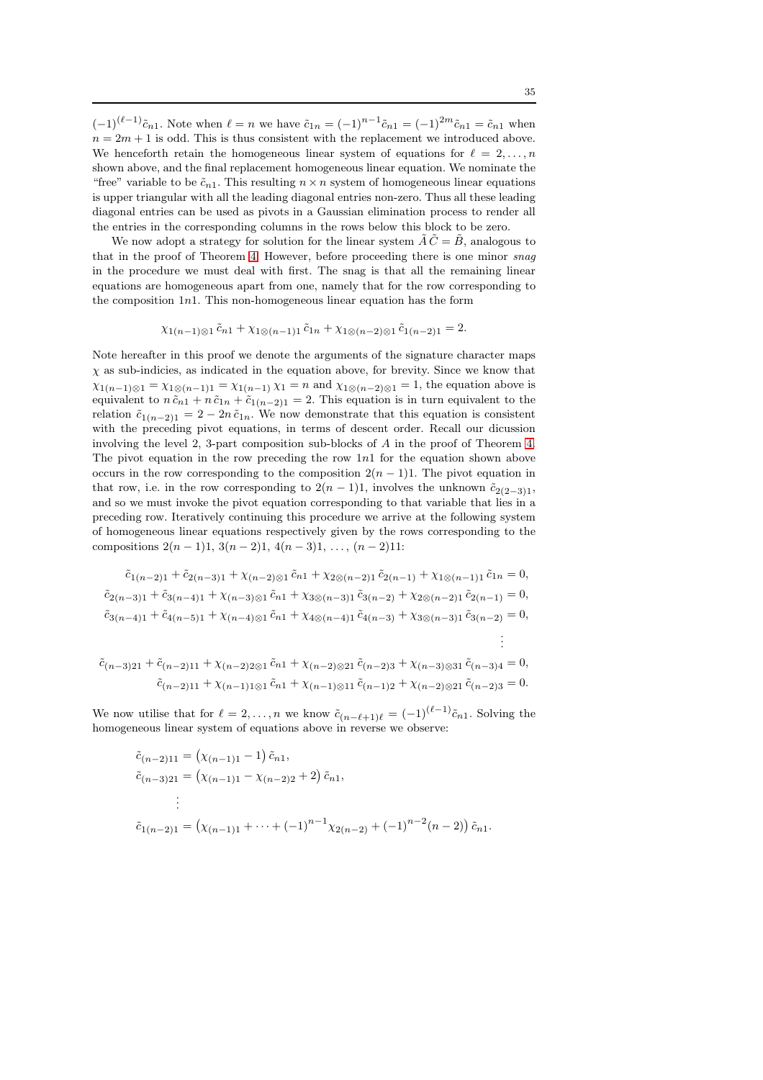$(-1)^{(\ell-1)}\tilde{c}_{n1}$ . Note when  $\ell = n$  we have  $\tilde{c}_{1n} = (-1)^{n-1}\tilde{c}_{n1} = (-1)^{2m}\tilde{c}_{n1} = \tilde{c}_{n1}$  when  $n = 2m + 1$  is odd. This is thus consistent with the replacement we introduced above. We henceforth retain the homogeneous linear system of equations for  $\ell = 2, \ldots, n$ shown above, and the final replacement homogeneous linear equation. We nominate the "free" variable to be  $\tilde{c}_{n1}$ . This resulting  $n \times n$  system of homogeneous linear equations is upper triangular with all the leading diagonal entries non-zero. Thus all these leading diagonal entries can be used as pivots in a Gaussian elimination process to render all the entries in the corresponding columns in the rows below this block to be zero.

We now adopt a strategy for solution for the linear system  $\tilde{A}\tilde{C} = \tilde{B}$ , analogous to that in the proof of Theorem [4.](#page-23-0) However, before proceeding there is one minor snag in the procedure we must deal with first. The snag is that all the remaining linear equations are homogeneous apart from one, namely that for the row corresponding to the composition  $1n1$ . This non-homogeneous linear equation has the form

$$
\chi_{1(n-1)\otimes 1} \tilde{c}_{n1} + \chi_{1\otimes (n-1)1} \tilde{c}_{1n} + \chi_{1\otimes (n-2)\otimes 1} \tilde{c}_{1(n-2)1} = 2.
$$

Note hereafter in this proof we denote the arguments of the signature character maps  $\chi$  as sub-indicies, as indicated in the equation above, for brevity. Since we know that  $\chi_{1(n-1)\otimes 1} = \chi_{1\otimes (n-1)1} = \chi_{1(n-1)} \chi_1 = n$  and  $\chi_{1\otimes (n-2)\otimes 1} = 1$ , the equation above is equivalent to  $n \tilde{c}_{n1} + n \tilde{c}_{1n} + \tilde{c}_{1(n-2)1} = 2$ . This equation is in turn equivalent to the relation  $\tilde{c}_{1(n-2)1} = 2 - 2n \tilde{c}_{1n}$ . We now demonstrate that this equation is consistent with the preceding pivot equations, in terms of descent order. Recall our dicussion involving the level 2, 3-part composition sub-blocks of A in the proof of Theorem [4.](#page-23-0) The pivot equation in the row preceding the row  $1n1$  for the equation shown above occurs in the row corresponding to the composition  $2(n - 1)1$ . The pivot equation in that row, i.e. in the row corresponding to  $2(n-1)1$ , involves the unknown  $\tilde{c}_{2(2-3)1}$ , and so we must invoke the pivot equation corresponding to that variable that lies in a preceding row. Iteratively continuing this procedure we arrive at the following system of homogeneous linear equations respectively given by the rows corresponding to the compositions  $2(n-1)1$ ,  $3(n-2)1$ ,  $4(n-3)1$ , ...,  $(n-2)11$ :

$$
\tilde{c}_{1(n-2)1} + \tilde{c}_{2(n-3)1} + \chi_{(n-2)\otimes 1} \tilde{c}_{n1} + \chi_{2\otimes (n-2)1} \tilde{c}_{2(n-1)} + \chi_{1\otimes (n-1)1} \tilde{c}_{1n} = 0,
$$
  
\n
$$
\tilde{c}_{2(n-3)1} + \tilde{c}_{3(n-4)1} + \chi_{(n-3)\otimes 1} \tilde{c}_{n1} + \chi_{3\otimes (n-3)1} \tilde{c}_{3(n-2)} + \chi_{2\otimes (n-2)1} \tilde{c}_{2(n-1)} = 0,
$$
  
\n
$$
\tilde{c}_{3(n-4)1} + \tilde{c}_{4(n-5)1} + \chi_{(n-4)\otimes 1} \tilde{c}_{n1} + \chi_{4\otimes (n-4)1} \tilde{c}_{4(n-3)} + \chi_{3\otimes (n-3)1} \tilde{c}_{3(n-2)} = 0,
$$
  
\n
$$
\vdots
$$

$$
\tilde{c}_{(n-3)21} + \tilde{c}_{(n-2)11} + \chi_{(n-2)2\otimes 1} \tilde{c}_{n1} + \chi_{(n-2)\otimes 21} \tilde{c}_{(n-2)3} + \chi_{(n-3)\otimes 31} \tilde{c}_{(n-3)4} = 0,
$$
  

$$
\tilde{c}_{(n-2)11} + \chi_{(n-1)1\otimes 1} \tilde{c}_{n1} + \chi_{(n-1)\otimes 11} \tilde{c}_{(n-1)2} + \chi_{(n-2)\otimes 21} \tilde{c}_{(n-2)3} = 0.
$$

We now utilise that for  $\ell = 2, \ldots, n$  we know  $\tilde{c}_{(n-\ell+1)\ell} = (-1)^{(\ell-1)} \tilde{c}_{n1}$ . Solving the homogeneous linear system of equations above in reverse we observe:

$$
\tilde{c}_{(n-2)11} = (\chi_{(n-1)1} - 1) \tilde{c}_{n1},
$$
\n
$$
\tilde{c}_{(n-3)21} = (\chi_{(n-1)1} - \chi_{(n-2)2} + 2) \tilde{c}_{n1},
$$
\n
$$
\vdots
$$
\n
$$
\tilde{c}_{1(n-2)1} = (\chi_{(n-1)1} + \dots + (-1)^{n-1} \chi_{2(n-2)} + (-1)^{n-2} (n-2)) \tilde{c}_{n1}.
$$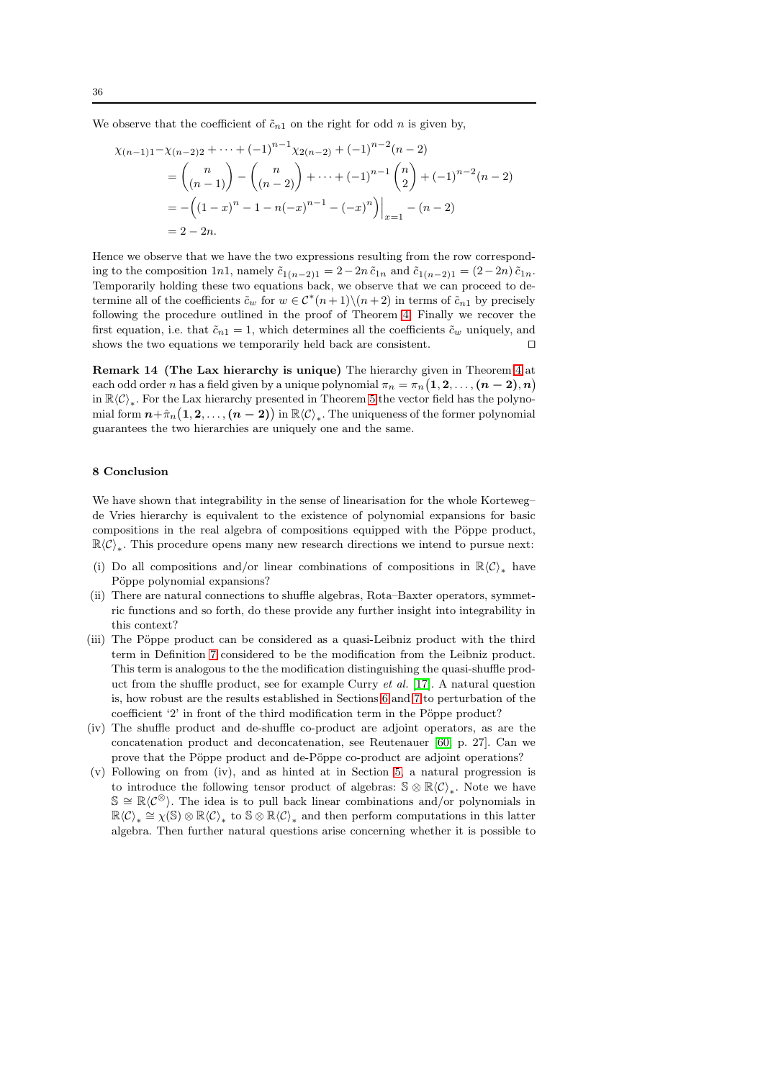We observe that the coefficient of  $\tilde{c}_{n1}$  on the right for odd n is given by,

$$
\chi_{(n-1)1} - \chi_{(n-2)2} + \dots + (-1)^{n-1} \chi_{2(n-2)} + (-1)^{n-2} (n-2)
$$
  
=  $\binom{n}{(n-1)} - \binom{n}{(n-2)} + \dots + (-1)^{n-1} \binom{n}{2} + (-1)^{n-2} (n-2)$   
=  $- \left( (1-x)^n - 1 - n(-x)^{n-1} - (-x)^n \right) \Big|_{x=1} - (n-2)$   
=  $2 - 2n$ .

Hence we observe that we have the two expressions resulting from the row corresponding to the composition 1n1, namely  $\tilde{c}_{1(n-2)1} = 2 - 2n \tilde{c}_{1n}$  and  $\tilde{c}_{1(n-2)1} = (2-2n) \tilde{c}_{1n}$ . Temporarily holding these two equations back, we observe that we can proceed to determine all of the coefficients  $\tilde{c}_w$  for  $w \in C^*(n+1) \setminus (n+2)$  in terms of  $\tilde{c}_{n1}$  by precisely following the procedure outlined in the proof of Theorem [4.](#page-23-0) Finally we recover the first equation, i.e. that  $\tilde{c}_{n1} = 1$ , which determines all the coefficients  $\tilde{c}_w$  uniquely, and shows the two equations we temporarily held back are consistent. ⊓⊔

Remark 14 (The Lax hierarchy is unique) The hierarchy given in Theorem [4](#page-23-0) at each odd order n has a field given by a unique polynomial  $\pi_n = \pi_n\big(1,2,\ldots,(n-2),n\big)$ in  $\mathbb{R}\langle \mathcal{C} \rangle_*$ . For the Lax hierarchy presented in Theorem [5](#page-32-0) the vector field has the polynomial form  $n+\hat{\pi}_n\big(1,2,\ldots,(n-2)\big)$  in  $\mathbb{R}\langle\mathcal C\rangle_*.$  The uniqueness of the former polynomial guarantees the two hierarchies are uniquely one and the same.

## <span id="page-35-0"></span>8 Conclusion

We have shown that integrability in the sense of linearisation for the whole Korteweg– de Vries hierarchy is equivalent to the existence of polynomial expansions for basic compositions in the real algebra of compositions equipped with the Pöppe product,  $\mathbb{R}\langle \mathcal{C}\rangle_*$  . This procedure opens many new research directions we intend to pursue next:

- (i) Do all compositions and/or linear combinations of compositions in  $\mathbb{R}\langle\mathcal{C}\rangle_*$  have Pöppe polynomial expansions?
- (ii) There are natural connections to shuffle algebras, Rota–Baxter operators, symmetric functions and so forth, do these provide any further insight into integrability in this context?
- (iii) The Pöppe product can be considered as a quasi-Leibniz product with the third term in Definition [7](#page-14-0) considered to be the modification from the Leibniz product. This term is analogous to the the modification distinguishing the quasi-shuffle product from the shuffle product, see for example Curry *et al.* [\[17\]](#page-37-24). A natural question is, how robust are the results established in Sections [6](#page-20-1) and [7](#page-30-0) to perturbation of the coefficient  $2'$  in front of the third modification term in the Pöppe product?
- (iv) The shuffle product and de-shuffle co-product are adjoint operators, as are the concatenation product and deconcatenation, see Reutenauer [\[60,](#page-38-9) p. 27]. Can we prove that the Pöppe product and de-Pöppe co-product are adjoint operations?
- (v) Following on from (iv), and as hinted at in Section [5,](#page-16-0) a natural progression is to introduce the following tensor product of algebras:  $\Im \otimes \mathbb{R}\langle \mathcal{C} \rangle_*$ . Note we have  $\mathbb{S} \cong \mathbb{R}\langle \mathcal{C}^\otimes \rangle$ . The idea is to pull back linear combinations and/or polynomials in  $\mathbb{R}\langle\mathcal{C}\rangle_*\cong\chi(\mathbb{S})\otimes\mathbb{R}\langle\mathcal{C}\rangle_*$  to  $\mathbb{S}\otimes\mathbb{R}\langle\mathcal{C}\rangle_*$  and then perform computations in this latter algebra. Then further natural questions arise concerning whether it is possible to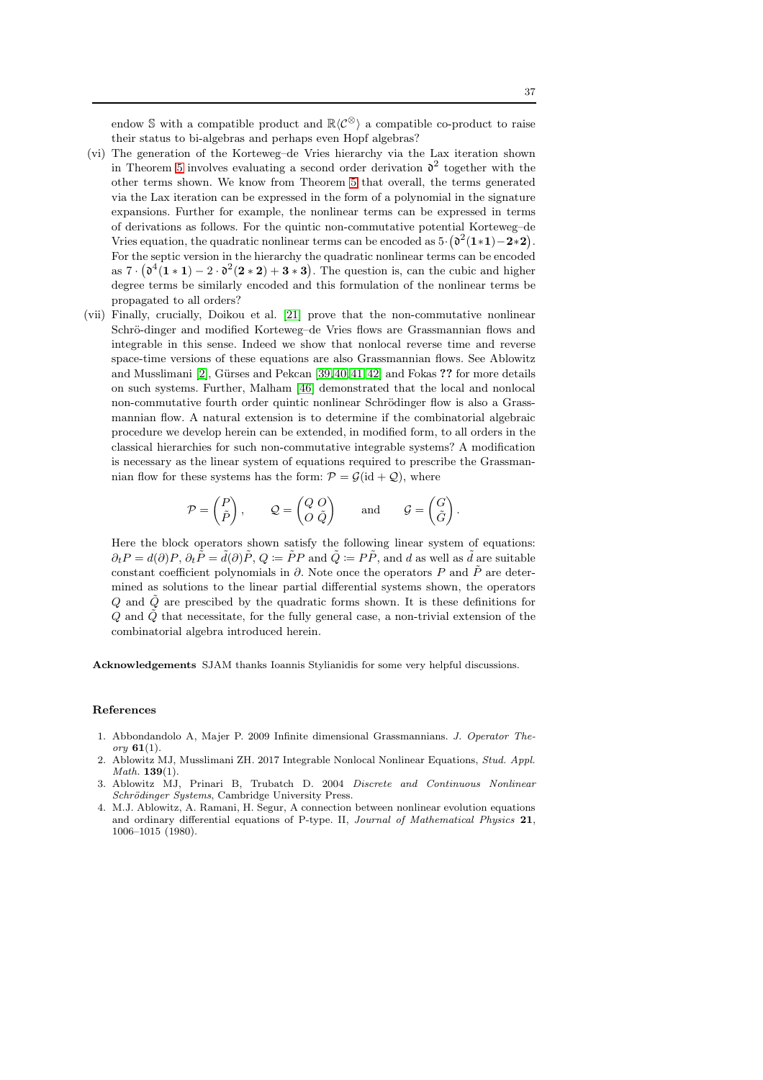endow S with a compatible product and  $\mathbb{R}\langle \mathcal{C}^{\otimes} \rangle$  a compatible co-product to raise their status to bi-algebras and perhaps even Hopf algebras?

- (vi) The generation of the Korteweg–de Vries hierarchy via the Lax iteration shown in Theorem [5](#page-32-0) involves evaluating a second order derivation  $\mathfrak{d}^2$  together with the other terms shown. We know from Theorem [5](#page-32-0) that overall, the terms generated via the Lax iteration can be expressed in the form of a polynomial in the signature expansions. Further for example, the nonlinear terms can be expressed in terms of derivations as follows. For the quintic non-commutative potential Korteweg–de Vries equation, the quadratic nonlinear terms can be encoded as  $5 \cdot (\mathfrak{d}^2(1*1) - 2*2)$ . For the septic version in the hierarchy the quadratic nonlinear terms can be encoded as  $7 \cdot (\mathfrak{d}^4(1 * 1) - 2 \cdot \mathfrak{d}^2(2 * 2) + 3 * 3)$ . The question is, can the cubic and higher degree terms be similarly encoded and this formulation of the nonlinear terms be propagated to all orders?
- (vii) Finally, crucially, Doikou et al. [\[21\]](#page-37-2) prove that the non-commutative nonlinear Schrö-dinger and modified Korteweg–de Vries flows are Grassmannian flows and integrable in this sense. Indeed we show that nonlocal reverse time and reverse space-time versions of these equations are also Grassmannian flows. See Ablowitz and Musslimani [\[2\]](#page-36-3), Gürses and Pekcan  $[39, 40, 41, 42]$  $[39, 40, 41, 42]$  $[39, 40, 41, 42]$  $[39, 40, 41, 42]$  and Fokas ?? for more details on such systems. Further, Malham [\[46\]](#page-38-4) demonstrated that the local and nonlocal non-commutative fourth order quintic nonlinear Schrödinger flow is also a Grassmannian flow. A natural extension is to determine if the combinatorial algebraic procedure we develop herein can be extended, in modified form, to all orders in the classical hierarchies for such non-commutative integrable systems? A modification is necessary as the linear system of equations required to prescribe the Grassmannian flow for these systems has the form:  $P = \mathcal{G}(\mathrm{id} + \mathcal{Q})$ , where

$$
\mathcal{P} = \begin{pmatrix} P \\ \tilde{P} \end{pmatrix}, \qquad \mathcal{Q} = \begin{pmatrix} Q & O \\ O & \tilde{Q} \end{pmatrix} \qquad \text{and} \qquad \mathcal{G} = \begin{pmatrix} G \\ \tilde{G} \end{pmatrix}
$$

.

Here the block operators shown satisfy the following linear system of equations:  $\partial_t P = d(\partial) P$ ,  $\partial_t \tilde{P} = \tilde{d}(\partial) \tilde{P}$ ,  $Q := \tilde{P}P$  and  $\tilde{Q} := P\tilde{P}P$ , and d as well as  $\tilde{d}$  are suitable constant coefficient polynomials in  $\partial$ . Note once the operators P and  $\tilde{P}$  are determined as solutions to the linear partial differential systems shown, the operators  $Q$  and  $\tilde{Q}$  are prescibed by the quadratic forms shown. It is these definitions for  $Q$  and  $\tilde{Q}$  that necessitate, for the fully general case, a non-trivial extension of the combinatorial algebra introduced herein.

Acknowledgements SJAM thanks Ioannis Stylianidis for some very helpful discussions.

## References

- <span id="page-36-2"></span>1. Abbondandolo A, Majer P. 2009 Infinite dimensional Grassmannians. *J. Operator Theory* 61(1).
- <span id="page-36-3"></span>2. Ablowitz MJ, Musslimani ZH. 2017 Integrable Nonlocal Nonlinear Equations, *Stud. Appl. Math.* 139(1).
- <span id="page-36-1"></span>3. Ablowitz MJ, Prinari B, Trubatch D. 2004 *Discrete and Continuous Nonlinear Schr¨odinger Systems*, Cambridge University Press.
- <span id="page-36-0"></span>4. M.J. Ablowitz, A. Ramani, H. Segur, A connection between nonlinear evolution equations and ordinary differential equations of P-type. II, *Journal of Mathematical Physics* 21, 1006–1015 (1980).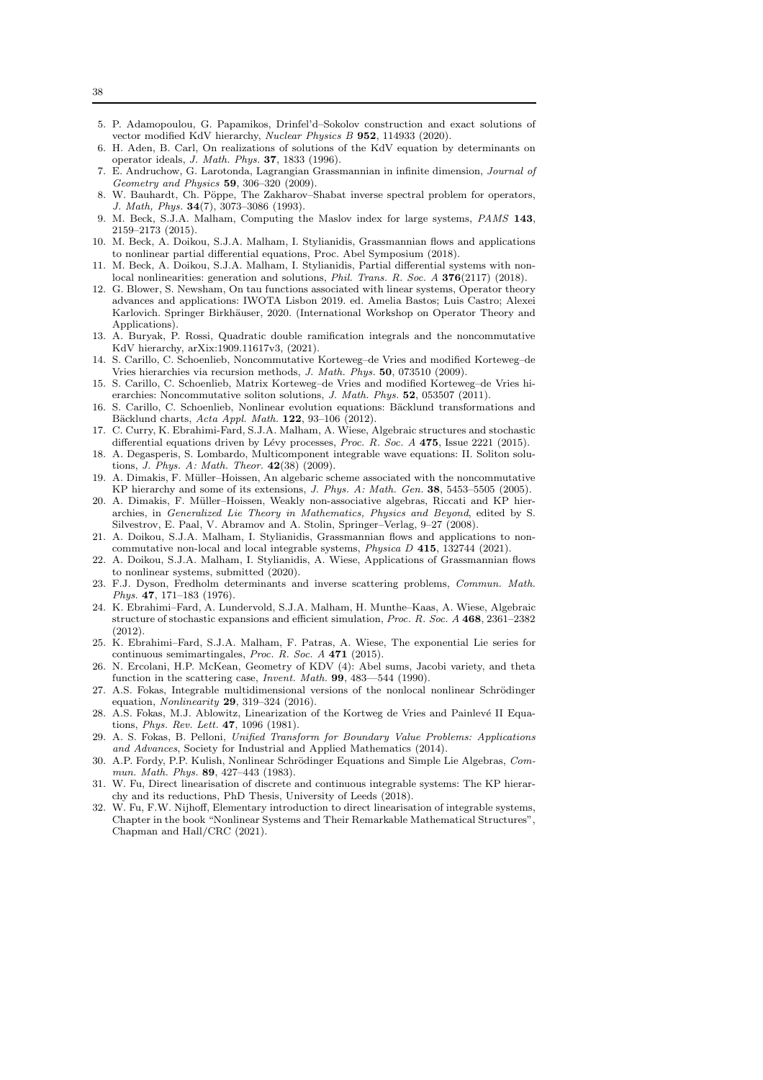- <span id="page-37-21"></span>5. P. Adamopoulou, G. Papamikos, Drinfel'd–Sokolov construction and exact solutions of vector modified KdV hierarchy, *Nuclear Physics B* 952, 114933 (2020).
- <span id="page-37-14"></span>6. H. Aden, B. Carl, On realizations of solutions of the KdV equation by determinants on operator ideals, *J. Math. Phys.* 37, 1833 (1996).
- <span id="page-37-23"></span>7. E. Andruchow, G. Larotonda, Lagrangian Grassmannian in infinite dimension, *Journal of Geometry and Physics* 59, 306–320 (2009).
- <span id="page-37-0"></span>W. Bauhardt, Ch. Pöppe, The Zakharov–Shabat inverse spectral problem for operators, *J. Math, Phys.* 34(7), 3073–3086 (1993).
- 9. M. Beck, S.J.A. Malham, Computing the Maslov index for large systems, *PAMS* 143, 2159–2173 (2015).
- <span id="page-37-5"></span>10. M. Beck, A. Doikou, S.J.A. Malham, I. Stylianidis, Grassmannian flows and applications to nonlinear partial differential equations, Proc. Abel Symposium (2018).
- <span id="page-37-6"></span>11. M. Beck, A. Doikou, S.J.A. Malham, I. Stylianidis, Partial differential systems with nonlocal nonlinearities: generation and solutions, *Phil. Trans. R. Soc. A* 376(2117) (2018).
- <span id="page-37-22"></span>12. G. Blower, S. Newsham, On tau functions associated with linear systems, Operator theory advances and applications: IWOTA Lisbon 2019. ed. Amelia Bastos; Luis Castro; Alexei Karlovich. Springer Birkhäuser, 2020. (International Workshop on Operator Theory and Applications).
- <span id="page-37-15"></span>13. A. Buryak, P. Rossi, Quadratic double ramification integrals and the noncommutative KdV hierarchy, arXix:1909.11617v3, (2021).
- <span id="page-37-11"></span>14. S. Carillo, C. Schoenlieb, Noncommutative Korteweg–de Vries and modified Korteweg–de Vries hierarchies via recursion methods, *J. Math. Phys.* 50, 073510 (2009).
- <span id="page-37-12"></span>15. S. Carillo, C. Schoenlieb, Matrix Korteweg–de Vries and modified Korteweg–de Vries hierarchies: Noncommutative soliton solutions, *J. Math. Phys.* 52, 053507 (2011).
- <span id="page-37-13"></span>16. S. Carillo, C. Schoenlieb, Nonlinear evolution equations: Bäcklund transformations and B¨acklund charts, *Acta Appl. Math.* 122, 93–106 (2012).
- <span id="page-37-24"></span>17. C. Curry, K. Ebrahimi-Fard, S.J.A. Malham, A. Wiese, Algebraic structures and stochastic differential equations driven by Lévy processes, *Proc. R. Soc. A* 475, Issue 2221 (2015).
- <span id="page-37-20"></span>18. A. Degasperis, S. Lombardo, Multicomponent integrable wave equations: II. Soliton solutions, *J. Phys. A: Math. Theor.* 42(38) (2009).
- <span id="page-37-17"></span>19. A. Dimakis, F. Müller–Hoissen, An algebaric scheme associated with the noncommutative KP hierarchy and some of its extensions, *J. Phys. A: Math. Gen.* 38, 5453–5505 (2005).
- <span id="page-37-16"></span>20. A. Dimakis, F. M¨uller–Hoissen, Weakly non-associative algebras, Riccati and KP hierarchies, in *Generalized Lie Theory in Mathematics, Physics and Beyond*, edited by S. Silvestrov, E. Paal, V. Abramov and A. Stolin, Springer–Verlag, 9–27 (2008).
- <span id="page-37-2"></span>21. A. Doikou, S.J.A. Malham, I. Stylianidis, Grassmannian flows and applications to noncommutative non-local and local integrable systems, *Physica D* 415, 132744 (2021).
- <span id="page-37-1"></span>22. A. Doikou, S.J.A. Malham, I. Stylianidis, A. Wiese, Applications of Grassmannian flows to nonlinear systems, submitted (2020).
- <span id="page-37-3"></span>23. F.J. Dyson, Fredholm determinants and inverse scattering problems, *Commun. Math. Phys.* 47, 171–183 (1976).
- <span id="page-37-18"></span>24. K. Ebrahimi–Fard, A. Lundervold, S.J.A. Malham, H. Munthe–Kaas, A. Wiese, Algebraic structure of stochastic expansions and efficient simulation, *Proc. R. Soc. A* 468, 2361–2382 (2012).
- <span id="page-37-19"></span>25. K. Ebrahimi–Fard, S.J.A. Malham, F. Patras, A. Wiese, The exponential Lie series for continuous semimartingales, *Proc. R. Soc. A* 471 (2015).
- <span id="page-37-8"></span>26. N. Ercolani, H.P. McKean, Geometry of KDV (4): Abel sums, Jacobi variety, and theta function in the scattering case, *Invent. Math.* **99**, 483—544 (1990).
- 27. A.S. Fokas, Integrable multidimensional versions of the nonlocal nonlinear Schrödinger equation, *Nonlinearity* 29, 319–324 (2016).
- 28. A.S. Fokas, M.J. Ablowitz, Linearization of the Kortweg de Vries and Painlevé II Equations, *Phys. Rev. Lett.* 47, 1096 (1981).
- <span id="page-37-4"></span>29. A. S. Fokas, B. Pelloni, *Unified Transform for Boundary Value Problems: Applications and Advances*, Society for Industrial and Applied Mathematics (2014).
- <span id="page-37-7"></span>30. A.P. Fordy, P.P. Kulish, Nonlinear Schrödinger Equations and Simple Lie Algebras, *Commun. Math. Phys.* 89, 427–443 (1983).
- <span id="page-37-9"></span>31. W. Fu, Direct linearisation of discrete and continuous integrable systems: The KP hierarchy and its reductions, PhD Thesis, University of Leeds (2018).
- <span id="page-37-10"></span>32. W. Fu, F.W. Nijhoff, Elementary introduction to direct linearisation of integrable systems, Chapter in the book "Nonlinear Systems and Their Remarkable Mathematical Structures", Chapman and Hall/CRC (2021).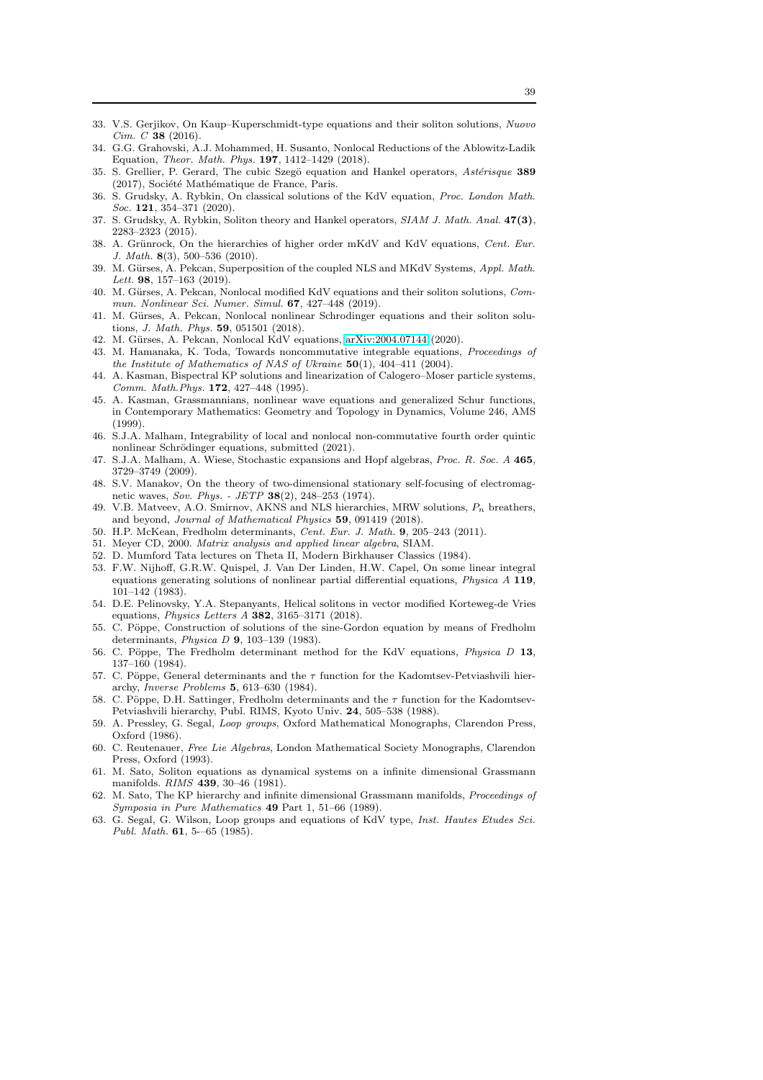- 33. V.S. Gerjikov, On Kaup–Kuperschmidt-type equations and their soliton solutions, *Nuovo Cim. C* 38 (2016).
- 34. G.G. Grahovski, A.J. Mohammed, H. Susanto, Nonlocal Reductions of the Ablowitz-Ladik Equation, *Theor. Math. Phys.* 197, 1412–1429 (2018).
- <span id="page-38-14"></span>35. S. Grellier, P. Gerard, The cubic Szegö equation and Hankel operators, *Astérisque* 389 (2017), Société Mathématique de France, Paris.
- <span id="page-38-12"></span>36. S. Grudsky, A. Rybkin, On classical solutions of the KdV equation, *Proc. London Math. Soc.* 121, 354–371 (2020).
- <span id="page-38-13"></span>37. S. Grudsky, A. Rybkin, Soliton theory and Hankel operators, *SIAM J. Math. Anal.* 47(3), 2283–2323 (2015).
- 38. A. Grünrock, On the hierarchies of higher order mKdV and KdV equations, *Cent. Eur. J. Math.* 8(3), 500–536 (2010).
- <span id="page-38-22"></span>39. M. Gürses, A. Pekcan, Superposition of the coupled NLS and MKdV Systems, *Appl. Math. Lett.* 98, 157–163 (2019).
- <span id="page-38-23"></span>40. M. Gürses, A. Pekcan, Nonlocal modified KdV equations and their soliton solutions, *Commun. Nonlinear Sci. Numer. Simul.* 67, 427–448 (2019).
- <span id="page-38-24"></span>41. M. Gürses, A. Pekcan, Nonlocal nonlinear Schrodinger equations and their soliton solutions, *J. Math. Phys.* 59, 051501 (2018).
- <span id="page-38-25"></span><span id="page-38-8"></span>42. M. Gürses, A. Pekcan, Nonlocal KdV equations, [arXiv:2004.07144](http://arxiv.org/abs/2004.07144) (2020).
- 43. M. Hamanaka, K. Toda, Towards noncommutative integrable equations, *Proceedings of the Institute of Mathematics of NAS of Ukraine* 50(1), 404–411 (2004).
- <span id="page-38-18"></span>44. A. Kasman, Bispectral KP solutions and linearization of Calogero–Moser particle systems, *Comm. Math.Phys.* 172, 427–448 (1995).
- <span id="page-38-19"></span>45. A. Kasman, Grassmannians, nonlinear wave equations and generalized Schur functions, in Contemporary Mathematics: Geometry and Topology in Dynamics, Volume 246, AMS  $(1999)$
- <span id="page-38-4"></span>46. S.J.A. Malham, Integrability of local and nonlocal non-commutative fourth order quintic nonlinear Schrödinger equations, submitted (2021).
- <span id="page-38-10"></span>47. S.J.A. Malham, A. Wiese, Stochastic expansions and Hopf algebras, *Proc. R. Soc. A* 465, 3729–3749 (2009).
- 48. S.V. Manakov, On the theory of two-dimensional stationary self-focusing of electromagnetic waves, *Sov. Phys. - JETP* 38(2), 248–253 (1974).
- 49. V.B. Matveev, A.O. Smirnov, AKNS and NLS hierarchies, MRW solutions,  $P_n$  breathers, and beyond, *Journal of Mathematical Physics* 59, 091419 (2018).
- <span id="page-38-21"></span><span id="page-38-6"></span>50. H.P. McKean, Fredholm determinants, *Cent. Eur. J. Math.* 9, 205–243 (2011).
- <span id="page-38-5"></span>51. Meyer CD, 2000. *Matrix analysis and applied linear algebra*, SIAM.
- <span id="page-38-7"></span>52. D. Mumford Tata lectures on Theta II, Modern Birkhauser Classics (1984).
- 53. F.W. Nijhoff, G.R.W. Quispel, J. Van Der Linden, H.W. Capel, On some linear integral equations generating solutions of nonlinear partial differential equations, *Physica A* 119, 101–142 (1983).
- <span id="page-38-11"></span>54. D.E. Pelinovsky, Y.A. Stepanyants, Helical solitons in vector modified Korteweg-de Vries equations, *Physics Letters A* 382, 3165–3171 (2018).
- <span id="page-38-0"></span>55. C. Pöppe, Construction of solutions of the sine-Gordon equation by means of Fredholm determinants, *Physica D* 9, 103–139 (1983).
- <span id="page-38-1"></span>56. C. Pöppe, The Fredholm determinant method for the KdV equations, *Physica D* 13, 137–160 (1984).
- <span id="page-38-2"></span>57. C. Pöppe, General determinants and the  $\tau$  function for the Kadomtsev-Petviashvili hierarchy, *Inverse Problems* 5, 613–630 (1984).
- <span id="page-38-3"></span>58. C. Pöppe, D.H. Sattinger, Fredholm determinants and the  $\tau$  function for the Kadomtsev-Petviashvili hierarchy, Publ. RIMS, Kyoto Univ. 24, 505–538 (1988).
- <span id="page-38-20"></span>59. A. Pressley, G. Segal, *Loop groups*, Oxford Mathematical Monographs, Clarendon Press, Oxford (1986).
- <span id="page-38-9"></span>60. C. Reutenauer, *Free Lie Algebras*, London Mathematical Society Monographs, Clarendon Press, Oxford (1993).
- <span id="page-38-15"></span>61. M. Sato, Soliton equations as dynamical systems on a infinite dimensional Grassmann manifolds. *RIMS* 439, 30–46 (1981).
- <span id="page-38-16"></span>62. M. Sato, The KP hierarchy and infinite dimensional Grassmann manifolds, *Proceedings of Symposia in Pure Mathematics* 49 Part 1, 51–66 (1989).
- <span id="page-38-17"></span>63. G. Segal, G. Wilson, Loop groups and equations of KdV type, *Inst. Hautes Etudes Sci. Publ. Math.* 61, 5-–65 (1985).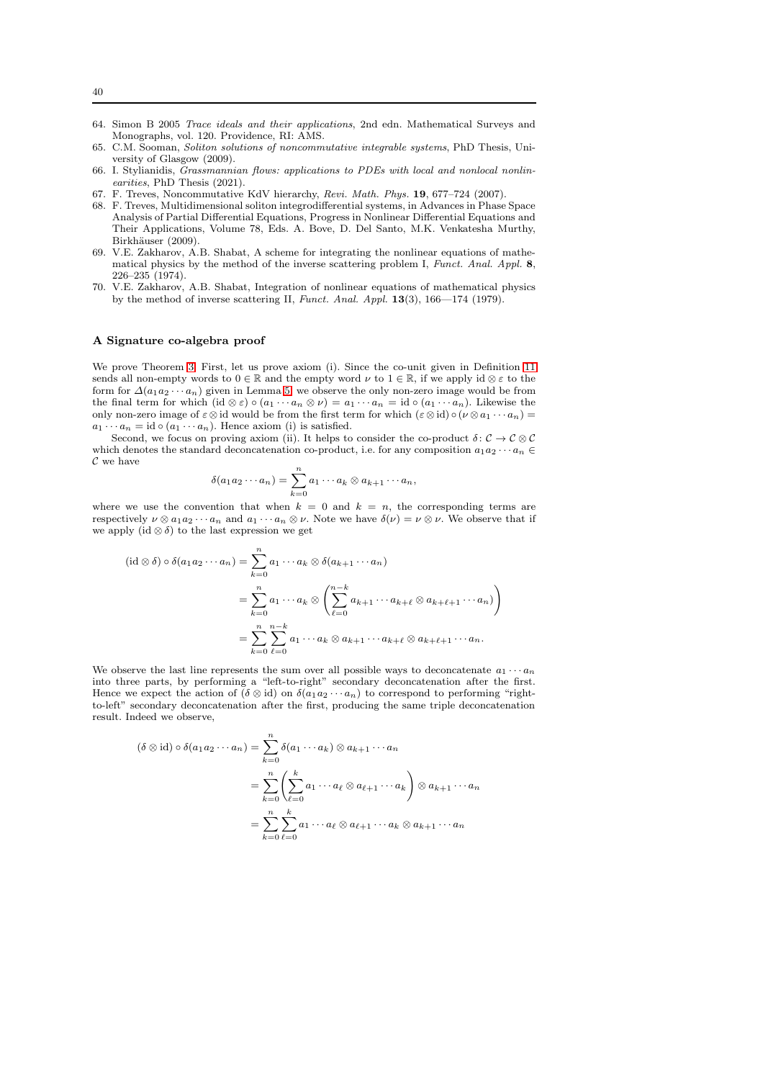- <span id="page-39-6"></span><span id="page-39-3"></span>65. C.M. Sooman, *Soliton solutions of noncommutative integrable systems*, PhD Thesis, University of Glasgow (2009).
- <span id="page-39-2"></span>66. I. Stylianidis, *Grassmannian flows: applications to PDEs with local and nonlocal nonlinearities*, PhD Thesis (2021).
- <span id="page-39-5"></span><span id="page-39-4"></span>67. F. Treves, Noncommutative KdV hierarchy, *Revi. Math. Phys.* 19, 677–724 (2007).
- 68. F. Treves, Multidimensional soliton integrodifferential systems, in Advances in Phase Space Analysis of Partial Differential Equations, Progress in Nonlinear Differential Equations and Their Applications, Volume 78, Eds. A. Bove, D. Del Santo, M.K. Venkatesha Murthy, Birkhäuser (2009).
- <span id="page-39-0"></span>69. V.E. Zakharov, A.B. Shabat, A scheme for integrating the nonlinear equations of mathematical physics by the method of the inverse scattering problem I, *Funct. Anal. Appl.* 8, 226–235 (1974).
- <span id="page-39-1"></span>70. V.E. Zakharov, A.B. Shabat, Integration of nonlinear equations of mathematical physics by the method of inverse scattering II, *Funct. Anal. Appl.* 13(3), 166—174 (1979).

#### <span id="page-39-7"></span>A Signature co-algebra proof

We prove Theorem [3.](#page-19-0) First, let us prove axiom (i). Since the co-unit given in Definition [11](#page-18-2) sends all non-empty words to  $0 \in \mathbb{R}$  and the empty word  $\nu$  to  $1 \in \mathbb{R}$ , if we apply id ⊗  $\varepsilon$  to the form for  $\Delta(a_1a_2\cdots a_n)$  given in Lemma [5,](#page-18-1) we observe the only non-zero image would be from the final term for which  $(id \otimes \varepsilon) \circ (a_1 \cdots a_n \otimes \nu) = a_1 \cdots a_n = id \circ (a_1 \cdots a_n)$ . Likewise the only non-zero image of  $\varepsilon \otimes id$  would be from the first term for which  $(\varepsilon \otimes id) \circ (\nu \otimes a_1 \cdots a_n) =$  $a_1 \cdots a_n = \text{id} \circ (a_1 \cdots a_n)$ . Hence axiom (i) is satisfied.

Second, we focus on proving axiom (ii). It helps to consider the co-product  $\delta: \mathcal{C} \to \mathcal{C} \otimes \mathcal{C}$ which denotes the standard deconcatenation co-product, i.e. for any composition  $a_1a_2\cdots a_n \in$ C we have

$$
\delta(a_1a_2\cdots a_n)=\sum_{k=0}^n a_1\cdots a_k\otimes a_{k+1}\cdots a_n,
$$

where we use the convention that when  $k = 0$  and  $k = n$ , the corresponding terms are respectively  $\nu \otimes a_1 a_2 \cdots a_n$  and  $a_1 \cdots a_n \otimes \nu$ . Note we have  $\delta(\nu) = \nu \otimes \nu$ . We observe that if we apply (id  $\otimes \delta$ ) to the last expression we get

$$
(\mathrm{id}\otimes \delta)\circ \delta(a_1a_2\cdots a_n) = \sum_{k=0}^n a_1\cdots a_k \otimes \delta(a_{k+1}\cdots a_n)
$$
  
= 
$$
\sum_{k=0}^n a_1\cdots a_k \otimes \left(\sum_{\ell=0}^{n-k} a_{k+1}\cdots a_{k+\ell} \otimes a_{k+\ell+1}\cdots a_n\right)
$$
  
= 
$$
\sum_{k=0}^n \sum_{\ell=0}^{n-k} a_1\cdots a_k \otimes a_{k+1}\cdots a_{k+\ell} \otimes a_{k+\ell+1}\cdots a_n.
$$

We observe the last line represents the sum over all possible ways to deconcatenate  $a_1 \cdots a_n$ into three parts, by performing a "left-to-right" secondary deconcatenation after the first. Hence we expect the action of  $(\delta \otimes id)$  on  $\delta(a_1a_2 \cdots a_n)$  to correspond to performing "rightto-left" secondary deconcatenation after the first, producing the same triple deconcatenation result. Indeed we observe,

$$
(\delta \otimes id) \circ \delta(a_1 a_2 \cdots a_n) = \sum_{k=0}^n \delta(a_1 \cdots a_k) \otimes a_{k+1} \cdots a_n
$$
  
= 
$$
\sum_{k=0}^n \left( \sum_{\ell=0}^k a_1 \cdots a_\ell \otimes a_{\ell+1} \cdots a_k \right) \otimes a_{k+1} \cdots a_n
$$
  
= 
$$
\sum_{k=0}^n \sum_{\ell=0}^k a_1 \cdots a_\ell \otimes a_{\ell+1} \cdots a_k \otimes a_{k+1} \cdots a_n
$$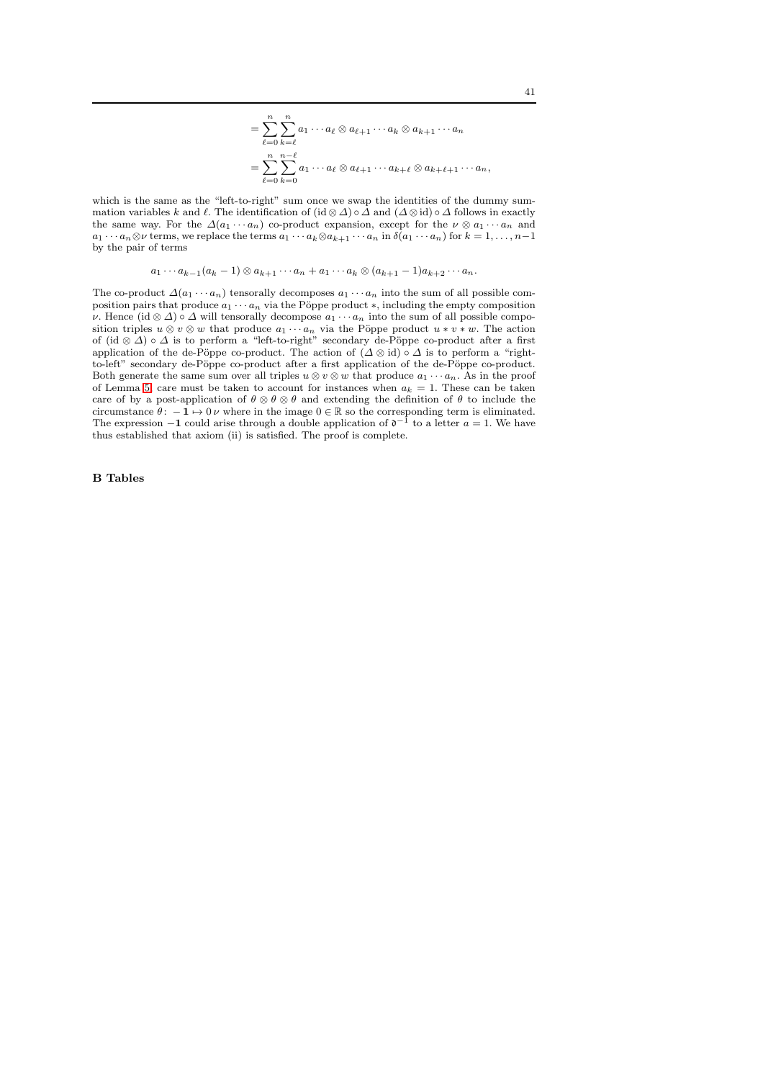$$
= \sum_{\ell=0}^{n} \sum_{k=\ell}^{n} a_1 \cdots a_\ell \otimes a_{\ell+1} \cdots a_k \otimes a_{k+1} \cdots a_n
$$
  
= 
$$
\sum_{\ell=0}^{n} \sum_{k=0}^{n-\ell} a_1 \cdots a_\ell \otimes a_{\ell+1} \cdots a_{k+\ell} \otimes a_{k+\ell+1} \cdots a_n,
$$

which is the same as the "left-to-right" sum once we swap the identities of the dummy summation variables k and  $\ell$ . The identification of (id  $\otimes \Delta$ ) ∘  $\Delta$  and  $(\Delta \otimes id)$  ∘  $\Delta$  follows in exactly the same way. For the  $\Delta(a_1 \cdots a_n)$  co-product expansion, except for the  $\nu \otimes a_1 \cdots a_n$  and  $a_1 \cdots a_n \otimes \nu$  terms, we replace the terms  $a_1 \cdots a_k \otimes a_{k+1} \cdots a_n$  in  $\delta(a_1 \cdots a_n)$  for  $k = 1, \ldots, n-1$ by the pair of terms

$$
a_1 \cdots a_{k-1}(a_k - 1) \otimes a_{k+1} \cdots a_n + a_1 \cdots a_k \otimes (a_{k+1} - 1)a_{k+2} \cdots a_n.
$$

The co-product  $\Delta(a_1 \cdots a_n)$  tensorally decomposes  $a_1 \cdots a_n$  into the sum of all possible composition pairs that produce  $a_1 \cdots a_n$  via the Pöppe product  $\ast$ , including the empty composition ν. Hence (id ⊗  $\Delta$ ) ∘  $\Delta$  will tensorally decompose  $a_1 \cdots a_n$  into the sum of all possible composition triples  $u \otimes v \otimes w$  that produce  $a_1 \cdots a_n$  via the Pöppe product  $u * v * w$ . The action of (id ⊗  $\Delta$ ) ∘  $\Delta$  is to perform a "left-to-right" secondary de-Pöppe co-product after a first application of the de-Pöppe co-product. The action of  $(\Delta \otimes id) \circ \Delta$  is to perform a "rightto-left" secondary de-Pöppe co-product after a first application of the de-Pöppe co-product. Both generate the same sum over all triples  $u \otimes v \otimes w$  that produce  $a_1 \cdots a_n$ . As in the proof of Lemma [5,](#page-18-1) care must be taken to account for instances when  $a_k = 1$ . These can be taken care of by a post-application of  $\theta \otimes \theta \otimes \theta$  and extending the definition of  $\theta$  to include the circumstance  $\theta$ :  $-1 \mapsto 0 \nu$  where in the image  $0 \in \mathbb{R}$  so the corresponding term is eliminated. The expression  $-1$  could arise through a double application of  $\mathfrak{d}^{-1}$  to a letter  $a = 1$ . We have thus established that axiom (ii) is satisfied. The proof is complete.

## <span id="page-40-0"></span>B Tables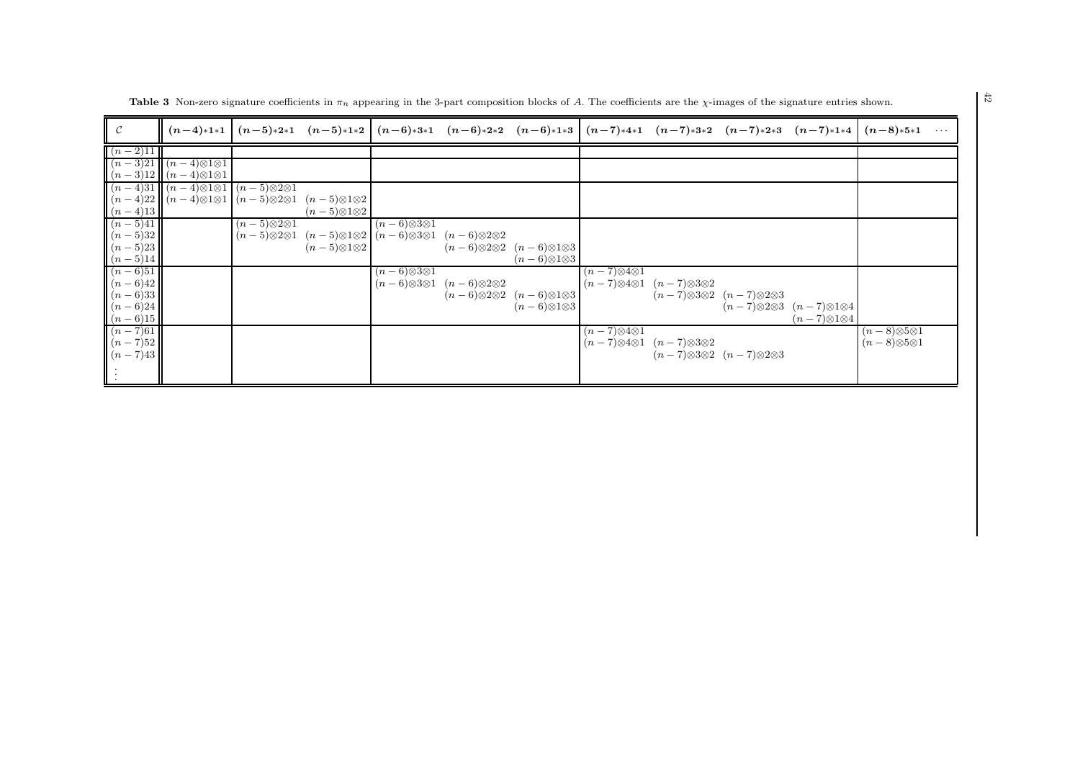| $\mathcal{C}$ | $(n-4)*1*1$                                                   |                           | $(n-5)*2*1$ $(n-5)*1*2$                                                       |                           |                           |                                                         |                                                     | $(n-6)*3*1$ $(n-6)*2*2$ $(n-6)*1*3$ $(n-7)*4*1$ $(n-7)*3*2$ $(n-7)*2*3$ $(n-7)*1*4$ |                                                     | $(n-8)*5*1$               | $\sim$ $\sim$ $\sim$ $\sim$ |
|---------------|---------------------------------------------------------------|---------------------------|-------------------------------------------------------------------------------|---------------------------|---------------------------|---------------------------------------------------------|-----------------------------------------------------|-------------------------------------------------------------------------------------|-----------------------------------------------------|---------------------------|-----------------------------|
| $(n-2)11$     |                                                               |                           |                                                                               |                           |                           |                                                         |                                                     |                                                                                     |                                                     |                           |                             |
|               | $(n-3)21 \mid (n-4) \otimes 1 \otimes 1$                      |                           |                                                                               |                           |                           |                                                         |                                                     |                                                                                     |                                                     |                           |                             |
|               | $(n-3)12 \mid (n-4) \otimes 1 \otimes 1$                      |                           |                                                                               |                           |                           |                                                         |                                                     |                                                                                     |                                                     |                           |                             |
|               | $(n-4)31$ $(n-4)8181(n-5)8281$                                |                           |                                                                               |                           |                           |                                                         |                                                     |                                                                                     |                                                     |                           |                             |
|               | $(n-4)22 \ (n-4)\otimes 1\otimes 1 \ (n-5)\otimes 2\otimes 1$ |                           | $(n-5)\otimes 1\otimes 2$                                                     |                           |                           |                                                         |                                                     |                                                                                     |                                                     |                           |                             |
| $(n-4)13$     |                                                               |                           | $(n-5)\otimes 1\otimes 2$                                                     |                           |                           |                                                         |                                                     |                                                                                     |                                                     |                           |                             |
| $(n-5)41$     |                                                               | $(n-5)\otimes 2\otimes 1$ |                                                                               | $(n-6)\otimes 3\otimes 1$ |                           |                                                         |                                                     |                                                                                     |                                                     |                           |                             |
| $(n-5)32$     |                                                               |                           | $(n-5)\otimes 2\otimes 1$ $(n-5)\otimes 1\otimes 2$ $(n-6)\otimes 3\otimes 1$ |                           | $(n-6)\otimes 2\otimes 2$ |                                                         |                                                     |                                                                                     |                                                     |                           |                             |
| $(n-5)23$     |                                                               |                           | $(n-5)\otimes 1\otimes 2$                                                     |                           |                           | $(n-6)\otimes 2\otimes 2 \quad (n-6)\otimes 1\otimes 3$ |                                                     |                                                                                     |                                                     |                           |                             |
| $(n-5)14$     |                                                               |                           |                                                                               |                           |                           | $(n-6)\otimes 1\otimes 3$                               |                                                     |                                                                                     |                                                     |                           |                             |
| $(n-6)51$     |                                                               |                           |                                                                               | $(n-6)\otimes 3\otimes 1$ |                           |                                                         | $\sqrt{(n-7)\otimes 4\otimes 1}$                    |                                                                                     |                                                     |                           |                             |
| $(n-6)42$     |                                                               |                           |                                                                               | $(n-6)\otimes 3\otimes 1$ | $(n-6)\otimes 2\otimes 2$ |                                                         | $(n-7)\otimes 4\otimes 1$ $(n-7)\otimes 3\otimes 2$ |                                                                                     |                                                     |                           |                             |
| $(n-6)33$     |                                                               |                           |                                                                               |                           |                           | $(n-6)\otimes 2\otimes 2$ $(n-6)\otimes 1\otimes 3$     |                                                     | $(n-7)\otimes 3\otimes 2 \quad (n-7)\otimes 2\otimes 3$                             |                                                     |                           |                             |
| $(n-6)24$     |                                                               |                           |                                                                               |                           |                           | $(n-6)\otimes1\otimes3$                                 |                                                     |                                                                                     | $(n-7)\otimes 2\otimes 3$ $(n-7)\otimes 1\otimes 4$ |                           |                             |
| $(n-6)15$     |                                                               |                           |                                                                               |                           |                           |                                                         |                                                     |                                                                                     | $(n-7)\otimes 1\otimes 4$                           |                           |                             |
| $(n-7)61$     |                                                               |                           |                                                                               |                           |                           |                                                         | $(n-7)\otimes 4\otimes 1$                           |                                                                                     |                                                     | $(n-8)\otimes 5\otimes 1$ |                             |
| $(n-7)52$     |                                                               |                           |                                                                               |                           |                           |                                                         |                                                     | $(n-7)\otimes 4\otimes 1$ $(n-7)\otimes 3\otimes 2$                                 |                                                     | $(n-8)\otimes 5\otimes 1$ |                             |
| $(n-7)43$     |                                                               |                           |                                                                               |                           |                           |                                                         |                                                     | $(n-7)\otimes 3\otimes 2$ $(n-7)\otimes 2\otimes 3$                                 |                                                     |                           |                             |
|               |                                                               |                           |                                                                               |                           |                           |                                                         |                                                     |                                                                                     |                                                     |                           |                             |
|               |                                                               |                           |                                                                               |                           |                           |                                                         |                                                     |                                                                                     |                                                     |                           |                             |

<span id="page-41-0"></span>**Table 3** Non-zero signature coefficients in  $\pi_n$  appearing in the 3-part composition blocks of A. The coefficients are the  $\chi$ -images of the signature entries shown.